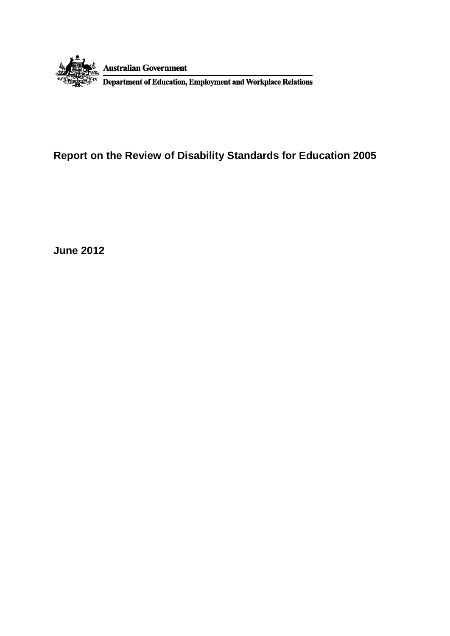

# **Report on the Review of Disability Standards for Education 2005**

**June 2012**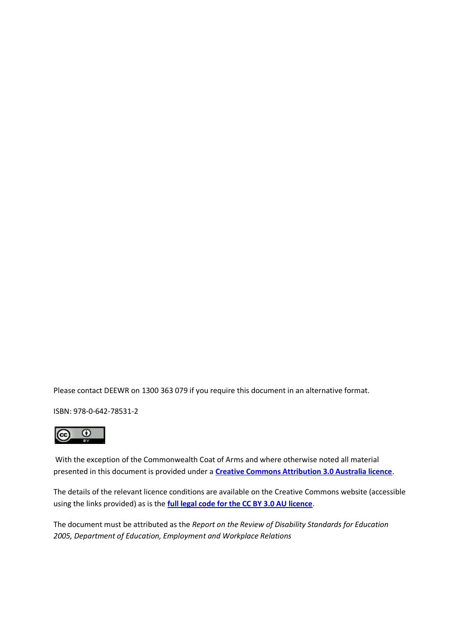Please contact DEEWR on 1300 363 079 if you require this document in an alternative format.

ISBN: 978-0-642-78531-2



With the exception of the Commonwealth Coat of Arms and where otherwise noted all material presented in this document is provided under a **[Creative Commons Attribution 3.0 Australia licence](http://creativecommons.org/licenses/by/3.0/au/)**.

The details of the relevant licence conditions are available on the Creative Commons website (accessible using the links provided) as is the **[full legal code for the CC BY 3.0 AU licence](http://creativecommons.org/licenses/by/3.0/au/legalcode)**.

The document must be attributed as the *Report on the Review of Disability Standards for Education 2005, Department of Education, Employment and Workplace Relations*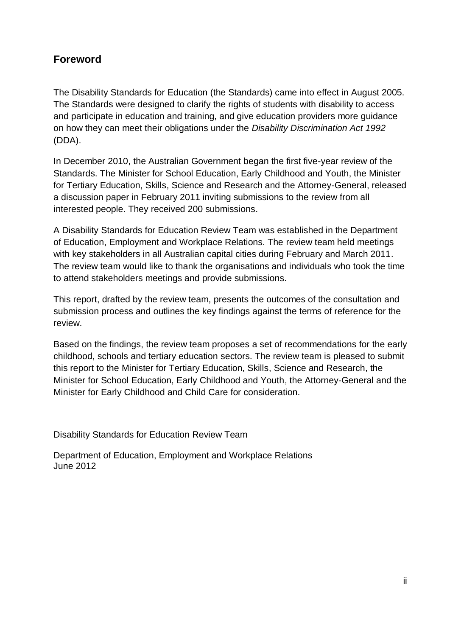# <span id="page-3-0"></span>**Foreword**

The Disability Standards for Education (the Standards) came into effect in August 2005. The Standards were designed to clarify the rights of students with disability to access and participate in education and training, and give education providers more guidance on how they can meet their obligations under the *Disability Discrimination Act 1992* (DDA).

In December 2010, the Australian Government began the first five-year review of the Standards. The Minister for School Education, Early Childhood and Youth, the Minister for Tertiary Education, Skills, Science and Research and the Attorney-General, released a discussion paper in February 2011 inviting submissions to the review from all interested people. They received 200 submissions.

A Disability Standards for Education Review Team was established in the Department of Education, Employment and Workplace Relations. The review team held meetings with key stakeholders in all Australian capital cities during February and March 2011. The review team would like to thank the organisations and individuals who took the time to attend stakeholders meetings and provide submissions.

This report, drafted by the review team, presents the outcomes of the consultation and submission process and outlines the key findings against the terms of reference for the review.

Based on the findings, the review team proposes a set of recommendations for the early childhood, schools and tertiary education sectors. The review team is pleased to submit this report to the Minister for Tertiary Education, Skills, Science and Research, the Minister for School Education, Early Childhood and Youth, the Attorney-General and the Minister for Early Childhood and Child Care for consideration.

Disability Standards for Education Review Team

Department of Education, Employment and Workplace Relations June 2012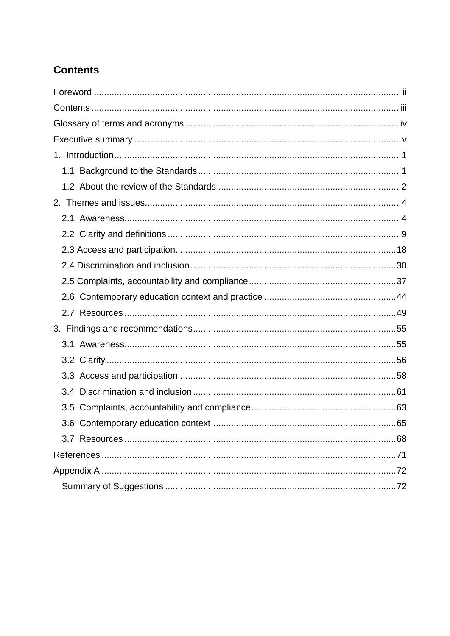# <span id="page-4-0"></span>**Contents**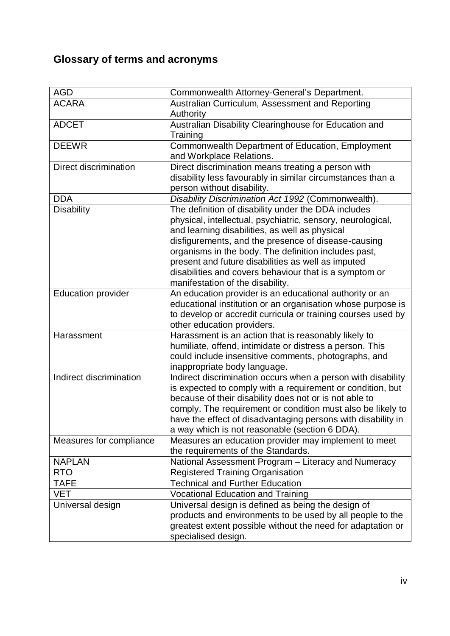# <span id="page-5-0"></span>**Glossary of terms and acronyms**

| <b>AGD</b>                | Commonwealth Attorney-General's Department.                  |
|---------------------------|--------------------------------------------------------------|
| <b>ACARA</b>              | Australian Curriculum, Assessment and Reporting              |
|                           | Authority                                                    |
|                           |                                                              |
| <b>ADCET</b>              | Australian Disability Clearinghouse for Education and        |
|                           | Training                                                     |
| <b>DEEWR</b>              | Commonwealth Department of Education, Employment             |
|                           | and Workplace Relations.                                     |
| Direct discrimination     | Direct discrimination means treating a person with           |
|                           | disability less favourably in similar circumstances than a   |
|                           | person without disability.                                   |
| <b>DDA</b>                | Disability Discrimination Act 1992 (Commonwealth).           |
| <b>Disability</b>         | The definition of disability under the DDA includes          |
|                           | physical, intellectual, psychiatric, sensory, neurological,  |
|                           | and learning disabilities, as well as physical               |
|                           | disfigurements, and the presence of disease-causing          |
|                           | organisms in the body. The definition includes past,         |
|                           | present and future disabilities as well as imputed           |
|                           |                                                              |
|                           | disabilities and covers behaviour that is a symptom or       |
|                           | manifestation of the disability.                             |
| <b>Education provider</b> | An education provider is an educational authority or an      |
|                           | educational institution or an organisation whose purpose is  |
|                           | to develop or accredit curricula or training courses used by |
|                           | other education providers.                                   |
| Harassment                | Harassment is an action that is reasonably likely to         |
|                           | humiliate, offend, intimidate or distress a person. This     |
|                           | could include insensitive comments, photographs, and         |
|                           | inappropriate body language.                                 |
| Indirect discrimination   | Indirect discrimination occurs when a person with disability |
|                           | is expected to comply with a requirement or condition, but   |
|                           | because of their disability does not or is not able to       |
|                           | comply. The requirement or condition must also be likely to  |
|                           | have the effect of disadvantaging persons with disability in |
|                           |                                                              |
|                           | a way which is not reasonable (section 6 DDA).               |
| Measures for compliance   | Measures an education provider may implement to meet         |
|                           | the requirements of the Standards.                           |
| <b>NAPLAN</b>             | National Assessment Program - Literacy and Numeracy          |
| <b>RTO</b>                | <b>Registered Training Organisation</b>                      |
| <b>TAFE</b>               | <b>Technical and Further Education</b>                       |
| VET                       | <b>Vocational Education and Training</b>                     |
| Universal design          | Universal design is defined as being the design of           |
|                           | products and environments to be used by all people to the    |
|                           | greatest extent possible without the need for adaptation or  |
|                           | specialised design.                                          |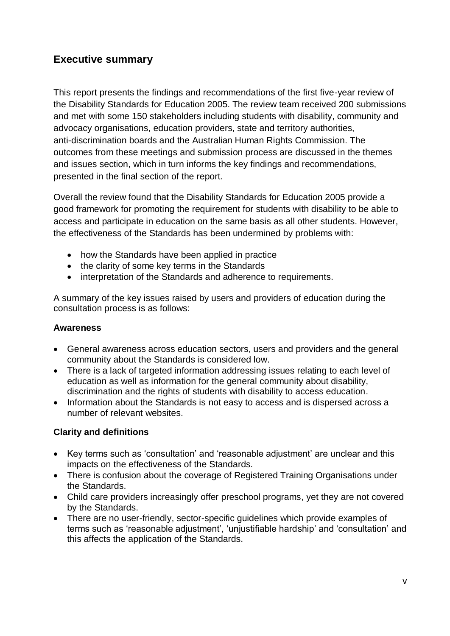# <span id="page-6-0"></span>**Executive summary**

This report presents the findings and recommendations of the first five-year review of the Disability Standards for Education 2005. The review team received 200 submissions and met with some 150 stakeholders including students with disability, community and advocacy organisations, education providers, state and territory authorities, anti-discrimination boards and the Australian Human Rights Commission. The outcomes from these meetings and submission process are discussed in the themes and issues section, which in turn informs the key findings and recommendations, presented in the final section of the report.

Overall the review found that the Disability Standards for Education 2005 provide a good framework for promoting the requirement for students with disability to be able to access and participate in education on the same basis as all other students. However, the effectiveness of the Standards has been undermined by problems with:

- how the Standards have been applied in practice
- the clarity of some key terms in the Standards
- interpretation of the Standards and adherence to requirements.

A summary of the key issues raised by users and providers of education during the consultation process is as follows:

#### **Awareness**

- General awareness across education sectors, users and providers and the general community about the Standards is considered low.
- There is a lack of targeted information addressing issues relating to each level of education as well as information for the general community about disability, discrimination and the rights of students with disability to access education.
- Information about the Standards is not easy to access and is dispersed across a number of relevant websites.

#### **Clarity and definitions**

- Key terms such as 'consultation' and 'reasonable adjustment' are unclear and this impacts on the effectiveness of the Standards.
- There is confusion about the coverage of Registered Training Organisations under the Standards.
- Child care providers increasingly offer preschool programs, yet they are not covered by the Standards.
- There are no user-friendly, sector-specific guidelines which provide examples of terms such as 'reasonable adjustment', 'unjustifiable hardship' and 'consultation' and this affects the application of the Standards.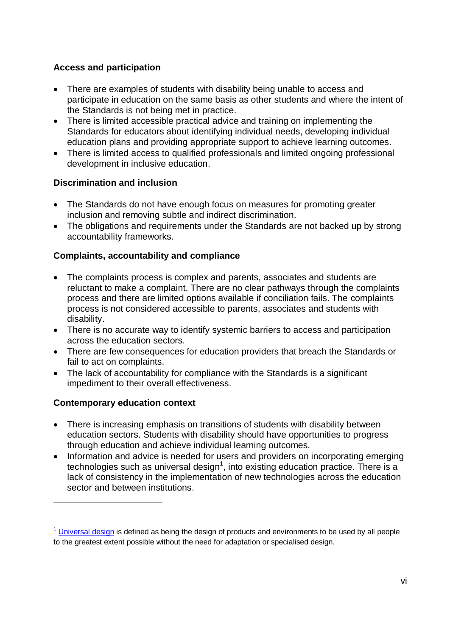## **Access and participation**

- There are examples of students with disability being unable to access and participate in education on the same basis as other students and where the intent of the Standards is not being met in practice.
- There is limited accessible practical advice and training on implementing the Standards for educators about identifying individual needs, developing individual education plans and providing appropriate support to achieve learning outcomes.
- There is limited access to qualified professionals and limited ongoing professional development in inclusive education.

#### **Discrimination and inclusion**

- The Standards do not have enough focus on measures for promoting greater inclusion and removing subtle and indirect discrimination.
- The obligations and requirements under the Standards are not backed up by strong accountability frameworks.

#### **Complaints, accountability and compliance**

- The complaints process is complex and parents, associates and students are reluctant to make a complaint. There are no clear pathways through the complaints process and there are limited options available if conciliation fails. The complaints process is not considered accessible to parents, associates and students with disability.
- There is no accurate way to identify systemic barriers to access and participation across the education sectors.
- There are few consequences for education providers that breach the Standards or fail to act on complaints.
- The lack of accountability for compliance with the Standards is a significant impediment to their overall effectiveness.

#### **Contemporary education context**

<u>.</u>

- There is increasing emphasis on transitions of students with disability between education sectors. Students with disability should have opportunities to progress through education and achieve individual learning outcomes.
- Information and advice is needed for users and providers on incorporating emerging technologies such as universal design<sup>1</sup>, into existing education practice. There is a lack of consistency in the implementation of new technologies across the education sector and between institutions.

 $1$  [Universal design](http://www.ncsu.edu/www/ncsu/design/sod5/cud/about_ud/about_ud.htm) is defined as being the design of products and environments to be used by all people to the greatest extent possible without the need for adaptation or specialised design.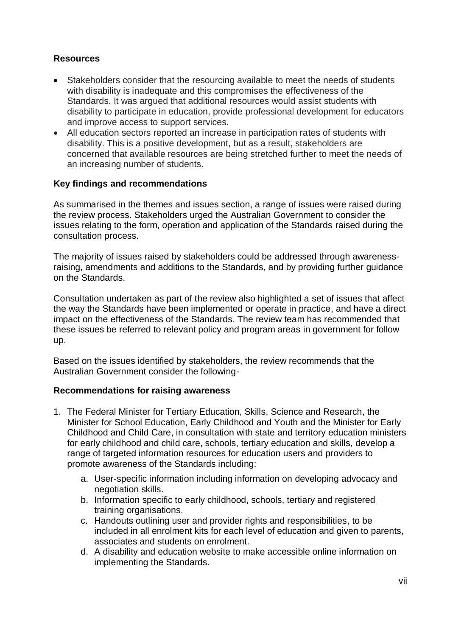### **Resources**

- Stakeholders consider that the resourcing available to meet the needs of students with disability is inadequate and this compromises the effectiveness of the Standards. It was argued that additional resources would assist students with disability to participate in education, provide professional development for educators and improve access to support services.
- All education sectors reported an increase in participation rates of students with disability. This is a positive development, but as a result, stakeholders are concerned that available resources are being stretched further to meet the needs of an increasing number of students.

## **Key findings and recommendations**

As summarised in the themes and issues section, a range of issues were raised during the review process. Stakeholders urged the Australian Government to consider the issues relating to the form, operation and application of the Standards raised during the consultation process.

The majority of issues raised by stakeholders could be addressed through awarenessraising, amendments and additions to the Standards, and by providing further guidance on the Standards.

Consultation undertaken as part of the review also highlighted a set of issues that affect the way the Standards have been implemented or operate in practice, and have a direct impact on the effectiveness of the Standards. The review team has recommended that these issues be referred to relevant policy and program areas in government for follow up.

Based on the issues identified by stakeholders, the review recommends that the Australian Government consider the following-

#### **Recommendations for raising awareness**

- 1. The Federal Minister for Tertiary Education, Skills, Science and Research, the Minister for School Education, Early Childhood and Youth and the Minister for Early Childhood and Child Care, in consultation with state and territory education ministers for early childhood and child care, schools, tertiary education and skills, develop a range of targeted information resources for education users and providers to promote awareness of the Standards including:
	- a. User-specific information including information on developing advocacy and negotiation skills.
	- b. Information specific to early childhood, schools, tertiary and registered training organisations.
	- c. Handouts outlining user and provider rights and responsibilities, to be included in all enrolment kits for each level of education and given to parents, associates and students on enrolment.
	- d. A disability and education website to make accessible online information on implementing the Standards.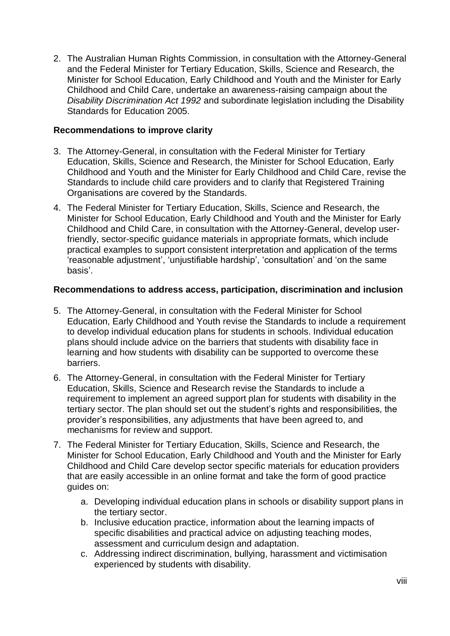2. The Australian Human Rights Commission, in consultation with the Attorney-General and the Federal Minister for Tertiary Education, Skills, Science and Research, the Minister for School Education, Early Childhood and Youth and the Minister for Early Childhood and Child Care, undertake an awareness-raising campaign about the *Disability Discrimination Act 1992* and subordinate legislation including the Disability Standards for Education 2005.

#### **Recommendations to improve clarity**

- 3. The Attorney-General, in consultation with the Federal Minister for Tertiary Education, Skills, Science and Research, the Minister for School Education, Early Childhood and Youth and the Minister for Early Childhood and Child Care, revise the Standards to include child care providers and to clarify that Registered Training Organisations are covered by the Standards.
- 4. The Federal Minister for Tertiary Education, Skills, Science and Research, the Minister for School Education, Early Childhood and Youth and the Minister for Early Childhood and Child Care, in consultation with the Attorney-General, develop userfriendly, sector-specific guidance materials in appropriate formats, which include practical examples to support consistent interpretation and application of the terms 'reasonable adjustment', 'unjustifiable hardship', 'consultation' and 'on the same basis'.

#### **Recommendations to address access, participation, discrimination and inclusion**

- 5. The Attorney-General, in consultation with the Federal Minister for School Education, Early Childhood and Youth revise the Standards to include a requirement to develop individual education plans for students in schools. Individual education plans should include advice on the barriers that students with disability face in learning and how students with disability can be supported to overcome these barriers.
- 6. The Attorney-General, in consultation with the Federal Minister for Tertiary Education, Skills, Science and Research revise the Standards to include a requirement to implement an agreed support plan for students with disability in the tertiary sector. The plan should set out the student's rights and responsibilities, the provider's responsibilities, any adjustments that have been agreed to, and mechanisms for review and support.
- 7. The Federal Minister for Tertiary Education, Skills, Science and Research, the Minister for School Education, Early Childhood and Youth and the Minister for Early Childhood and Child Care develop sector specific materials for education providers that are easily accessible in an online format and take the form of good practice guides on:
	- a. Developing individual education plans in schools or disability support plans in the tertiary sector.
	- b. Inclusive education practice, information about the learning impacts of specific disabilities and practical advice on adjusting teaching modes, assessment and curriculum design and adaptation.
	- c. Addressing indirect discrimination, bullying, harassment and victimisation experienced by students with disability.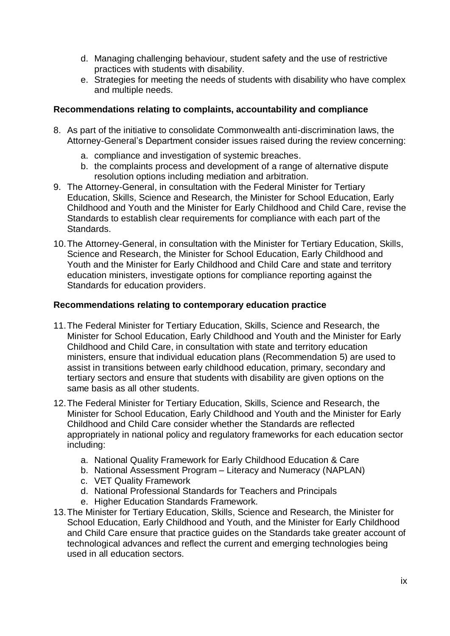- d. Managing challenging behaviour, student safety and the use of restrictive practices with students with disability.
- e. Strategies for meeting the needs of students with disability who have complex and multiple needs.

#### **Recommendations relating to complaints, accountability and compliance**

- 8. As part of the initiative to consolidate Commonwealth anti-discrimination laws, the Attorney-General's Department consider issues raised during the review concerning:
	- a. compliance and investigation of systemic breaches.
	- b. the complaints process and development of a range of alternative dispute resolution options including mediation and arbitration.
- 9. The Attorney-General, in consultation with the Federal Minister for Tertiary Education, Skills, Science and Research, the Minister for School Education, Early Childhood and Youth and the Minister for Early Childhood and Child Care, revise the Standards to establish clear requirements for compliance with each part of the Standards.
- 10.The Attorney-General, in consultation with the Minister for Tertiary Education, Skills, Science and Research, the Minister for School Education, Early Childhood and Youth and the Minister for Early Childhood and Child Care and state and territory education ministers, investigate options for compliance reporting against the Standards for education providers.

#### **Recommendations relating to contemporary education practice**

- 11.The Federal Minister for Tertiary Education, Skills, Science and Research, the Minister for School Education, Early Childhood and Youth and the Minister for Early Childhood and Child Care, in consultation with state and territory education ministers, ensure that individual education plans (Recommendation 5) are used to assist in transitions between early childhood education, primary, secondary and tertiary sectors and ensure that students with disability are given options on the same basis as all other students.
- 12.The Federal Minister for Tertiary Education, Skills, Science and Research, the Minister for School Education, Early Childhood and Youth and the Minister for Early Childhood and Child Care consider whether the Standards are reflected appropriately in national policy and regulatory frameworks for each education sector including:
	- a. National Quality Framework for Early Childhood Education & Care
	- b. National Assessment Program Literacy and Numeracy (NAPLAN)
	- c. VET Quality Framework
	- d. National Professional Standards for Teachers and Principals
	- e. Higher Education Standards Framework.
- 13.The Minister for Tertiary Education, Skills, Science and Research, the Minister for School Education, Early Childhood and Youth, and the Minister for Early Childhood and Child Care ensure that practice guides on the Standards take greater account of technological advances and reflect the current and emerging technologies being used in all education sectors.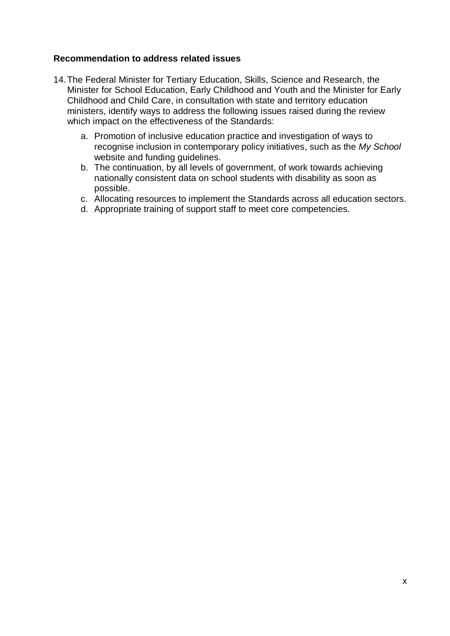#### **Recommendation to address related issues**

- 14.The Federal Minister for Tertiary Education, Skills, Science and Research, the Minister for School Education, Early Childhood and Youth and the Minister for Early Childhood and Child Care, in consultation with state and territory education ministers, identify ways to address the following issues raised during the review which impact on the effectiveness of the Standards:
	- a. Promotion of inclusive education practice and investigation of ways to recognise inclusion in contemporary policy initiatives, such as the *My School* website and funding guidelines.
	- b. The continuation, by all levels of government, of work towards achieving nationally consistent data on school students with disability as soon as possible.
	- c. Allocating resources to implement the Standards across all education sectors.
	- d. Appropriate training of support staff to meet core competencies.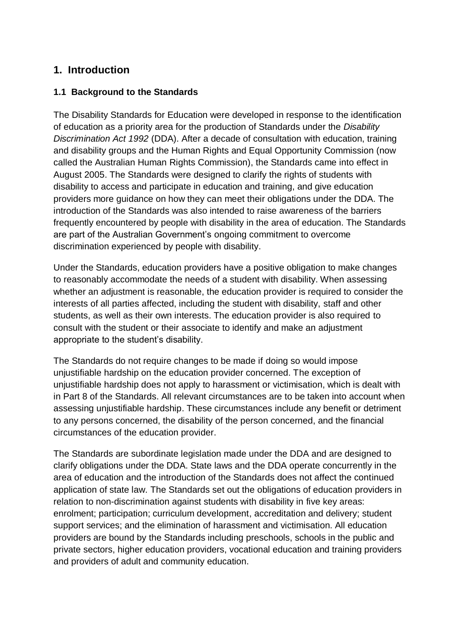# <span id="page-12-0"></span>**1. Introduction**

## <span id="page-12-1"></span>**1.1 Background to the Standards**

The Disability Standards for Education were developed in response to the identification of education as a priority area for the production of Standards under the *Disability Discrimination Act 1992* (DDA). After a decade of consultation with education, training and disability groups and the Human Rights and Equal Opportunity Commission (now called the Australian Human Rights Commission), the Standards came into effect in August 2005. The Standards were designed to clarify the rights of students with disability to access and participate in education and training, and give education providers more guidance on how they can meet their obligations under the DDA. The introduction of the Standards was also intended to raise awareness of the barriers frequently encountered by people with disability in the area of education. The Standards are part of the Australian Government's ongoing commitment to overcome discrimination experienced by people with disability.

Under the Standards, education providers have a positive obligation to make changes to reasonably accommodate the needs of a student with disability. When assessing whether an adjustment is reasonable, the education provider is required to consider the interests of all parties affected, including the student with disability, staff and other students, as well as their own interests. The education provider is also required to consult with the student or their associate to identify and make an adjustment appropriate to the student's disability.

The Standards do not require changes to be made if doing so would impose unjustifiable hardship on the education provider concerned. The exception of unjustifiable hardship does not apply to harassment or victimisation, which is dealt with in Part 8 of the Standards. All relevant circumstances are to be taken into account when assessing unjustifiable hardship. These circumstances include any benefit or detriment to any persons concerned, the disability of the person concerned, and the financial circumstances of the education provider.

The Standards are subordinate legislation made under the DDA and are designed to clarify obligations under the DDA. State laws and the DDA operate concurrently in the area of education and the introduction of the Standards does not affect the continued application of state law. The Standards set out the obligations of education providers in relation to non-discrimination against students with disability in five key areas: enrolment; participation; curriculum development, accreditation and delivery; student support services; and the elimination of harassment and victimisation. All education providers are bound by the Standards including preschools, schools in the public and private sectors, higher education providers, vocational education and training providers and providers of adult and community education.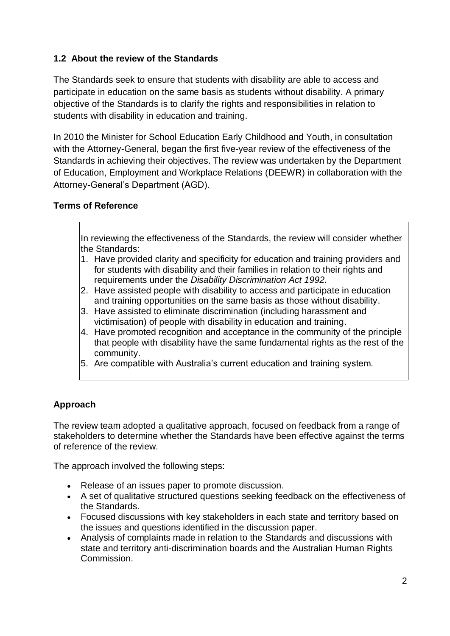# <span id="page-13-0"></span>**1.2 About the review of the Standards**

The Standards seek to ensure that students with disability are able to access and participate in education on the same basis as students without disability. A primary objective of the Standards is to clarify the rights and responsibilities in relation to students with disability in education and training.

In 2010 the Minister for School Education Early Childhood and Youth, in consultation with the Attorney-General, began the first five-year review of the effectiveness of the Standards in achieving their objectives. The review was undertaken by the Department of Education, Employment and Workplace Relations (DEEWR) in collaboration with the Attorney-General's Department (AGD).

#### **Terms of Reference**

In reviewing the effectiveness of the Standards, the review will consider whether the Standards:

- 1. Have provided clarity and specificity for education and training providers and for students with disability and their families in relation to their rights and requirements under the *Disability Discrimination Act 1992.*
- 2. Have assisted people with disability to access and participate in education and training opportunities on the same basis as those without disability.
- 3. Have assisted to eliminate discrimination (including harassment and victimisation) of people with disability in education and training.
- 4. Have promoted recognition and acceptance in the community of the principle that people with disability have the same fundamental rights as the rest of the community.
- 5. Are compatible with Australia's current education and training system.

# **Approach**

The review team adopted a qualitative approach, focused on feedback from a range of stakeholders to determine whether the Standards have been effective against the terms of reference of the review.

The approach involved the following steps:

- Release of an issues paper to promote discussion.
- A set of qualitative structured questions seeking feedback on the effectiveness of the Standards.
- Focused discussions with key stakeholders in each state and territory based on the issues and questions identified in the discussion paper.
- Analysis of complaints made in relation to the Standards and discussions with state and territory anti-discrimination boards and the Australian Human Rights Commission.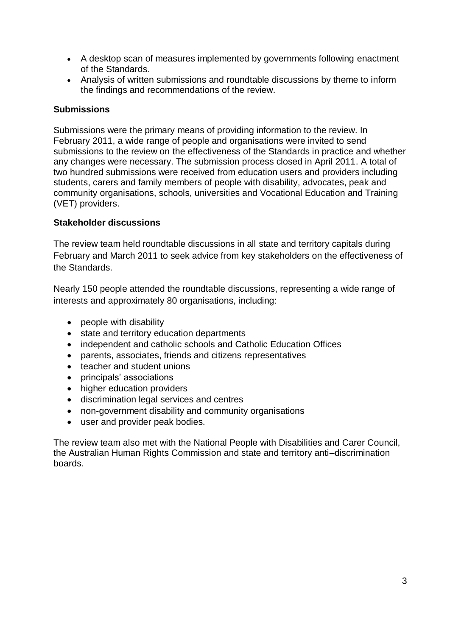- A desktop scan of measures implemented by governments following enactment of the Standards.
- Analysis of written submissions and roundtable discussions by theme to inform the findings and recommendations of the review.

#### **Submissions**

Submissions were the primary means of providing information to the review. In February 2011, a wide range of people and organisations were invited to send submissions to the review on the effectiveness of the Standards in practice and whether any changes were necessary. The submission process closed in April 2011. A total of two hundred submissions were received from education users and providers including students, carers and family members of people with disability, advocates, peak and community organisations, schools, universities and Vocational Education and Training (VET) providers.

#### **Stakeholder discussions**

The review team held roundtable discussions in all state and territory capitals during February and March 2011 to seek advice from key stakeholders on the effectiveness of the Standards.

Nearly 150 people attended the roundtable discussions, representing a wide range of interests and approximately 80 organisations, including:

- people with disability
- state and territory education departments
- independent and catholic schools and Catholic Education Offices
- parents, associates, friends and citizens representatives
- teacher and student unions
- principals' associations
- higher education providers
- discrimination legal services and centres
- non-government disability and community organisations
- user and provider peak bodies.

The review team also met with the National People with Disabilities and Carer Council, the Australian Human Rights Commission and state and territory anti–discrimination boards.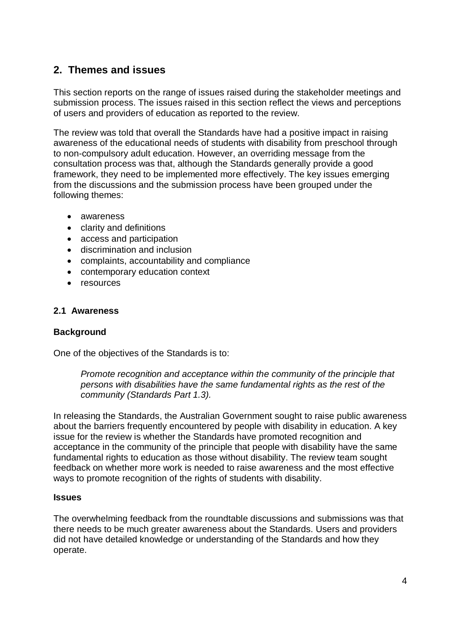# <span id="page-15-0"></span>**2. Themes and issues**

This section reports on the range of issues raised during the stakeholder meetings and submission process. The issues raised in this section reflect the views and perceptions of users and providers of education as reported to the review.

The review was told that overall the Standards have had a positive impact in raising awareness of the educational needs of students with disability from preschool through to non-compulsory adult education. However, an overriding message from the consultation process was that, although the Standards generally provide a good framework, they need to be implemented more effectively. The key issues emerging from the discussions and the submission process have been grouped under the following themes:

- awareness
- clarity and definitions
- access and participation
- discrimination and inclusion
- complaints, accountability and compliance
- contemporary education context
- resources

#### <span id="page-15-1"></span>**2.1 Awareness**

#### **Background**

One of the objectives of the Standards is to:

*Promote recognition and acceptance within the community of the principle that persons with disabilities have the same fundamental rights as the rest of the community (Standards Part 1.3).*

In releasing the Standards, the Australian Government sought to raise public awareness about the barriers frequently encountered by people with disability in education. A key issue for the review is whether the Standards have promoted recognition and acceptance in the community of the principle that people with disability have the same fundamental rights to education as those without disability. The review team sought feedback on whether more work is needed to raise awareness and the most effective ways to promote recognition of the rights of students with disability.

#### **Issues**

The overwhelming feedback from the roundtable discussions and submissions was that there needs to be much greater awareness about the Standards. Users and providers did not have detailed knowledge or understanding of the Standards and how they operate.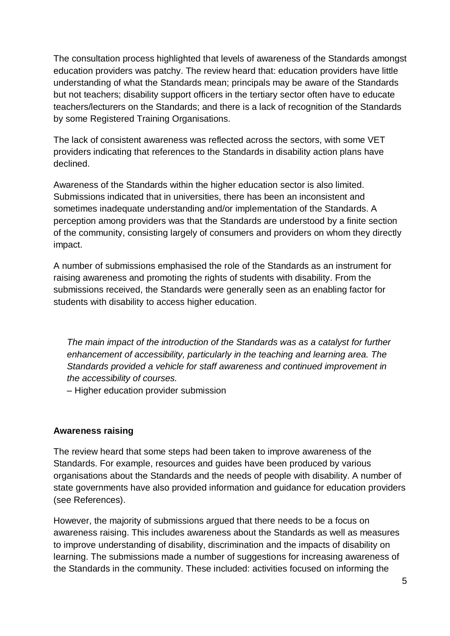The consultation process highlighted that levels of awareness of the Standards amongst education providers was patchy. The review heard that: education providers have little understanding of what the Standards mean; principals may be aware of the Standards but not teachers; disability support officers in the tertiary sector often have to educate teachers/lecturers on the Standards; and there is a lack of recognition of the Standards by some Registered Training Organisations.

The lack of consistent awareness was reflected across the sectors, with some VET providers indicating that references to the Standards in disability action plans have declined.

Awareness of the Standards within the higher education sector is also limited. Submissions indicated that in universities, there has been an inconsistent and sometimes inadequate understanding and/or implementation of the Standards. A perception among providers was that the Standards are understood by a finite section of the community, consisting largely of consumers and providers on whom they directly impact.

A number of submissions emphasised the role of the Standards as an instrument for raising awareness and promoting the rights of students with disability. From the submissions received, the Standards were generally seen as an enabling factor for students with disability to access higher education.

*The main impact of the introduction of the Standards was as a catalyst for further enhancement of accessibility, particularly in the teaching and learning area. The Standards provided a vehicle for staff awareness and continued improvement in the accessibility of courses.* 

– Higher education provider submission

#### **Awareness raising**

The review heard that some steps had been taken to improve awareness of the Standards. For example, resources and guides have been produced by various organisations about the Standards and the needs of people with disability. A number of state governments have also provided information and guidance for education providers (see References).

However, the majority of submissions argued that there needs to be a focus on awareness raising. This includes awareness about the Standards as well as measures to improve understanding of disability, discrimination and the impacts of disability on learning. The submissions made a number of suggestions for increasing awareness of the Standards in the community. These included: activities focused on informing the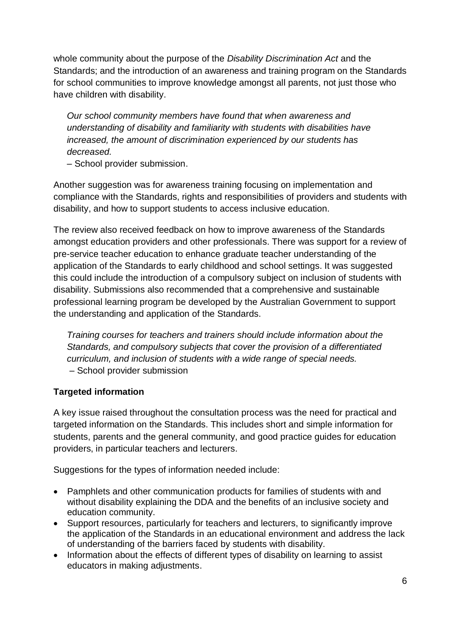whole community about the purpose of the *Disability Discrimination Act* and the Standards; and the introduction of an awareness and training program on the Standards for school communities to improve knowledge amongst all parents, not just those who have children with disability.

*Our school community members have found that when awareness and understanding of disability and familiarity with students with disabilities have increased, the amount of discrimination experienced by our students has decreased.* 

– School provider submission.

Another suggestion was for awareness training focusing on implementation and compliance with the Standards, rights and responsibilities of providers and students with disability, and how to support students to access inclusive education.

The review also received feedback on how to improve awareness of the Standards amongst education providers and other professionals. There was support for a review of pre-service teacher education to enhance graduate teacher understanding of the application of the Standards to early childhood and school settings. It was suggested this could include the introduction of a compulsory subject on inclusion of students with disability. Submissions also recommended that a comprehensive and sustainable professional learning program be developed by the Australian Government to support the understanding and application of the Standards.

*Training courses for teachers and trainers should include information about the Standards, and compulsory subjects that cover the provision of a differentiated curriculum, and inclusion of students with a wide range of special needs.* – School provider submission

# **Targeted information**

A key issue raised throughout the consultation process was the need for practical and targeted information on the Standards. This includes short and simple information for students, parents and the general community, and good practice guides for education providers, in particular teachers and lecturers.

Suggestions for the types of information needed include:

- Pamphlets and other communication products for families of students with and without disability explaining the DDA and the benefits of an inclusive society and education community.
- Support resources, particularly for teachers and lecturers, to significantly improve the application of the Standards in an educational environment and address the lack of understanding of the barriers faced by students with disability.
- Information about the effects of different types of disability on learning to assist educators in making adjustments.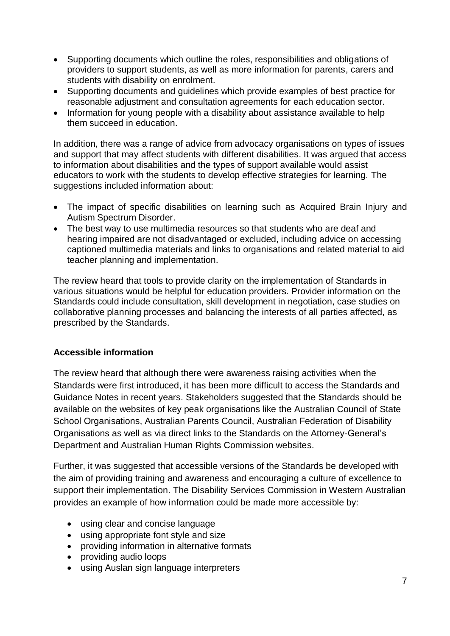- Supporting documents which outline the roles, responsibilities and obligations of providers to support students, as well as more information for parents, carers and students with disability on enrolment.
- Supporting documents and guidelines which provide examples of best practice for reasonable adjustment and consultation agreements for each education sector.
- Information for young people with a disability about assistance available to help them succeed in education.

In addition, there was a range of advice from advocacy organisations on types of issues and support that may affect students with different disabilities. It was argued that access to information about disabilities and the types of support available would assist educators to work with the students to develop effective strategies for learning. The suggestions included information about:

- The impact of specific disabilities on learning such as Acquired Brain Injury and Autism Spectrum Disorder.
- The best way to use multimedia resources so that students who are deaf and hearing impaired are not disadvantaged or excluded, including advice on accessing captioned multimedia materials and links to organisations and related material to aid teacher planning and implementation.

The review heard that tools to provide clarity on the implementation of Standards in various situations would be helpful for education providers. Provider information on the Standards could include consultation, skill development in negotiation, case studies on collaborative planning processes and balancing the interests of all parties affected, as prescribed by the Standards.

#### **Accessible information**

The review heard that although there were awareness raising activities when the Standards were first introduced, it has been more difficult to access the Standards and Guidance Notes in recent years. Stakeholders suggested that the Standards should be available on the websites of key peak organisations like the Australian Council of State School Organisations, Australian Parents Council, Australian Federation of Disability Organisations as well as via direct links to the Standards on the Attorney-General's Department and Australian Human Rights Commission websites.

Further, it was suggested that accessible versions of the Standards be developed with the aim of providing training and awareness and encouraging a culture of excellence to support their implementation. The Disability Services Commission in Western Australian provides an example of how information could be made more accessible by:

- using clear and concise language
- using appropriate font style and size
- providing information in alternative formats
- providing audio loops
- using Auslan sign language interpreters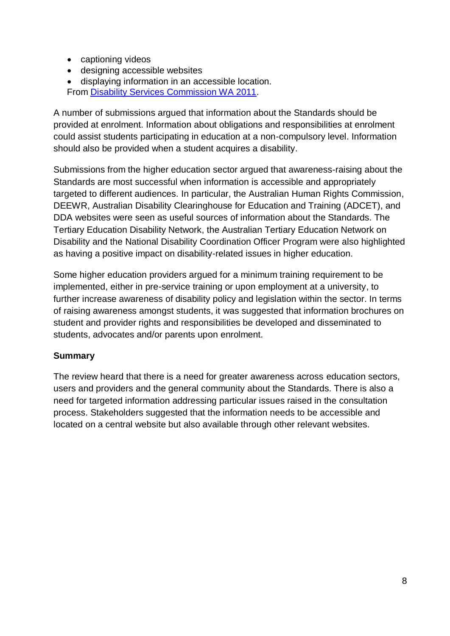- captioning videos
- designing accessible websites
- displaying information in an accessible location. From [Disability Services Commission WA 2011.](http://www.disability.wa.gov.au/aud/accessinfo.html)

A number of submissions argued that information about the Standards should be provided at enrolment. Information about obligations and responsibilities at enrolment could assist students participating in education at a non-compulsory level. Information should also be provided when a student acquires a disability.

Submissions from the higher education sector argued that awareness-raising about the Standards are most successful when information is accessible and appropriately targeted to different audiences. In particular, the Australian Human Rights Commission, DEEWR, Australian Disability Clearinghouse for Education and Training (ADCET), and DDA websites were seen as useful sources of information about the Standards. The Tertiary Education Disability Network, the Australian Tertiary Education Network on Disability and the National Disability Coordination Officer Program were also highlighted as having a positive impact on disability-related issues in higher education.

Some higher education providers argued for a minimum training requirement to be implemented, either in pre-service training or upon employment at a university, to further increase awareness of disability policy and legislation within the sector. In terms of raising awareness amongst students, it was suggested that information brochures on student and provider rights and responsibilities be developed and disseminated to students, advocates and/or parents upon enrolment.

#### **Summary**

The review heard that there is a need for greater awareness across education sectors, users and providers and the general community about the Standards. There is also a need for targeted information addressing particular issues raised in the consultation process. Stakeholders suggested that the information needs to be accessible and located on a central website but also available through other relevant websites.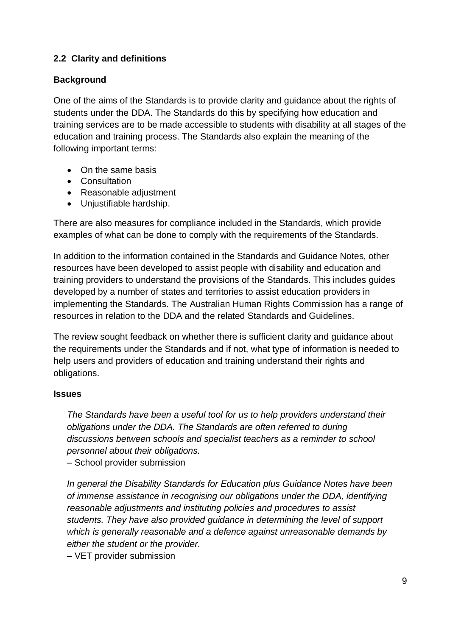# <span id="page-20-0"></span>**2.2 Clarity and definitions**

### **Background**

One of the aims of the Standards is to provide clarity and guidance about the rights of students under the DDA. The Standards do this by specifying how education and training services are to be made accessible to students with disability at all stages of the education and training process. The Standards also explain the meaning of the following important terms:

- On the same basis
- Consultation
- Reasonable adjustment
- Unjustifiable hardship.

There are also measures for compliance included in the Standards, which provide examples of what can be done to comply with the requirements of the Standards.

In addition to the information contained in the Standards and Guidance Notes, other resources have been developed to assist people with disability and education and training providers to understand the provisions of the Standards. This includes guides developed by a number of states and territories to assist education providers in implementing the Standards. The Australian Human Rights Commission has a range of resources in relation to the DDA and the related Standards and Guidelines.

The review sought feedback on whether there is sufficient clarity and guidance about the requirements under the Standards and if not, what type of information is needed to help users and providers of education and training understand their rights and obligations.

#### **Issues**

*The Standards have been a useful tool for us to help providers understand their obligations under the DDA. The Standards are often referred to during discussions between schools and specialist teachers as a reminder to school personnel about their obligations.* 

– School provider submission

*In general the Disability Standards for Education plus Guidance Notes have been of immense assistance in recognising our obligations under the DDA, identifying reasonable adjustments and instituting policies and procedures to assist students. They have also provided guidance in determining the level of support which is generally reasonable and a defence against unreasonable demands by either the student or the provider.* 

– VET provider submission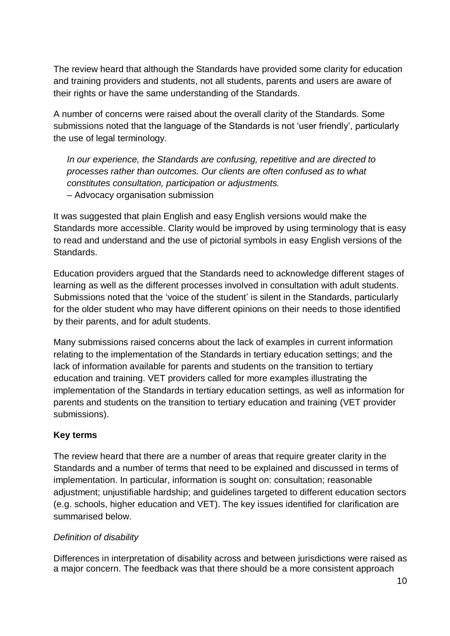The review heard that although the Standards have provided some clarity for education and training providers and students, not all students, parents and users are aware of their rights or have the same understanding of the Standards.

A number of concerns were raised about the overall clarity of the Standards. Some submissions noted that the language of the Standards is not 'user friendly', particularly the use of legal terminology.

*In our experience, the Standards are confusing, repetitive and are directed to processes rather than outcomes. Our clients are often confused as to what constitutes consultation, participation or adjustments.* – Advocacy organisation submission

It was suggested that plain English and easy English versions would make the Standards more accessible. Clarity would be improved by using terminology that is easy to read and understand and the use of pictorial symbols in easy English versions of the Standards.

Education providers argued that the Standards need to acknowledge different stages of learning as well as the different processes involved in consultation with adult students. Submissions noted that the 'voice of the student' is silent in the Standards, particularly for the older student who may have different opinions on their needs to those identified by their parents, and for adult students.

Many submissions raised concerns about the lack of examples in current information relating to the implementation of the Standards in tertiary education settings; and the lack of information available for parents and students on the transition to tertiary education and training. VET providers called for more examples illustrating the implementation of the Standards in tertiary education settings, as well as information for parents and students on the transition to tertiary education and training (VET provider submissions).

# **Key terms**

The review heard that there are a number of areas that require greater clarity in the Standards and a number of terms that need to be explained and discussed in terms of implementation. In particular, information is sought on: consultation; reasonable adjustment; unjustifiable hardship; and guidelines targeted to different education sectors (e.g. schools, higher education and VET). The key issues identified for clarification are summarised below.

#### *Definition of disability*

Differences in interpretation of disability across and between jurisdictions were raised as a major concern. The feedback was that there should be a more consistent approach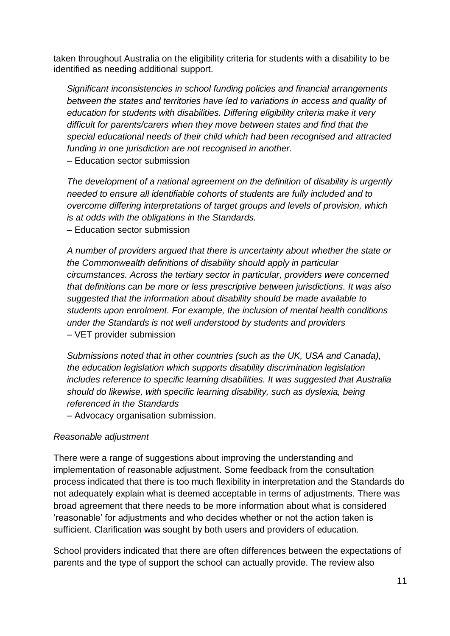taken throughout Australia on the eligibility criteria for students with a disability to be identified as needing additional support.

*Significant inconsistencies in school funding policies and financial arrangements between the states and territories have led to variations in access and quality of education for students with disabilities. Differing eligibility criteria make it very difficult for parents/carers when they move between states and find that the special educational needs of their child which had been recognised and attracted funding in one jurisdiction are not recognised in another.*  – Education sector submission

*The development of a national agreement on the definition of disability is urgently needed to ensure all identifiable cohorts of students are fully included and to overcome differing interpretations of target groups and levels of provision, which is at odds with the obligations in the Standards.*

– Education sector submission

*A number of providers argued that there is uncertainty about whether the state or the Commonwealth definitions of disability should apply in particular circumstances. Across the tertiary sector in particular, providers were concerned that definitions can be more or less prescriptive between jurisdictions. It was also suggested that the information about disability should be made available to students upon enrolment. For example, the inclusion of mental health conditions under the Standards is not well understood by students and providers –* VET provider submission

*Submissions noted that in other countries (such as the UK, USA and Canada), the education legislation which supports disability discrimination legislation includes reference to specific learning disabilities. It was suggested that Australia should do likewise, with specific learning disability, such as dyslexia, being referenced in the Standards*

– Advocacy organisation submission.

#### *Reasonable adjustment*

There were a range of suggestions about improving the understanding and implementation of reasonable adjustment. Some feedback from the consultation process indicated that there is too much flexibility in interpretation and the Standards do not adequately explain what is deemed acceptable in terms of adjustments. There was broad agreement that there needs to be more information about what is considered 'reasonable' for adjustments and who decides whether or not the action taken is sufficient. Clarification was sought by both users and providers of education.

School providers indicated that there are often differences between the expectations of parents and the type of support the school can actually provide. The review also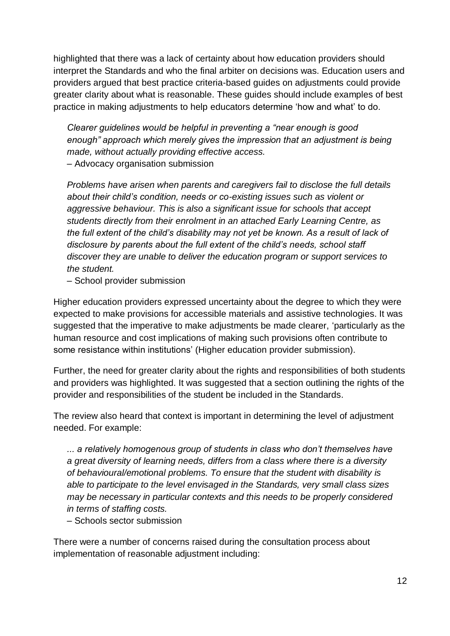highlighted that there was a lack of certainty about how education providers should interpret the Standards and who the final arbiter on decisions was. Education users and providers argued that best practice criteria-based guides on adjustments could provide greater clarity about what is reasonable. These guides should include examples of best practice in making adjustments to help educators determine 'how and what' to do.

*Clearer guidelines would be helpful in preventing a "near enough is good enough" approach which merely gives the impression that an adjustment is being made, without actually providing effective access.* 

– Advocacy organisation submission

*Problems have arisen when parents and caregivers fail to disclose the full details about their child's condition, needs or co-existing issues such as violent or aggressive behaviour. This is also a significant issue for schools that accept students directly from their enrolment in an attached Early Learning Centre, as the full extent of the child's disability may not yet be known. As a result of lack of disclosure by parents about the full extent of the child's needs, school staff discover they are unable to deliver the education program or support services to the student.* 

– School provider submission

Higher education providers expressed uncertainty about the degree to which they were expected to make provisions for accessible materials and assistive technologies. It was suggested that the imperative to make adjustments be made clearer, 'particularly as the human resource and cost implications of making such provisions often contribute to some resistance within institutions' (Higher education provider submission).

Further, the need for greater clarity about the rights and responsibilities of both students and providers was highlighted. It was suggested that a section outlining the rights of the provider and responsibilities of the student be included in the Standards.

The review also heard that context is important in determining the level of adjustment needed. For example:

*... a relatively homogenous group of students in class who don't themselves have a great diversity of learning needs, differs from a class where there is a diversity of behavioural/emotional problems. To ensure that the student with disability is able to participate to the level envisaged in the Standards, very small class sizes may be necessary in particular contexts and this needs to be properly considered in terms of staffing costs.*

– Schools sector submission

There were a number of concerns raised during the consultation process about implementation of reasonable adjustment including: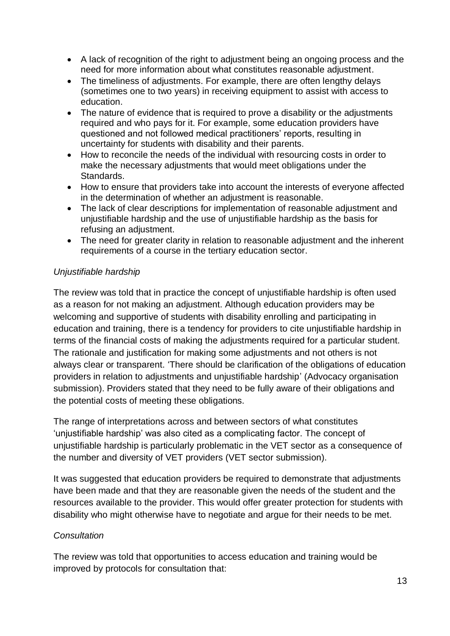- A lack of recognition of the right to adjustment being an ongoing process and the need for more information about what constitutes reasonable adjustment.
- The timeliness of adjustments. For example, there are often lengthy delays (sometimes one to two years) in receiving equipment to assist with access to education.
- The nature of evidence that is required to prove a disability or the adjustments required and who pays for it. For example, some education providers have questioned and not followed medical practitioners' reports, resulting in uncertainty for students with disability and their parents.
- How to reconcile the needs of the individual with resourcing costs in order to make the necessary adjustments that would meet obligations under the Standards.
- How to ensure that providers take into account the interests of everyone affected in the determination of whether an adjustment is reasonable.
- The lack of clear descriptions for implementation of reasonable adjustment and unjustifiable hardship and the use of unjustifiable hardship as the basis for refusing an adjustment.
- The need for greater clarity in relation to reasonable adjustment and the inherent requirements of a course in the tertiary education sector.

## *Unjustifiable hardship*

The review was told that in practice the concept of unjustifiable hardship is often used as a reason for not making an adjustment. Although education providers may be welcoming and supportive of students with disability enrolling and participating in education and training, there is a tendency for providers to cite unjustifiable hardship in terms of the financial costs of making the adjustments required for a particular student. The rationale and justification for making some adjustments and not others is not always clear or transparent. 'There should be clarification of the obligations of education providers in relation to adjustments and unjustifiable hardship' (Advocacy organisation submission). Providers stated that they need to be fully aware of their obligations and the potential costs of meeting these obligations.

The range of interpretations across and between sectors of what constitutes 'unjustifiable hardship' was also cited as a complicating factor. The concept of unjustifiable hardship is particularly problematic in the VET sector as a consequence of the number and diversity of VET providers (VET sector submission).

It was suggested that education providers be required to demonstrate that adjustments have been made and that they are reasonable given the needs of the student and the resources available to the provider. This would offer greater protection for students with disability who might otherwise have to negotiate and argue for their needs to be met.

#### *Consultation*

The review was told that opportunities to access education and training would be improved by protocols for consultation that: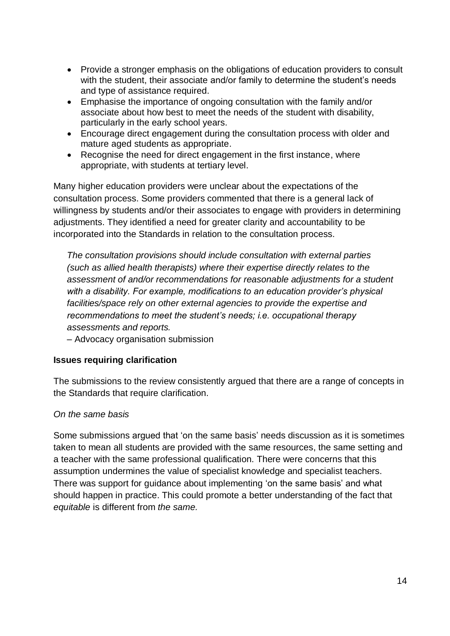- Provide a stronger emphasis on the obligations of education providers to consult with the student, their associate and/or family to determine the student's needs and type of assistance required.
- Emphasise the importance of ongoing consultation with the family and/or associate about how best to meet the needs of the student with disability, particularly in the early school years.
- Encourage direct engagement during the consultation process with older and mature aged students as appropriate.
- Recognise the need for direct engagement in the first instance, where appropriate, with students at tertiary level.

Many higher education providers were unclear about the expectations of the consultation process. Some providers commented that there is a general lack of willingness by students and/or their associates to engage with providers in determining adjustments. They identified a need for greater clarity and accountability to be incorporated into the Standards in relation to the consultation process.

*The consultation provisions should include consultation with external parties (such as allied health therapists) where their expertise directly relates to the assessment of and/or recommendations for reasonable adjustments for a student with a disability. For example, modifications to an education provider's physical facilities/space rely on other external agencies to provide the expertise and recommendations to meet the student's needs; i.e. occupational therapy assessments and reports.* 

– Advocacy organisation submission

#### **Issues requiring clarification**

The submissions to the review consistently argued that there are a range of concepts in the Standards that require clarification.

#### *On the same basis*

Some submissions argued that 'on the same basis' needs discussion as it is sometimes taken to mean all students are provided with the same resources, the same setting and a teacher with the same professional qualification. There were concerns that this assumption undermines the value of specialist knowledge and specialist teachers. There was support for guidance about implementing 'on the same basis' and what should happen in practice. This could promote a better understanding of the fact that *equitable* is different from *the same.*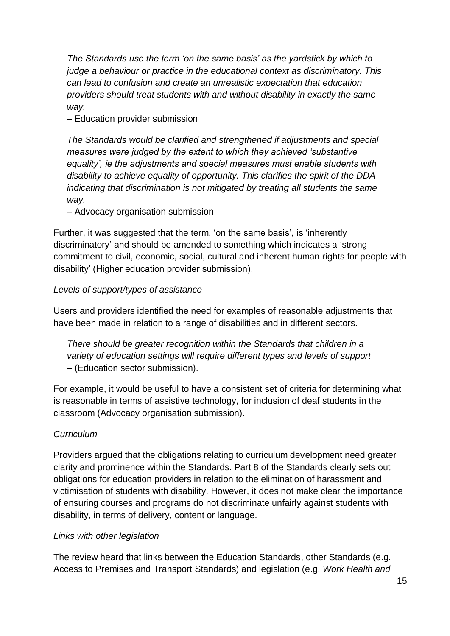*The Standards use the term 'on the same basis' as the yardstick by which to judge a behaviour or practice in the educational context as discriminatory. This can lead to confusion and create an unrealistic expectation that education providers should treat students with and without disability in exactly the same way.*

– Education provider submission

*The Standards would be clarified and strengthened if adjustments and special measures were judged by the extent to which they achieved 'substantive equality', ie the adjustments and special measures must enable students with disability to achieve equality of opportunity. This clarifies the spirit of the DDA indicating that discrimination is not mitigated by treating all students the same way.* 

– Advocacy organisation submission

Further, it was suggested that the term, 'on the same basis', is 'inherently discriminatory' and should be amended to something which indicates a 'strong commitment to civil, economic, social, cultural and inherent human rights for people with disability' (Higher education provider submission).

#### *Levels of support/types of assistance*

Users and providers identified the need for examples of reasonable adjustments that have been made in relation to a range of disabilities and in different sectors.

*There should be greater recognition within the Standards that children in a variety of education settings will require different types and levels of support –* (Education sector submission).

For example, it would be useful to have a consistent set of criteria for determining what is reasonable in terms of assistive technology, for inclusion of deaf students in the classroom (Advocacy organisation submission).

#### *Curriculum*

Providers argued that the obligations relating to curriculum development need greater clarity and prominence within the Standards. Part 8 of the Standards clearly sets out obligations for education providers in relation to the elimination of harassment and victimisation of students with disability. However, it does not make clear the importance of ensuring courses and programs do not discriminate unfairly against students with disability, in terms of delivery, content or language.

#### *Links with other legislation*

The review heard that links between the Education Standards, other Standards (e.g. Access to Premises and Transport Standards) and legislation (e.g. *Work Health and*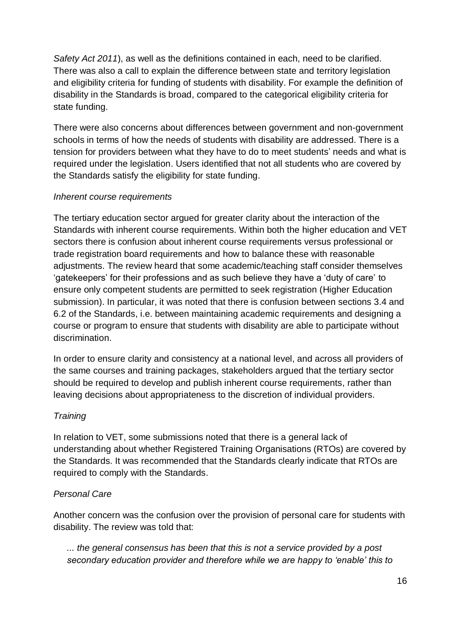*Safety Act 2011*), as well as the definitions contained in each, need to be clarified. There was also a call to explain the difference between state and territory legislation and eligibility criteria for funding of students with disability. For example the definition of disability in the Standards is broad, compared to the categorical eligibility criteria for state funding.

There were also concerns about differences between government and non-government schools in terms of how the needs of students with disability are addressed. There is a tension for providers between what they have to do to meet students' needs and what is required under the legislation. Users identified that not all students who are covered by the Standards satisfy the eligibility for state funding.

## *Inherent course requirements*

The tertiary education sector argued for greater clarity about the interaction of the Standards with inherent course requirements. Within both the higher education and VET sectors there is confusion about inherent course requirements versus professional or trade registration board requirements and how to balance these with reasonable adjustments. The review heard that some academic/teaching staff consider themselves 'gatekeepers' for their professions and as such believe they have a 'duty of care' to ensure only competent students are permitted to seek registration (Higher Education submission). In particular, it was noted that there is confusion between sections 3.4 and 6.2 of the Standards, i.e. between maintaining academic requirements and designing a course or program to ensure that students with disability are able to participate without discrimination.

In order to ensure clarity and consistency at a national level, and across all providers of the same courses and training packages, stakeholders argued that the tertiary sector should be required to develop and publish inherent course requirements, rather than leaving decisions about appropriateness to the discretion of individual providers.

# *Training*

In relation to VET, some submissions noted that there is a general lack of understanding about whether Registered Training Organisations (RTOs) are covered by the Standards. It was recommended that the Standards clearly indicate that RTOs are required to comply with the Standards.

#### *Personal Care*

Another concern was the confusion over the provision of personal care for students with disability. The review was told that:

*... the general consensus has been that this is not a service provided by a post secondary education provider and therefore while we are happy to 'enable' this to*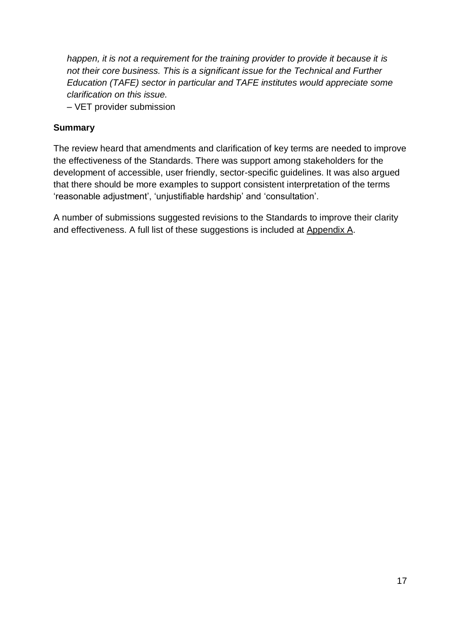*happen, it is not a requirement for the training provider to provide it because it is not their core business. This is a significant issue for the Technical and Further Education (TAFE) sector in particular and TAFE institutes would appreciate some clarification on this issue.* 

– VET provider submission

#### **Summary**

The review heard that amendments and clarification of key terms are needed to improve the effectiveness of the Standards. There was support among stakeholders for the development of accessible, user friendly, sector-specific guidelines. It was also argued that there should be more examples to support consistent interpretation of the terms 'reasonable adjustment', 'unjustifiable hardship' and 'consultation'.

A number of submissions suggested revisions to the Standards to improve their clarity and effectiveness. A full list of these suggestions is included at Appendix A.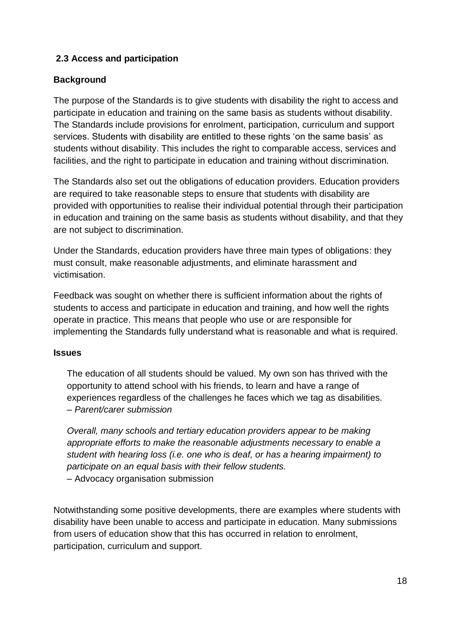# <span id="page-29-0"></span>**2.3 Access and participation**

#### **Background**

The purpose of the Standards is to give students with disability the right to access and participate in education and training on the same basis as students without disability. The Standards include provisions for enrolment, participation, curriculum and support services. Students with disability are entitled to these rights 'on the same basis' as students without disability. This includes the right to comparable access, services and facilities, and the right to participate in education and training without discrimination.

The Standards also set out the obligations of education providers. Education providers are required to take reasonable steps to ensure that students with disability are provided with opportunities to realise their individual potential through their participation in education and training on the same basis as students without disability, and that they are not subject to discrimination.

Under the Standards, education providers have three main types of obligations: they must consult, make reasonable adjustments, and eliminate harassment and victimisation.

Feedback was sought on whether there is sufficient information about the rights of students to access and participate in education and training, and how well the rights operate in practice. This means that people who use or are responsible for implementing the Standards fully understand what is reasonable and what is required.

#### **Issues**

The education of all students should be valued. My own son has thrived with the opportunity to attend school with his friends, to learn and have a range of experiences regardless of the challenges he faces which we tag as disabilities. – *Parent/carer submission*

*Overall, many schools and tertiary education providers appear to be making appropriate efforts to make the reasonable adjustments necessary to enable a student with hearing loss (i.e. one who is deaf, or has a hearing impairment) to participate on an equal basis with their fellow students.*  – Advocacy organisation submission

Notwithstanding some positive developments, there are examples where students with disability have been unable to access and participate in education. Many submissions from users of education show that this has occurred in relation to enrolment, participation, curriculum and support.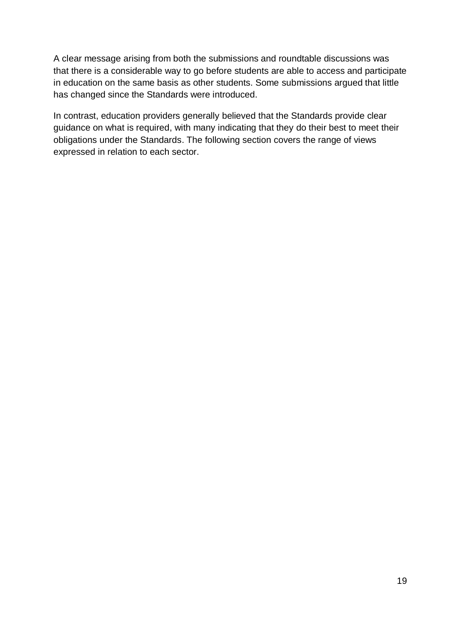A clear message arising from both the submissions and roundtable discussions was that there is a considerable way to go before students are able to access and participate in education on the same basis as other students. Some submissions argued that little has changed since the Standards were introduced.

In contrast, education providers generally believed that the Standards provide clear guidance on what is required, with many indicating that they do their best to meet their obligations under the Standards. The following section covers the range of views expressed in relation to each sector.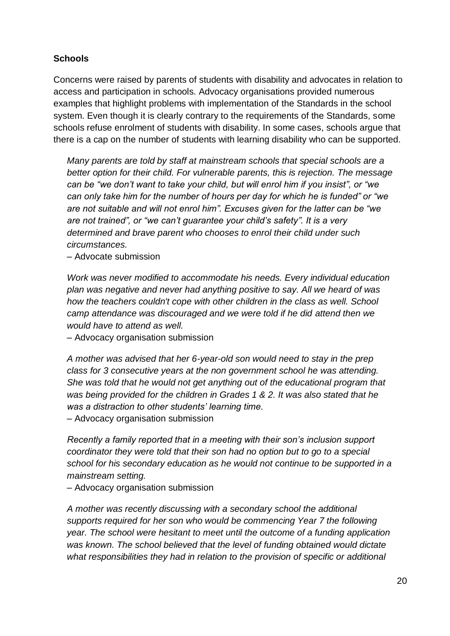## **Schools**

Concerns were raised by parents of students with disability and advocates in relation to access and participation in schools. Advocacy organisations provided numerous examples that highlight problems with implementation of the Standards in the school system. Even though it is clearly contrary to the requirements of the Standards, some schools refuse enrolment of students with disability. In some cases, schools argue that there is a cap on the number of students with learning disability who can be supported.

*Many parents are told by staff at mainstream schools that special schools are a better option for their child. For vulnerable parents, this is rejection. The message can be "we don't want to take your child, but will enrol him if you insist", or "we can only take him for the number of hours per day for which he is funded" or "we are not suitable and will not enrol him". Excuses given for the latter can be "we are not trained", or "we can't guarantee your child's safety". It is a very determined and brave parent who chooses to enrol their child under such circumstances.*

– Advocate submission

*Work was never modified to accommodate his needs. Every individual education plan was negative and never had anything positive to say. All we heard of was how the teachers couldn't cope with other children in the class as well. School camp attendance was discouraged and we were told if he did attend then we would have to attend as well.*

– Advocacy organisation submission

*A mother was advised that her 6-year-old son would need to stay in the prep class for 3 consecutive years at the non government school he was attending. She was told that he would not get anything out of the educational program that was being provided for the children in Grades 1 & 2. It was also stated that he was a distraction to other students' learning time.* 

– Advocacy organisation submission

*Recently a family reported that in a meeting with their son's inclusion support coordinator they were told that their son had no option but to go to a special school for his secondary education as he would not continue to be supported in a mainstream setting.* 

– Advocacy organisation submission

*A mother was recently discussing with a secondary school the additional supports required for her son who would be commencing Year 7 the following year. The school were hesitant to meet until the outcome of a funding application was known. The school believed that the level of funding obtained would dictate what responsibilities they had in relation to the provision of specific or additional*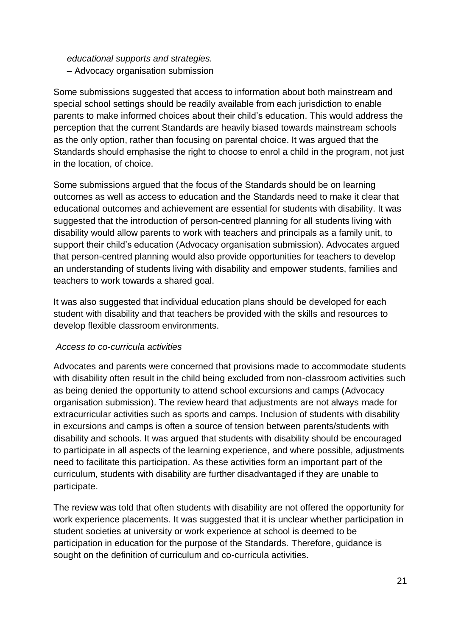*educational supports and strategies.*  – Advocacy organisation submission

Some submissions suggested that access to information about both mainstream and special school settings should be readily available from each jurisdiction to enable parents to make informed choices about their child's education. This would address the perception that the current Standards are heavily biased towards mainstream schools as the only option, rather than focusing on parental choice. It was argued that the Standards should emphasise the right to choose to enrol a child in the program, not just in the location, of choice.

Some submissions argued that the focus of the Standards should be on learning outcomes as well as access to education and the Standards need to make it clear that educational outcomes and achievement are essential for students with disability. It was suggested that the introduction of person-centred planning for all students living with disability would allow parents to work with teachers and principals as a family unit, to support their child's education (Advocacy organisation submission). Advocates argued that person-centred planning would also provide opportunities for teachers to develop an understanding of students living with disability and empower students, families and teachers to work towards a shared goal.

It was also suggested that individual education plans should be developed for each student with disability and that teachers be provided with the skills and resources to develop flexible classroom environments.

#### *Access to co-curricula activities*

Advocates and parents were concerned that provisions made to accommodate students with disability often result in the child being excluded from non-classroom activities such as being denied the opportunity to attend school excursions and camps (Advocacy organisation submission). The review heard that adjustments are not always made for extracurricular activities such as sports and camps. Inclusion of students with disability in excursions and camps is often a source of tension between parents/students with disability and schools. It was argued that students with disability should be encouraged to participate in all aspects of the learning experience, and where possible, adjustments need to facilitate this participation. As these activities form an important part of the curriculum, students with disability are further disadvantaged if they are unable to participate.

The review was told that often students with disability are not offered the opportunity for work experience placements. It was suggested that it is unclear whether participation in student societies at university or work experience at school is deemed to be participation in education for the purpose of the Standards. Therefore, guidance is sought on the definition of curriculum and co-curricula activities.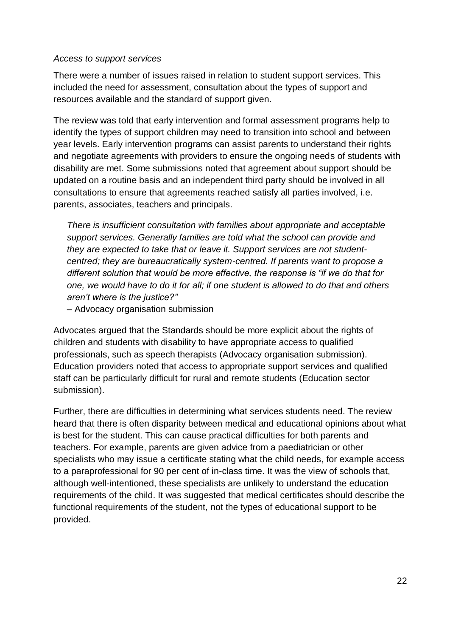#### *Access to support services*

There were a number of issues raised in relation to student support services. This included the need for assessment, consultation about the types of support and resources available and the standard of support given.

The review was told that early intervention and formal assessment programs help to identify the types of support children may need to transition into school and between year levels. Early intervention programs can assist parents to understand their rights and negotiate agreements with providers to ensure the ongoing needs of students with disability are met. Some submissions noted that agreement about support should be updated on a routine basis and an independent third party should be involved in all consultations to ensure that agreements reached satisfy all parties involved, i.e. parents, associates, teachers and principals.

*There is insufficient consultation with families about appropriate and acceptable support services. Generally families are told what the school can provide and they are expected to take that or leave it. Support services are not studentcentred; they are bureaucratically system-centred. If parents want to propose a different solution that would be more effective, the response is "if we do that for one, we would have to do it for all; if one student is allowed to do that and others aren't where is the justice?"* 

– Advocacy organisation submission

Advocates argued that the Standards should be more explicit about the rights of children and students with disability to have appropriate access to qualified professionals, such as speech therapists (Advocacy organisation submission). Education providers noted that access to appropriate support services and qualified staff can be particularly difficult for rural and remote students (Education sector submission).

Further, there are difficulties in determining what services students need. The review heard that there is often disparity between medical and educational opinions about what is best for the student. This can cause practical difficulties for both parents and teachers. For example, parents are given advice from a paediatrician or other specialists who may issue a certificate stating what the child needs, for example access to a paraprofessional for 90 per cent of in-class time. It was the view of schools that, although well-intentioned, these specialists are unlikely to understand the education requirements of the child. It was suggested that medical certificates should describe the functional requirements of the student, not the types of educational support to be provided.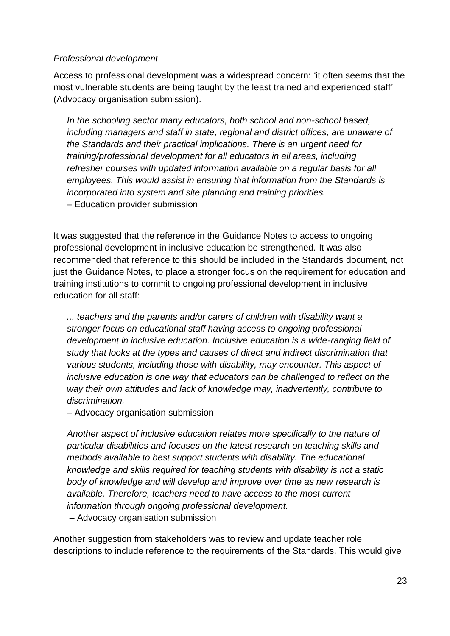#### *Professional development*

Access to professional development was a widespread concern: 'it often seems that the most vulnerable students are being taught by the least trained and experienced staff' (Advocacy organisation submission).

*In the schooling sector many educators, both school and non-school based, including managers and staff in state, regional and district offices, are unaware of the Standards and their practical implications. There is an urgent need for training/professional development for all educators in all areas, including refresher courses with updated information available on a regular basis for all employees. This would assist in ensuring that information from the Standards is incorporated into system and site planning and training priorities.*  – Education provider submission

It was suggested that the reference in the Guidance Notes to access to ongoing professional development in inclusive education be strengthened. It was also recommended that reference to this should be included in the Standards document, not just the Guidance Notes, to place a stronger focus on the requirement for education and training institutions to commit to ongoing professional development in inclusive education for all staff:

*... teachers and the parents and/or carers of children with disability want a stronger focus on educational staff having access to ongoing professional development in inclusive education. Inclusive education is a wide-ranging field of study that looks at the types and causes of direct and indirect discrimination that various students, including those with disability, may encounter. This aspect of inclusive education is one way that educators can be challenged to reflect on the way their own attitudes and lack of knowledge may, inadvertently, contribute to discrimination.* 

– Advocacy organisation submission

*Another aspect of inclusive education relates more specifically to the nature of particular disabilities and focuses on the latest research on teaching skills and methods available to best support students with disability. The educational knowledge and skills required for teaching students with disability is not a static body of knowledge and will develop and improve over time as new research is available. Therefore, teachers need to have access to the most current information through ongoing professional development.* – Advocacy organisation submission

Another suggestion from stakeholders was to review and update teacher role descriptions to include reference to the requirements of the Standards. This would give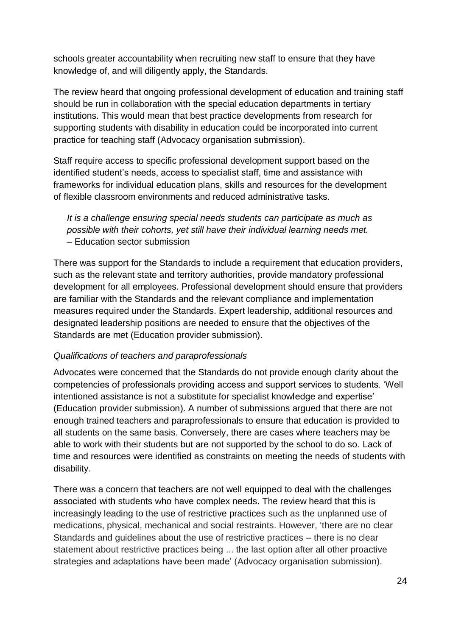schools greater accountability when recruiting new staff to ensure that they have knowledge of, and will diligently apply, the Standards.

The review heard that ongoing professional development of education and training staff should be run in collaboration with the special education departments in tertiary institutions. This would mean that best practice developments from research for supporting students with disability in education could be incorporated into current practice for teaching staff (Advocacy organisation submission).

Staff require access to specific professional development support based on the identified student's needs, access to specialist staff, time and assistance with frameworks for individual education plans, skills and resources for the development of flexible classroom environments and reduced administrative tasks.

*It is a challenge ensuring special needs students can participate as much as possible with their cohorts, yet still have their individual learning needs met.*  – Education sector submission

There was support for the Standards to include a requirement that education providers, such as the relevant state and territory authorities, provide mandatory professional development for all employees. Professional development should ensure that providers are familiar with the Standards and the relevant compliance and implementation measures required under the Standards. Expert leadership, additional resources and designated leadership positions are needed to ensure that the objectives of the Standards are met (Education provider submission).

#### *Qualifications of teachers and paraprofessionals*

Advocates were concerned that the Standards do not provide enough clarity about the competencies of professionals providing access and support services to students. 'Well intentioned assistance is not a substitute for specialist knowledge and expertise' (Education provider submission). A number of submissions argued that there are not enough trained teachers and paraprofessionals to ensure that education is provided to all students on the same basis. Conversely, there are cases where teachers may be able to work with their students but are not supported by the school to do so. Lack of time and resources were identified as constraints on meeting the needs of students with disability.

There was a concern that teachers are not well equipped to deal with the challenges associated with students who have complex needs. The review heard that this is increasingly leading to the use of restrictive practices such as the unplanned use of medications, physical, mechanical and social restraints. However, 'there are no clear Standards and guidelines about the use of restrictive practices – there is no clear statement about restrictive practices being ... the last option after all other proactive strategies and adaptations have been made' (Advocacy organisation submission).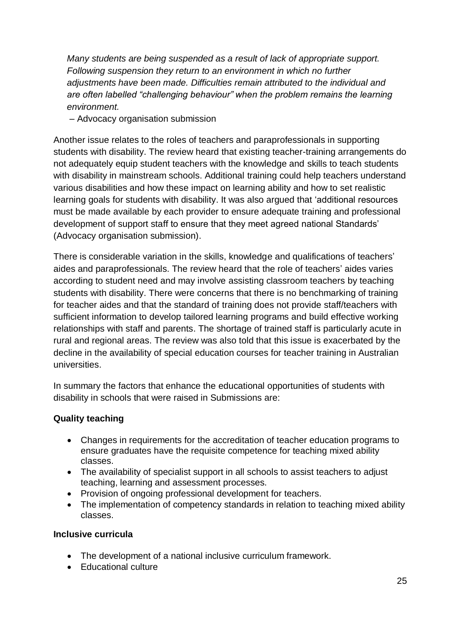*Many students are being suspended as a result of lack of appropriate support. Following suspension they return to an environment in which no further adjustments have been made. Difficulties remain attributed to the individual and are often labelled "challenging behaviour" when the problem remains the learning environment.*

– Advocacy organisation submission

Another issue relates to the roles of teachers and paraprofessionals in supporting students with disability. The review heard that existing teacher-training arrangements do not adequately equip student teachers with the knowledge and skills to teach students with disability in mainstream schools. Additional training could help teachers understand various disabilities and how these impact on learning ability and how to set realistic learning goals for students with disability. It was also argued that 'additional resources must be made available by each provider to ensure adequate training and professional development of support staff to ensure that they meet agreed national Standards' (Advocacy organisation submission).

There is considerable variation in the skills, knowledge and qualifications of teachers' aides and paraprofessionals. The review heard that the role of teachers' aides varies according to student need and may involve assisting classroom teachers by teaching students with disability. There were concerns that there is no benchmarking of training for teacher aides and that the standard of training does not provide staff/teachers with sufficient information to develop tailored learning programs and build effective working relationships with staff and parents. The shortage of trained staff is particularly acute in rural and regional areas. The review was also told that this issue is exacerbated by the decline in the availability of special education courses for teacher training in Australian universities.

In summary the factors that enhance the educational opportunities of students with disability in schools that were raised in Submissions are:

# **Quality teaching**

- Changes in requirements for the accreditation of teacher education programs to ensure graduates have the requisite competence for teaching mixed ability classes.
- The availability of specialist support in all schools to assist teachers to adjust teaching, learning and assessment processes.
- Provision of ongoing professional development for teachers.
- The implementation of competency standards in relation to teaching mixed ability classes.

#### **Inclusive curricula**

- The development of a national inclusive curriculum framework.
- Educational culture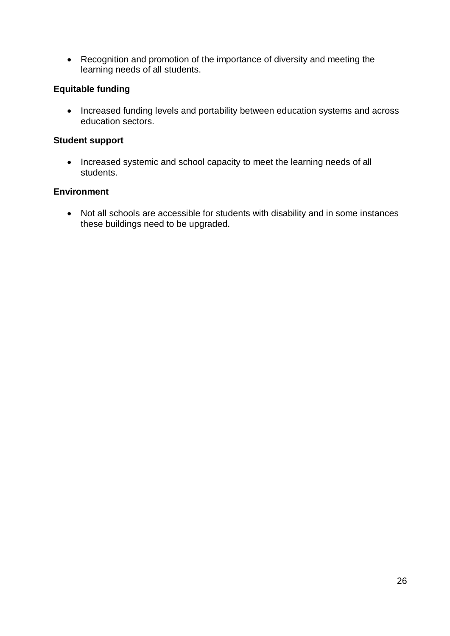Recognition and promotion of the importance of diversity and meeting the learning needs of all students.

### **Equitable funding**

• Increased funding levels and portability between education systems and across education sectors.

#### **Student support**

• Increased systemic and school capacity to meet the learning needs of all students.

#### **Environment**

 Not all schools are accessible for students with disability and in some instances these buildings need to be upgraded.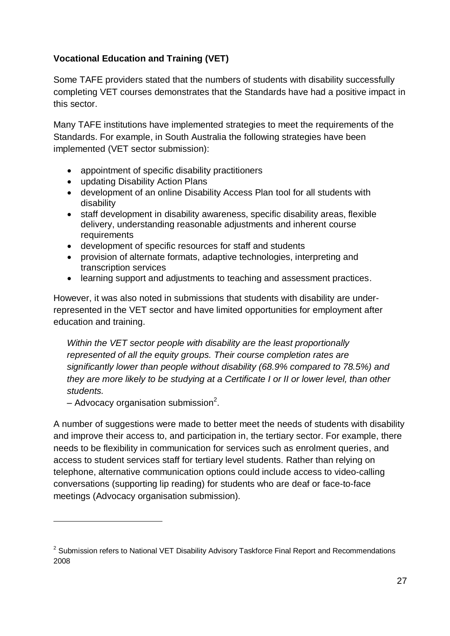# **Vocational Education and Training (VET)**

Some TAFE providers stated that the numbers of students with disability successfully completing VET courses demonstrates that the Standards have had a positive impact in this sector.

Many TAFE institutions have implemented strategies to meet the requirements of the Standards. For example, in South Australia the following strategies have been implemented (VET sector submission):

- appointment of specific disability practitioners
- updating Disability Action Plans
- development of an online Disability Access Plan tool for all students with disability
- staff development in disability awareness, specific disability areas, flexible delivery, understanding reasonable adjustments and inherent course requirements
- development of specific resources for staff and students
- provision of alternate formats, adaptive technologies, interpreting and transcription services
- learning support and adjustments to teaching and assessment practices.

However, it was also noted in submissions that students with disability are underrepresented in the VET sector and have limited opportunities for employment after education and training.

*Within the VET sector people with disability are the least proportionally represented of all the equity groups. Their course completion rates are significantly lower than people without disability (68.9% compared to 78.5%) and they are more likely to be studying at a Certificate I or II or lower level, than other students.* 

 $-$  Advocacy organisation submission<sup>2</sup>.

1

A number of suggestions were made to better meet the needs of students with disability and improve their access to, and participation in, the tertiary sector. For example, there needs to be flexibility in communication for services such as enrolment queries, and access to student services staff for tertiary level students. Rather than relying on telephone, alternative communication options could include access to video-calling conversations (supporting lip reading) for students who are deaf or face-to-face meetings (Advocacy organisation submission).

<sup>&</sup>lt;sup>2</sup> Submission refers to National VET Disability Advisory Taskforce Final Report and Recommendations 2008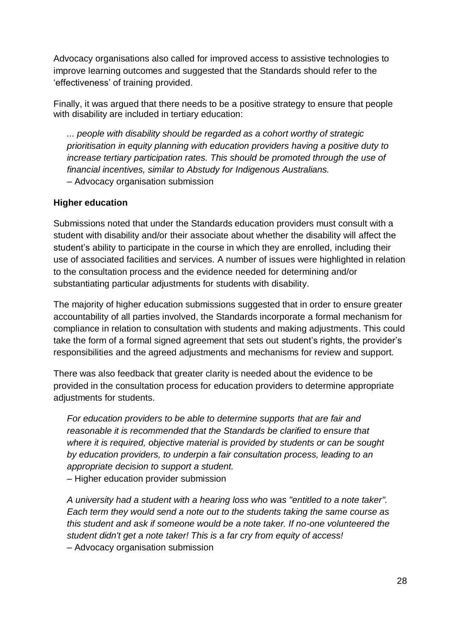Advocacy organisations also called for improved access to assistive technologies to improve learning outcomes and suggested that the Standards should refer to the 'effectiveness' of training provided.

Finally, it was argued that there needs to be a positive strategy to ensure that people with disability are included in tertiary education:

*... people with disability should be regarded as a cohort worthy of strategic prioritisation in equity planning with education providers having a positive duty to increase tertiary participation rates. This should be promoted through the use of financial incentives, similar to Abstudy for Indigenous Australians.*  – Advocacy organisation submission

#### **Higher education**

Submissions noted that under the Standards education providers must consult with a student with disability and/or their associate about whether the disability will affect the student's ability to participate in the course in which they are enrolled, including their use of associated facilities and services. A number of issues were highlighted in relation to the consultation process and the evidence needed for determining and/or substantiating particular adjustments for students with disability.

The majority of higher education submissions suggested that in order to ensure greater accountability of all parties involved, the Standards incorporate a formal mechanism for compliance in relation to consultation with students and making adjustments. This could take the form of a formal signed agreement that sets out student's rights, the provider's responsibilities and the agreed adjustments and mechanisms for review and support.

There was also feedback that greater clarity is needed about the evidence to be provided in the consultation process for education providers to determine appropriate adjustments for students.

*For education providers to be able to determine supports that are fair and reasonable it is recommended that the Standards be clarified to ensure that where it is required, objective material is provided by students or can be sought by education providers, to underpin a fair consultation process, leading to an appropriate decision to support a student.*  – Higher education provider submission

*A university had a student with a hearing loss who was "entitled to a note taker". Each term they would send a note out to the students taking the same course as this student and ask if someone would be a note taker. If no-one volunteered the student didn't get a note taker! This is a far cry from equity of access!*  – Advocacy organisation submission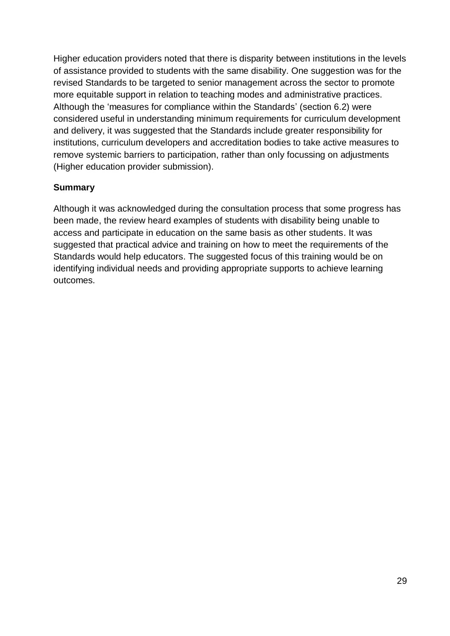Higher education providers noted that there is disparity between institutions in the levels of assistance provided to students with the same disability. One suggestion was for the revised Standards to be targeted to senior management across the sector to promote more equitable support in relation to teaching modes and administrative practices. Although the 'measures for compliance within the Standards' (section 6.2) were considered useful in understanding minimum requirements for curriculum development and delivery, it was suggested that the Standards include greater responsibility for institutions, curriculum developers and accreditation bodies to take active measures to remove systemic barriers to participation, rather than only focussing on adjustments (Higher education provider submission).

### **Summary**

Although it was acknowledged during the consultation process that some progress has been made, the review heard examples of students with disability being unable to access and participate in education on the same basis as other students. It was suggested that practical advice and training on how to meet the requirements of the Standards would help educators. The suggested focus of this training would be on identifying individual needs and providing appropriate supports to achieve learning outcomes.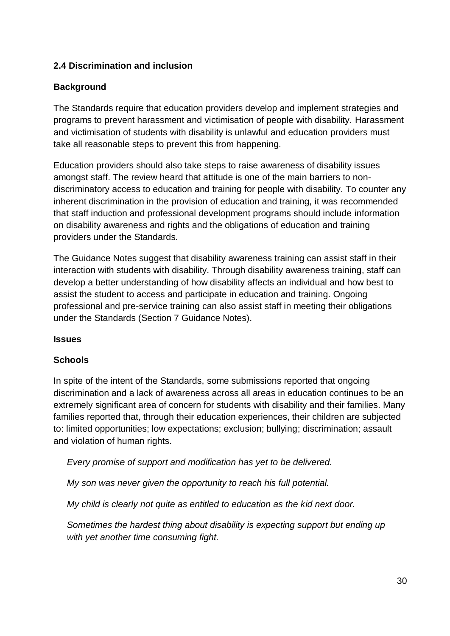# **2.4 Discrimination and inclusion**

#### **Background**

The Standards require that education providers develop and implement strategies and programs to prevent harassment and victimisation of people with disability. Harassment and victimisation of students with disability is unlawful and education providers must take all reasonable steps to prevent this from happening.

Education providers should also take steps to raise awareness of disability issues amongst staff. The review heard that attitude is one of the main barriers to nondiscriminatory access to education and training for people with disability. To counter any inherent discrimination in the provision of education and training, it was recommended that staff induction and professional development programs should include information on disability awareness and rights and the obligations of education and training providers under the Standards.

The Guidance Notes suggest that disability awareness training can assist staff in their interaction with students with disability. Through disability awareness training, staff can develop a better understanding of how disability affects an individual and how best to assist the student to access and participate in education and training. Ongoing professional and pre-service training can also assist staff in meeting their obligations under the Standards (Section 7 Guidance Notes).

#### **Issues**

#### **Schools**

In spite of the intent of the Standards, some submissions reported that ongoing discrimination and a lack of awareness across all areas in education continues to be an extremely significant area of concern for students with disability and their families. Many families reported that, through their education experiences, their children are subjected to: limited opportunities; low expectations; exclusion; bullying; discrimination; assault and violation of human rights.

*Every promise of support and modification has yet to be delivered.*

*My son was never given the opportunity to reach his full potential.*

*My child is clearly not quite as entitled to education as the kid next door.*

*Sometimes the hardest thing about disability is expecting support but ending up with yet another time consuming fight.*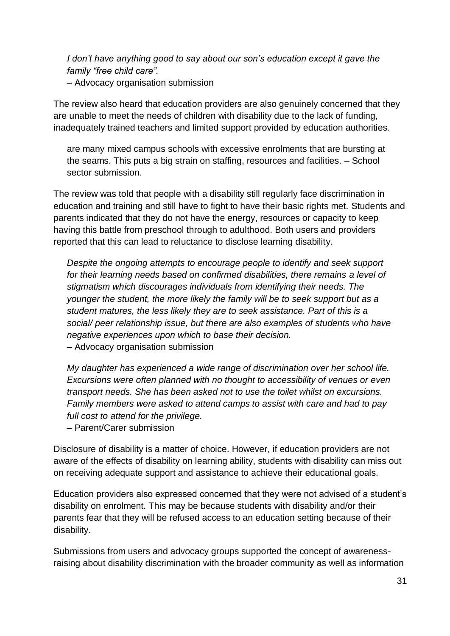*I don't have anything good to say about our son's education except it gave the family "free child care".*  – Advocacy organisation submission

The review also heard that education providers are also genuinely concerned that they are unable to meet the needs of children with disability due to the lack of funding, inadequately trained teachers and limited support provided by education authorities.

are many mixed campus schools with excessive enrolments that are bursting at the seams. This puts a big strain on staffing, resources and facilities. – School sector submission.

The review was told that people with a disability still regularly face discrimination in education and training and still have to fight to have their basic rights met. Students and parents indicated that they do not have the energy, resources or capacity to keep having this battle from preschool through to adulthood. Both users and providers reported that this can lead to reluctance to disclose learning disability.

*Despite the ongoing attempts to encourage people to identify and seek support for their learning needs based on confirmed disabilities, there remains a level of stigmatism which discourages individuals from identifying their needs. The younger the student, the more likely the family will be to seek support but as a student matures, the less likely they are to seek assistance. Part of this is a social/ peer relationship issue, but there are also examples of students who have negative experiences upon which to base their decision.*  – Advocacy organisation submission

*My daughter has experienced a wide range of discrimination over her school life. Excursions were often planned with no thought to accessibility of venues or even transport needs. She has been asked not to use the toilet whilst on excursions. Family members were asked to attend camps to assist with care and had to pay full cost to attend for the privilege.* 

– Parent/Carer submission

Disclosure of disability is a matter of choice. However, if education providers are not aware of the effects of disability on learning ability, students with disability can miss out on receiving adequate support and assistance to achieve their educational goals.

Education providers also expressed concerned that they were not advised of a student's disability on enrolment. This may be because students with disability and/or their parents fear that they will be refused access to an education setting because of their disability.

Submissions from users and advocacy groups supported the concept of awarenessraising about disability discrimination with the broader community as well as information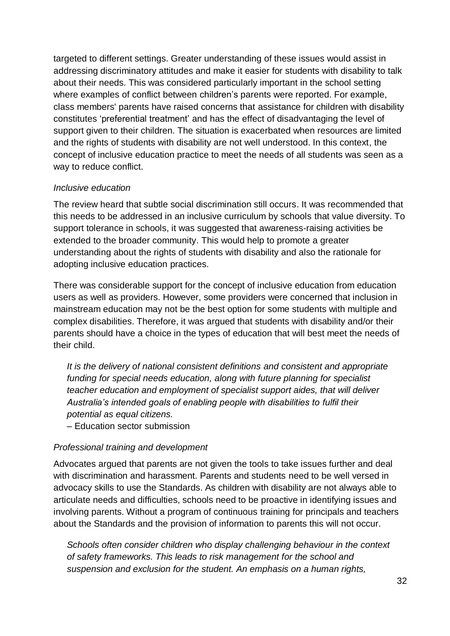targeted to different settings. Greater understanding of these issues would assist in addressing discriminatory attitudes and make it easier for students with disability to talk about their needs. This was considered particularly important in the school setting where examples of conflict between children's parents were reported. For example, class members' parents have raised concerns that assistance for children with disability constitutes 'preferential treatment' and has the effect of disadvantaging the level of support given to their children. The situation is exacerbated when resources are limited and the rights of students with disability are not well understood. In this context, the concept of inclusive education practice to meet the needs of all students was seen as a way to reduce conflict.

#### *Inclusive education*

The review heard that subtle social discrimination still occurs. It was recommended that this needs to be addressed in an inclusive curriculum by schools that value diversity. To support tolerance in schools, it was suggested that awareness-raising activities be extended to the broader community. This would help to promote a greater understanding about the rights of students with disability and also the rationale for adopting inclusive education practices.

There was considerable support for the concept of inclusive education from education users as well as providers. However, some providers were concerned that inclusion in mainstream education may not be the best option for some students with multiple and complex disabilities. Therefore, it was argued that students with disability and/or their parents should have a choice in the types of education that will best meet the needs of their child.

*It is the delivery of national consistent definitions and consistent and appropriate funding for special needs education, along with future planning for specialist teacher education and employment of specialist support aides, that will deliver Australia's intended goals of enabling people with disabilities to fulfil their potential as equal citizens.* 

– Education sector submission

#### *Professional training and development*

Advocates argued that parents are not given the tools to take issues further and deal with discrimination and harassment. Parents and students need to be well versed in advocacy skills to use the Standards. As children with disability are not always able to articulate needs and difficulties, schools need to be proactive in identifying issues and involving parents. Without a program of continuous training for principals and teachers about the Standards and the provision of information to parents this will not occur.

*Schools often consider children who display challenging behaviour in the context of safety frameworks. This leads to risk management for the school and suspension and exclusion for the student. An emphasis on a human rights,*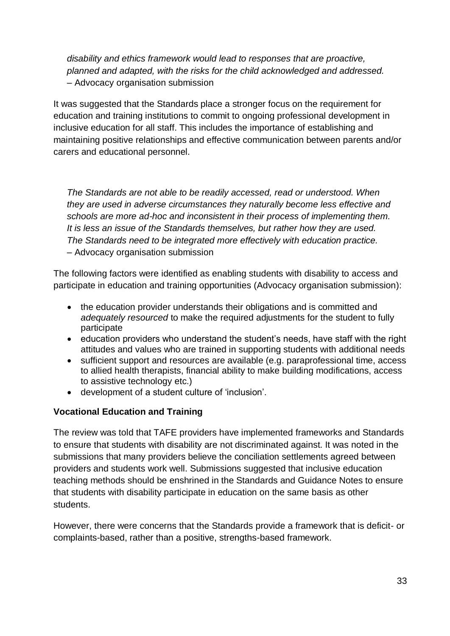*disability and ethics framework would lead to responses that are proactive, planned and adapted, with the risks for the child acknowledged and addressed.*  – Advocacy organisation submission

It was suggested that the Standards place a stronger focus on the requirement for education and training institutions to commit to ongoing professional development in inclusive education for all staff. This includes the importance of establishing and maintaining positive relationships and effective communication between parents and/or carers and educational personnel.

*The Standards are not able to be readily accessed, read or understood. When they are used in adverse circumstances they naturally become less effective and schools are more ad-hoc and inconsistent in their process of implementing them. It is less an issue of the Standards themselves, but rather how they are used. The Standards need to be integrated more effectively with education practice.*  – Advocacy organisation submission

The following factors were identified as enabling students with disability to access and participate in education and training opportunities (Advocacy organisation submission):

- the education provider understands their obligations and is committed and *adequately resourced* to make the required adjustments for the student to fully participate
- education providers who understand the student's needs, have staff with the right attitudes and values who are trained in supporting students with additional needs
- sufficient support and resources are available (e.g. paraprofessional time, access to allied health therapists, financial ability to make building modifications, access to assistive technology etc.)
- development of a student culture of 'inclusion'.

#### **Vocational Education and Training**

The review was told that TAFE providers have implemented frameworks and Standards to ensure that students with disability are not discriminated against. It was noted in the submissions that many providers believe the conciliation settlements agreed between providers and students work well. Submissions suggested that inclusive education teaching methods should be enshrined in the Standards and Guidance Notes to ensure that students with disability participate in education on the same basis as other students.

However, there were concerns that the Standards provide a framework that is deficit- or complaints-based, rather than a positive, strengths-based framework.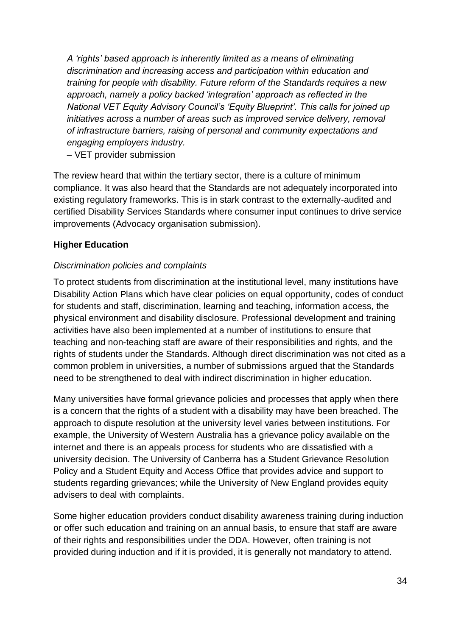*A 'rights' based approach is inherently limited as a means of eliminating discrimination and increasing access and participation within education and training for people with disability. Future reform of the Standards requires a new approach, namely a policy backed 'integration' approach as reflected in the National VET Equity Advisory Council's 'Equity Blueprint'. This calls for joined up initiatives across a number of areas such as improved service delivery, removal of infrastructure barriers, raising of personal and community expectations and engaging employers industry.*

– VET provider submission

The review heard that within the tertiary sector, there is a culture of minimum compliance. It was also heard that the Standards are not adequately incorporated into existing regulatory frameworks. This is in stark contrast to the externally-audited and certified Disability Services Standards where consumer input continues to drive service improvements (Advocacy organisation submission).

### **Higher Education**

### *Discrimination policies and complaints*

To protect students from discrimination at the institutional level, many institutions have Disability Action Plans which have clear policies on equal opportunity, codes of conduct for students and staff, discrimination, learning and teaching, information access, the physical environment and disability disclosure. Professional development and training activities have also been implemented at a number of institutions to ensure that teaching and non-teaching staff are aware of their responsibilities and rights, and the rights of students under the Standards. Although direct discrimination was not cited as a common problem in universities, a number of submissions argued that the Standards need to be strengthened to deal with indirect discrimination in higher education.

Many universities have formal grievance policies and processes that apply when there is a concern that the rights of a student with a disability may have been breached. The approach to dispute resolution at the university level varies between institutions. For example, the University of Western Australia has a grievance policy available on the internet and there is an appeals process for students who are dissatisfied with a university decision. The University of Canberra has a Student Grievance Resolution Policy and a Student Equity and Access Office that provides advice and support to students regarding grievances; while the University of New England provides equity advisers to deal with complaints.

Some higher education providers conduct disability awareness training during induction or offer such education and training on an annual basis, to ensure that staff are aware of their rights and responsibilities under the DDA. However, often training is not provided during induction and if it is provided, it is generally not mandatory to attend.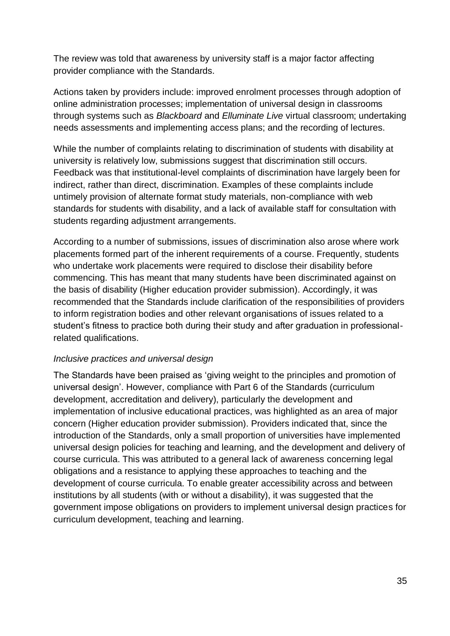The review was told that awareness by university staff is a major factor affecting provider compliance with the Standards.

Actions taken by providers include: improved enrolment processes through adoption of online administration processes; implementation of universal design in classrooms through systems such as *Blackboard* and *Elluminate Live* virtual classroom; undertaking needs assessments and implementing access plans; and the recording of lectures.

While the number of complaints relating to discrimination of students with disability at university is relatively low, submissions suggest that discrimination still occurs. Feedback was that institutional-level complaints of discrimination have largely been for indirect, rather than direct, discrimination. Examples of these complaints include untimely provision of alternate format study materials, non-compliance with web standards for students with disability, and a lack of available staff for consultation with students regarding adjustment arrangements.

According to a number of submissions, issues of discrimination also arose where work placements formed part of the inherent requirements of a course. Frequently, students who undertake work placements were required to disclose their disability before commencing. This has meant that many students have been discriminated against on the basis of disability (Higher education provider submission). Accordingly, it was recommended that the Standards include clarification of the responsibilities of providers to inform registration bodies and other relevant organisations of issues related to a student's fitness to practice both during their study and after graduation in professionalrelated qualifications.

#### *Inclusive practices and universal design*

The Standards have been praised as 'giving weight to the principles and promotion of universal design'. However, compliance with Part 6 of the Standards (curriculum development, accreditation and delivery), particularly the development and implementation of inclusive educational practices, was highlighted as an area of major concern (Higher education provider submission). Providers indicated that, since the introduction of the Standards, only a small proportion of universities have implemented universal design policies for teaching and learning, and the development and delivery of course curricula. This was attributed to a general lack of awareness concerning legal obligations and a resistance to applying these approaches to teaching and the development of course curricula. To enable greater accessibility across and between institutions by all students (with or without a disability), it was suggested that the government impose obligations on providers to implement universal design practices for curriculum development, teaching and learning.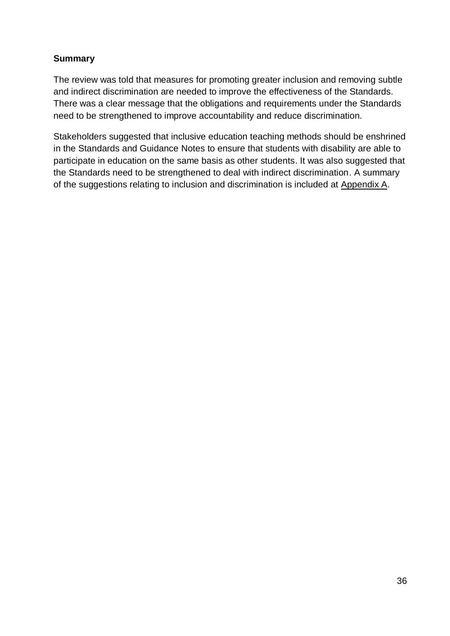#### **Summary**

The review was told that measures for promoting greater inclusion and removing subtle and indirect discrimination are needed to improve the effectiveness of the Standards. There was a clear message that the obligations and requirements under the Standards need to be strengthened to improve accountability and reduce discrimination.

Stakeholders suggested that inclusive education teaching methods should be enshrined in the Standards and Guidance Notes to ensure that students with disability are able to participate in education on the same basis as other students. It was also suggested that the Standards need to be strengthened to deal with indirect discrimination. A summary of the suggestions relating to inclusion and discrimination is included at Appendix A.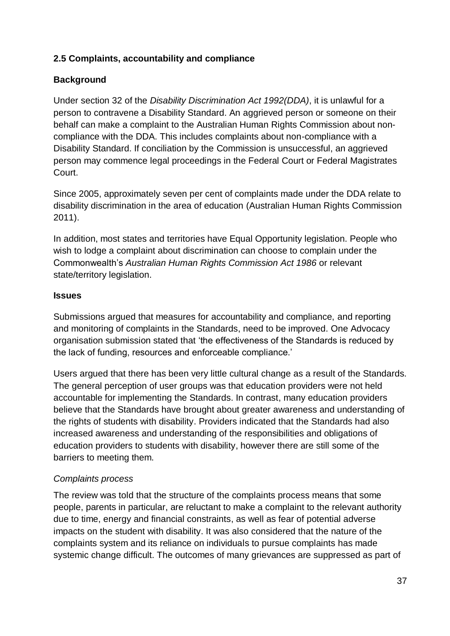### **2.5 Complaints, accountability and compliance**

### **Background**

Under section 32 of the *Disability Discrimination Act 1992(DDA)*, it is unlawful for a person to contravene a Disability Standard. An aggrieved person or someone on their behalf can make a complaint to the Australian Human Rights Commission about noncompliance with the DDA. This includes complaints about non-compliance with a Disability Standard. If conciliation by the Commission is unsuccessful, an aggrieved person may commence legal proceedings in the Federal Court or Federal Magistrates Court.

Since 2005, approximately seven per cent of complaints made under the DDA relate to disability discrimination in the area of education (Australian Human Rights Commission 2011).

In addition, most states and territories have Equal Opportunity legislation. People who wish to lodge a complaint about discrimination can choose to complain under the Commonwealth's *Australian Human Rights Commission Act 1986* or relevant state/territory legislation.

#### **Issues**

Submissions argued that measures for accountability and compliance, and reporting and monitoring of complaints in the Standards, need to be improved. One Advocacy organisation submission stated that 'the effectiveness of the Standards is reduced by the lack of funding, resources and enforceable compliance.'

Users argued that there has been very little cultural change as a result of the Standards. The general perception of user groups was that education providers were not held accountable for implementing the Standards. In contrast, many education providers believe that the Standards have brought about greater awareness and understanding of the rights of students with disability. Providers indicated that the Standards had also increased awareness and understanding of the responsibilities and obligations of education providers to students with disability, however there are still some of the barriers to meeting them.

#### *Complaints process*

The review was told that the structure of the complaints process means that some people, parents in particular, are reluctant to make a complaint to the relevant authority due to time, energy and financial constraints, as well as fear of potential adverse impacts on the student with disability. It was also considered that the nature of the complaints system and its reliance on individuals to pursue complaints has made systemic change difficult. The outcomes of many grievances are suppressed as part of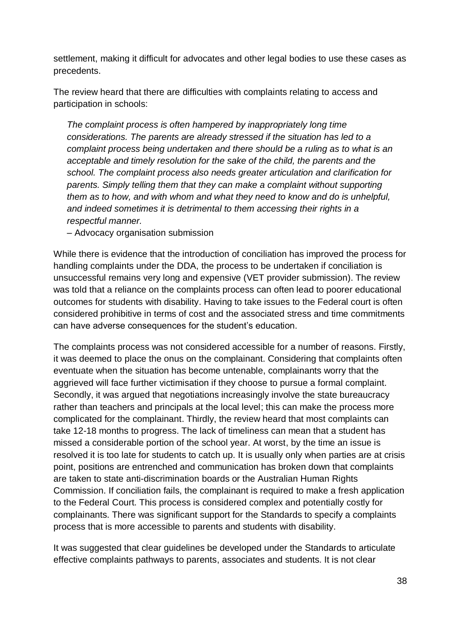settlement, making it difficult for advocates and other legal bodies to use these cases as precedents.

The review heard that there are difficulties with complaints relating to access and participation in schools:

*The complaint process is often hampered by inappropriately long time considerations. The parents are already stressed if the situation has led to a complaint process being undertaken and there should be a ruling as to what is an acceptable and timely resolution for the sake of the child, the parents and the school. The complaint process also needs greater articulation and clarification for parents. Simply telling them that they can make a complaint without supporting them as to how, and with whom and what they need to know and do is unhelpful, and indeed sometimes it is detrimental to them accessing their rights in a respectful manner.*

– Advocacy organisation submission

While there is evidence that the introduction of conciliation has improved the process for handling complaints under the DDA, the process to be undertaken if conciliation is unsuccessful remains very long and expensive (VET provider submission). The review was told that a reliance on the complaints process can often lead to poorer educational outcomes for students with disability. Having to take issues to the Federal court is often considered prohibitive in terms of cost and the associated stress and time commitments can have adverse consequences for the student's education.

The complaints process was not considered accessible for a number of reasons. Firstly, it was deemed to place the onus on the complainant. Considering that complaints often eventuate when the situation has become untenable, complainants worry that the aggrieved will face further victimisation if they choose to pursue a formal complaint. Secondly, it was argued that negotiations increasingly involve the state bureaucracy rather than teachers and principals at the local level; this can make the process more complicated for the complainant. Thirdly, the review heard that most complaints can take 12-18 months to progress. The lack of timeliness can mean that a student has missed a considerable portion of the school year. At worst, by the time an issue is resolved it is too late for students to catch up. It is usually only when parties are at crisis point, positions are entrenched and communication has broken down that complaints are taken to state anti-discrimination boards or the Australian Human Rights Commission. If conciliation fails, the complainant is required to make a fresh application to the Federal Court. This process is considered complex and potentially costly for complainants. There was significant support for the Standards to specify a complaints process that is more accessible to parents and students with disability.

It was suggested that clear guidelines be developed under the Standards to articulate effective complaints pathways to parents, associates and students. It is not clear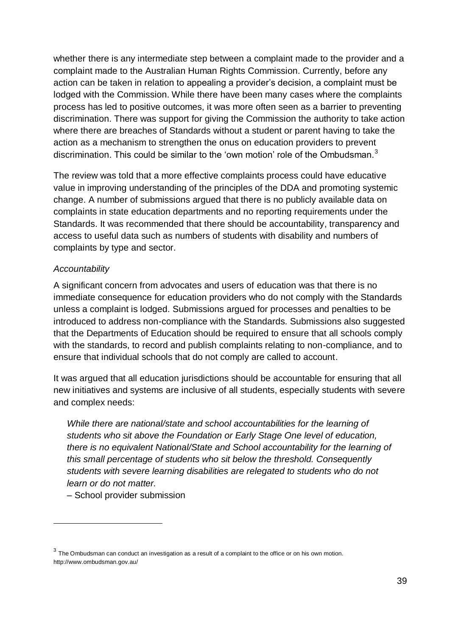whether there is any intermediate step between a complaint made to the provider and a complaint made to the Australian Human Rights Commission. Currently, before any action can be taken in relation to appealing a provider's decision, a complaint must be lodged with the Commission. While there have been many cases where the complaints process has led to positive outcomes, it was more often seen as a barrier to preventing discrimination. There was support for giving the Commission the authority to take action where there are breaches of Standards without a student or parent having to take the action as a mechanism to strengthen the onus on education providers to prevent discrimination. This could be similar to the 'own motion' role of the Ombudsman. $3$ 

The review was told that a more effective complaints process could have educative value in improving understanding of the principles of the DDA and promoting systemic change. A number of submissions argued that there is no publicly available data on complaints in state education departments and no reporting requirements under the Standards. It was recommended that there should be accountability, transparency and access to useful data such as numbers of students with disability and numbers of complaints by type and sector.

#### *Accountability*

A significant concern from advocates and users of education was that there is no immediate consequence for education providers who do not comply with the Standards unless a complaint is lodged. Submissions argued for processes and penalties to be introduced to address non-compliance with the Standards. Submissions also suggested that the Departments of Education should be required to ensure that all schools comply with the standards, to record and publish complaints relating to non-compliance, and to ensure that individual schools that do not comply are called to account.

It was argued that all education jurisdictions should be accountable for ensuring that all new initiatives and systems are inclusive of all students, especially students with severe and complex needs:

*While there are national/state and school accountabilities for the learning of students who sit above the Foundation or Early Stage One level of education, there is no equivalent National/State and School accountability for the learning of this small percentage of students who sit below the threshold. Consequently students with severe learning disabilities are relegated to students who do not learn or do not matter.*

– School provider submission

1

 $^3$  The Ombudsman can conduct an investigation as a result of a complaint to the office or on his own motion. http://www.ombudsman.gov.au/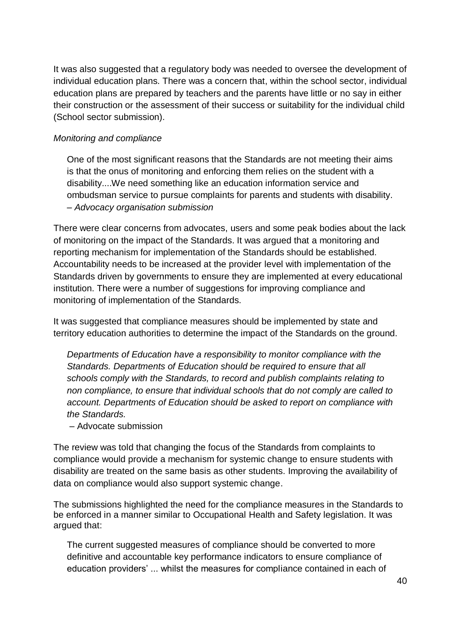It was also suggested that a regulatory body was needed to oversee the development of individual education plans. There was a concern that, within the school sector, individual education plans are prepared by teachers and the parents have little or no say in either their construction or the assessment of their success or suitability for the individual child (School sector submission).

#### *Monitoring and compliance*

One of the most significant reasons that the Standards are not meeting their aims is that the onus of monitoring and enforcing them relies on the student with a disability....We need something like an education information service and ombudsman service to pursue complaints for parents and students with disability. *– Advocacy organisation submission*

There were clear concerns from advocates, users and some peak bodies about the lack of monitoring on the impact of the Standards. It was argued that a monitoring and reporting mechanism for implementation of the Standards should be established. Accountability needs to be increased at the provider level with implementation of the Standards driven by governments to ensure they are implemented at every educational institution. There were a number of suggestions for improving compliance and monitoring of implementation of the Standards.

It was suggested that compliance measures should be implemented by state and territory education authorities to determine the impact of the Standards on the ground.

*Departments of Education have a responsibility to monitor compliance with the Standards. Departments of Education should be required to ensure that all schools comply with the Standards, to record and publish complaints relating to non compliance, to ensure that individual schools that do not comply are called to account. Departments of Education should be asked to report on compliance with the Standards.*

– Advocate submission

The review was told that changing the focus of the Standards from complaints to compliance would provide a mechanism for systemic change to ensure students with disability are treated on the same basis as other students. Improving the availability of data on compliance would also support systemic change.

The submissions highlighted the need for the compliance measures in the Standards to be enforced in a manner similar to Occupational Health and Safety legislation. It was argued that:

The current suggested measures of compliance should be converted to more definitive and accountable key performance indicators to ensure compliance of education providers' ... whilst the measures for compliance contained in each of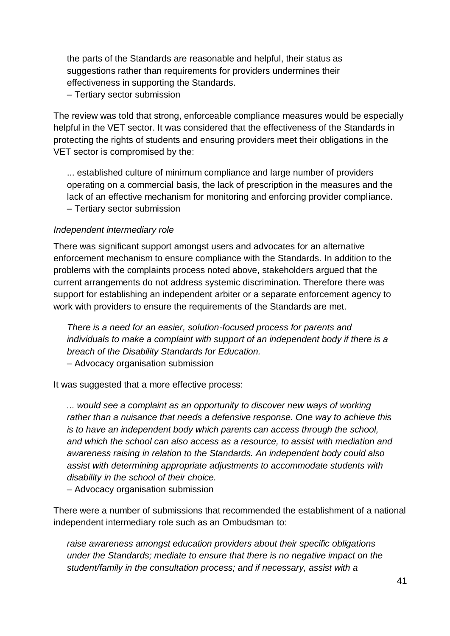the parts of the Standards are reasonable and helpful, their status as suggestions rather than requirements for providers undermines their effectiveness in supporting the Standards.

– Tertiary sector submission

The review was told that strong, enforceable compliance measures would be especially helpful in the VET sector. It was considered that the effectiveness of the Standards in protecting the rights of students and ensuring providers meet their obligations in the VET sector is compromised by the:

... established culture of minimum compliance and large number of providers operating on a commercial basis, the lack of prescription in the measures and the lack of an effective mechanism for monitoring and enforcing provider compliance. – Tertiary sector submission

#### *Independent intermediary role*

There was significant support amongst users and advocates for an alternative enforcement mechanism to ensure compliance with the Standards. In addition to the problems with the complaints process noted above, stakeholders argued that the current arrangements do not address systemic discrimination. Therefore there was support for establishing an independent arbiter or a separate enforcement agency to work with providers to ensure the requirements of the Standards are met.

*There is a need for an easier, solution-focused process for parents and individuals to make a complaint with support of an independent body if there is a breach of the Disability Standards for Education.*  – Advocacy organisation submission

It was suggested that a more effective process:

*... would see a complaint as an opportunity to discover new ways of working rather than a nuisance that needs a defensive response. One way to achieve this is to have an independent body which parents can access through the school, and which the school can also access as a resource, to assist with mediation and awareness raising in relation to the Standards. An independent body could also assist with determining appropriate adjustments to accommodate students with disability in the school of their choice.* 

– Advocacy organisation submission

There were a number of submissions that recommended the establishment of a national independent intermediary role such as an Ombudsman to:

*raise awareness amongst education providers about their specific obligations under the Standards; mediate to ensure that there is no negative impact on the student/family in the consultation process; and if necessary, assist with a*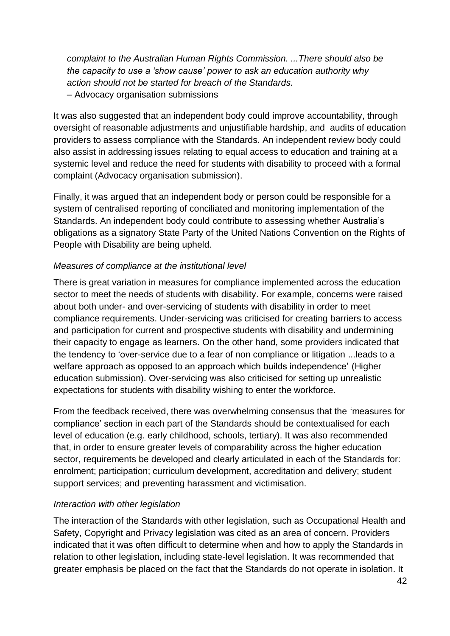*complaint to the Australian Human Rights Commission. ...There should also be the capacity to use a 'show cause' power to ask an education authority why action should not be started for breach of the Standards.* – Advocacy organisation submissions

It was also suggested that an independent body could improve accountability, through oversight of reasonable adjustments and unjustifiable hardship, and audits of education providers to assess compliance with the Standards. An independent review body could also assist in addressing issues relating to equal access to education and training at a systemic level and reduce the need for students with disability to proceed with a formal complaint (Advocacy organisation submission).

Finally, it was argued that an independent body or person could be responsible for a system of centralised reporting of conciliated and monitoring implementation of the Standards. An independent body could contribute to assessing whether Australia's obligations as a signatory State Party of the United Nations Convention on the Rights of People with Disability are being upheld.

### *Measures of compliance at the institutional level*

There is great variation in measures for compliance implemented across the education sector to meet the needs of students with disability. For example, concerns were raised about both under- and over-servicing of students with disability in order to meet compliance requirements. Under-servicing was criticised for creating barriers to access and participation for current and prospective students with disability and undermining their capacity to engage as learners. On the other hand, some providers indicated that the tendency to 'over-service due to a fear of non compliance or litigation ...leads to a welfare approach as opposed to an approach which builds independence' (Higher education submission). Over-servicing was also criticised for setting up unrealistic expectations for students with disability wishing to enter the workforce.

From the feedback received, there was overwhelming consensus that the 'measures for compliance' section in each part of the Standards should be contextualised for each level of education (e.g. early childhood, schools, tertiary). It was also recommended that, in order to ensure greater levels of comparability across the higher education sector, requirements be developed and clearly articulated in each of the Standards for: enrolment; participation; curriculum development, accreditation and delivery; student support services; and preventing harassment and victimisation.

#### *Interaction with other legislation*

The interaction of the Standards with other legislation, such as Occupational Health and Safety, Copyright and Privacy legislation was cited as an area of concern. Providers indicated that it was often difficult to determine when and how to apply the Standards in relation to other legislation, including state-level legislation. It was recommended that greater emphasis be placed on the fact that the Standards do not operate in isolation. It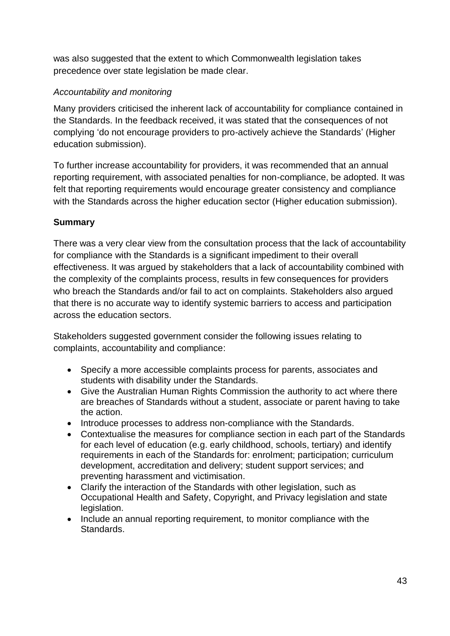was also suggested that the extent to which Commonwealth legislation takes precedence over state legislation be made clear.

# *Accountability and monitoring*

Many providers criticised the inherent lack of accountability for compliance contained in the Standards. In the feedback received, it was stated that the consequences of not complying 'do not encourage providers to pro-actively achieve the Standards' (Higher education submission).

To further increase accountability for providers, it was recommended that an annual reporting requirement, with associated penalties for non-compliance, be adopted. It was felt that reporting requirements would encourage greater consistency and compliance with the Standards across the higher education sector (Higher education submission).

# **Summary**

There was a very clear view from the consultation process that the lack of accountability for compliance with the Standards is a significant impediment to their overall effectiveness. It was argued by stakeholders that a lack of accountability combined with the complexity of the complaints process, results in few consequences for providers who breach the Standards and/or fail to act on complaints. Stakeholders also argued that there is no accurate way to identify systemic barriers to access and participation across the education sectors.

Stakeholders suggested government consider the following issues relating to complaints, accountability and compliance:

- Specify a more accessible complaints process for parents, associates and students with disability under the Standards.
- Give the Australian Human Rights Commission the authority to act where there are breaches of Standards without a student, associate or parent having to take the action.
- Introduce processes to address non-compliance with the Standards.
- Contextualise the measures for compliance section in each part of the Standards for each level of education (e.g. early childhood, schools, tertiary) and identify requirements in each of the Standards for: enrolment; participation; curriculum development, accreditation and delivery; student support services; and preventing harassment and victimisation.
- Clarify the interaction of the Standards with other legislation, such as Occupational Health and Safety, Copyright, and Privacy legislation and state legislation.
- Include an annual reporting requirement, to monitor compliance with the Standards.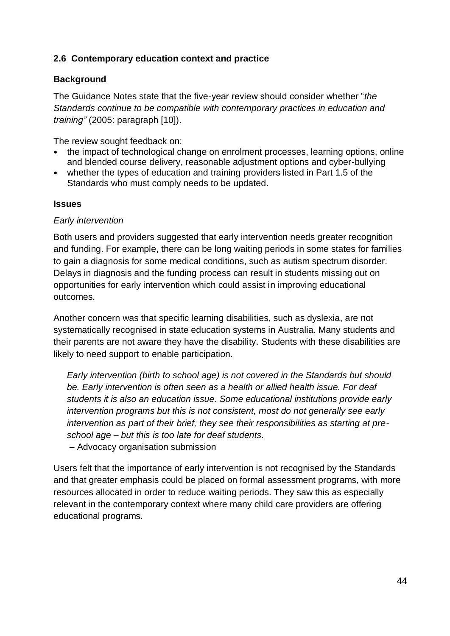### **2.6 Contemporary education context and practice**

#### **Background**

The Guidance Notes state that the five-year review should consider whether "*the Standards continue to be compatible with contemporary practices in education and training"* (2005: paragraph [10]).

The review sought feedback on:

- the impact of technological change on enrolment processes, learning options, online and blended course delivery, reasonable adjustment options and cyber-bullying
- whether the types of education and training providers listed in Part 1.5 of the Standards who must comply needs to be updated.

#### **Issues**

#### *Early intervention*

Both users and providers suggested that early intervention needs greater recognition and funding. For example, there can be long waiting periods in some states for families to gain a diagnosis for some medical conditions, such as autism spectrum disorder. Delays in diagnosis and the funding process can result in students missing out on opportunities for early intervention which could assist in improving educational outcomes.

Another concern was that specific learning disabilities, such as dyslexia, are not systematically recognised in state education systems in Australia. Many students and their parents are not aware they have the disability. Students with these disabilities are likely to need support to enable participation.

*Early intervention (birth to school age) is not covered in the Standards but should be. Early intervention is often seen as a health or allied health issue. For deaf students it is also an education issue. Some educational institutions provide early intervention programs but this is not consistent, most do not generally see early intervention as part of their brief, they see their responsibilities as starting at preschool age – but this is too late for deaf students.* – Advocacy organisation submission

Users felt that the importance of early intervention is not recognised by the Standards and that greater emphasis could be placed on formal assessment programs, with more resources allocated in order to reduce waiting periods. They saw this as especially relevant in the contemporary context where many child care providers are offering educational programs.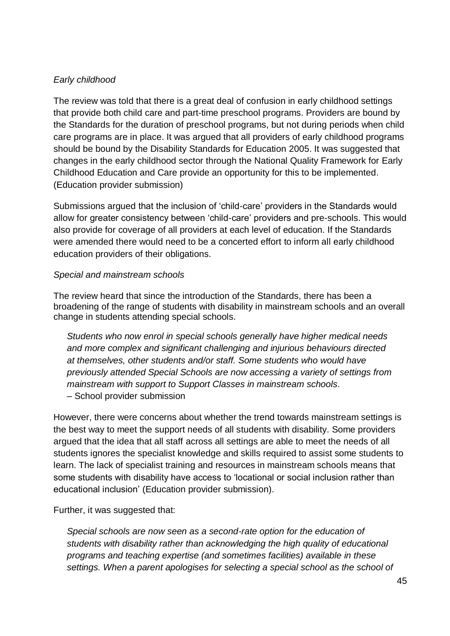### *Early childhood*

The review was told that there is a great deal of confusion in early childhood settings that provide both child care and part-time preschool programs. Providers are bound by the Standards for the duration of preschool programs, but not during periods when child care programs are in place. It was argued that all providers of early childhood programs should be bound by the Disability Standards for Education 2005. It was suggested that changes in the early childhood sector through the National Quality Framework for Early Childhood Education and Care provide an opportunity for this to be implemented. (Education provider submission)

Submissions argued that the inclusion of 'child-care' providers in the Standards would allow for greater consistency between 'child-care' providers and pre-schools. This would also provide for coverage of all providers at each level of education. If the Standards were amended there would need to be a concerted effort to inform all early childhood education providers of their obligations.

#### *Special and mainstream schools*

The review heard that since the introduction of the Standards, there has been a broadening of the range of students with disability in mainstream schools and an overall change in students attending special schools.

*Students who now enrol in special schools generally have higher medical needs and more complex and significant challenging and injurious behaviours directed at themselves, other students and/or staff. Some students who would have previously attended Special Schools are now accessing a variety of settings from mainstream with support to Support Classes in mainstream schools.*  – School provider submission

However, there were concerns about whether the trend towards mainstream settings is the best way to meet the support needs of all students with disability. Some providers argued that the idea that all staff across all settings are able to meet the needs of all students ignores the specialist knowledge and skills required to assist some students to learn. The lack of specialist training and resources in mainstream schools means that some students with disability have access to 'locational or social inclusion rather than educational inclusion' (Education provider submission).

Further, it was suggested that:

*Special schools are now seen as a second-rate option for the education of students with disability rather than acknowledging the high quality of educational programs and teaching expertise (and sometimes facilities) available in these settings. When a parent apologises for selecting a special school as the school of*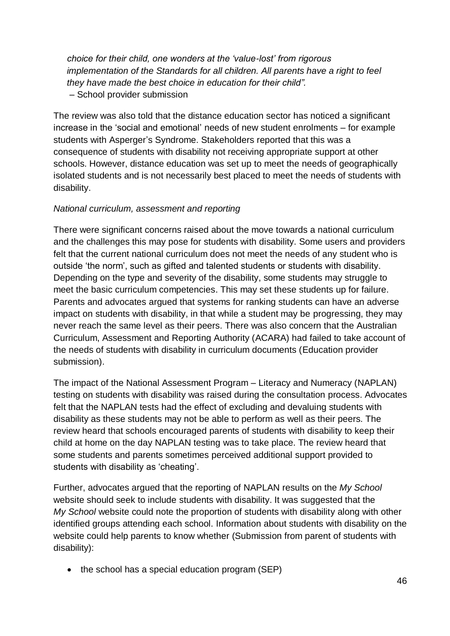*choice for their child, one wonders at the 'value-lost' from rigorous implementation of the Standards for all children. All parents have a right to feel they have made the best choice in education for their child".* – School provider submission

The review was also told that the distance education sector has noticed a significant increase in the 'social and emotional' needs of new student enrolments – for example students with Asperger's Syndrome. Stakeholders reported that this was a consequence of students with disability not receiving appropriate support at other schools. However, distance education was set up to meet the needs of geographically isolated students and is not necessarily best placed to meet the needs of students with disability.

#### *National curriculum, assessment and reporting*

There were significant concerns raised about the move towards a national curriculum and the challenges this may pose for students with disability. Some users and providers felt that the current national curriculum does not meet the needs of any student who is outside 'the norm', such as gifted and talented students or students with disability. Depending on the type and severity of the disability, some students may struggle to meet the basic curriculum competencies. This may set these students up for failure. Parents and advocates argued that systems for ranking students can have an adverse impact on students with disability, in that while a student may be progressing, they may never reach the same level as their peers. There was also concern that the Australian Curriculum, Assessment and Reporting Authority (ACARA) had failed to take account of the needs of students with disability in curriculum documents (Education provider submission).

The impact of the National Assessment Program – Literacy and Numeracy (NAPLAN) testing on students with disability was raised during the consultation process. Advocates felt that the NAPLAN tests had the effect of excluding and devaluing students with disability as these students may not be able to perform as well as their peers. The review heard that schools encouraged parents of students with disability to keep their child at home on the day NAPLAN testing was to take place. The review heard that some students and parents sometimes perceived additional support provided to students with disability as 'cheating'.

Further, advocates argued that the reporting of NAPLAN results on the *My School* website should seek to include students with disability. It was suggested that the *My School* website could note the proportion of students with disability along with other identified groups attending each school. Information about students with disability on the website could help parents to know whether (Submission from parent of students with disability):

• the school has a special education program (SEP)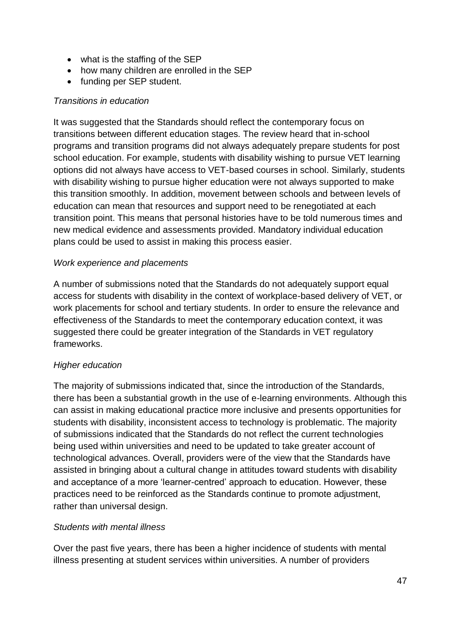- what is the staffing of the SEP
- how many children are enrolled in the SEP
- funding per SEP student.

#### *Transitions in education*

It was suggested that the Standards should reflect the contemporary focus on transitions between different education stages. The review heard that in-school programs and transition programs did not always adequately prepare students for post school education. For example, students with disability wishing to pursue VET learning options did not always have access to VET-based courses in school. Similarly, students with disability wishing to pursue higher education were not always supported to make this transition smoothly. In addition, movement between schools and between levels of education can mean that resources and support need to be renegotiated at each transition point. This means that personal histories have to be told numerous times and new medical evidence and assessments provided. Mandatory individual education plans could be used to assist in making this process easier.

#### *Work experience and placements*

A number of submissions noted that the Standards do not adequately support equal access for students with disability in the context of workplace-based delivery of VET, or work placements for school and tertiary students. In order to ensure the relevance and effectiveness of the Standards to meet the contemporary education context, it was suggested there could be greater integration of the Standards in VET regulatory frameworks.

#### *Higher education*

The majority of submissions indicated that, since the introduction of the Standards, there has been a substantial growth in the use of e-learning environments. Although this can assist in making educational practice more inclusive and presents opportunities for students with disability, inconsistent access to technology is problematic. The majority of submissions indicated that the Standards do not reflect the current technologies being used within universities and need to be updated to take greater account of technological advances. Overall, providers were of the view that the Standards have assisted in bringing about a cultural change in attitudes toward students with disability and acceptance of a more 'learner-centred' approach to education. However, these practices need to be reinforced as the Standards continue to promote adjustment, rather than universal design.

#### *Students with mental illness*

Over the past five years, there has been a higher incidence of students with mental illness presenting at student services within universities. A number of providers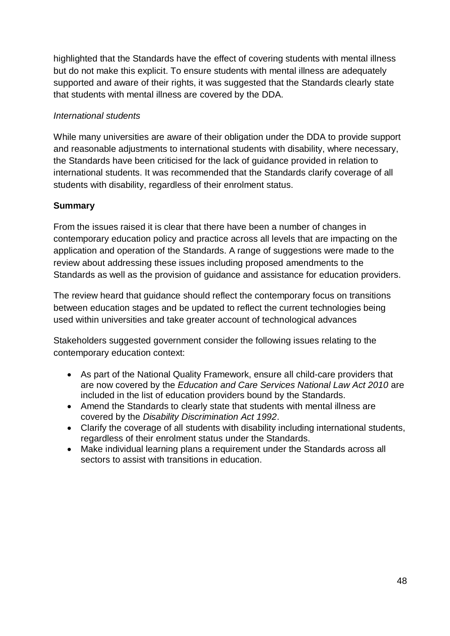highlighted that the Standards have the effect of covering students with mental illness but do not make this explicit. To ensure students with mental illness are adequately supported and aware of their rights, it was suggested that the Standards clearly state that students with mental illness are covered by the DDA.

### *International students*

While many universities are aware of their obligation under the DDA to provide support and reasonable adjustments to international students with disability, where necessary, the Standards have been criticised for the lack of guidance provided in relation to international students. It was recommended that the Standards clarify coverage of all students with disability, regardless of their enrolment status.

### **Summary**

From the issues raised it is clear that there have been a number of changes in contemporary education policy and practice across all levels that are impacting on the application and operation of the Standards. A range of suggestions were made to the review about addressing these issues including proposed amendments to the Standards as well as the provision of guidance and assistance for education providers.

The review heard that guidance should reflect the contemporary focus on transitions between education stages and be updated to reflect the current technologies being used within universities and take greater account of technological advances

Stakeholders suggested government consider the following issues relating to the contemporary education context:

- As part of the National Quality Framework, ensure all child-care providers that are now covered by the *Education and Care Services National Law Act 2010* are included in the list of education providers bound by the Standards.
- Amend the Standards to clearly state that students with mental illness are covered by the *Disability Discrimination Act 1992*.
- Clarify the coverage of all students with disability including international students, regardless of their enrolment status under the Standards.
- Make individual learning plans a requirement under the Standards across all sectors to assist with transitions in education.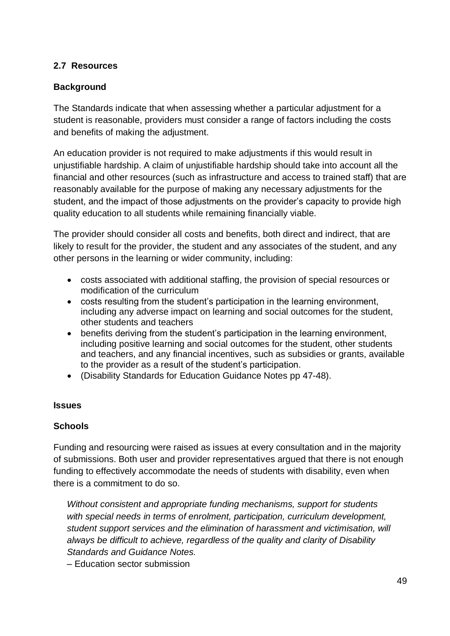#### **2.7 Resources**

### **Background**

The Standards indicate that when assessing whether a particular adjustment for a student is reasonable, providers must consider a range of factors including the costs and benefits of making the adjustment.

An education provider is not required to make adjustments if this would result in unjustifiable hardship. A claim of unjustifiable hardship should take into account all the financial and other resources (such as infrastructure and access to trained staff) that are reasonably available for the purpose of making any necessary adjustments for the student, and the impact of those adjustments on the provider's capacity to provide high quality education to all students while remaining financially viable.

The provider should consider all costs and benefits, both direct and indirect, that are likely to result for the provider, the student and any associates of the student, and any other persons in the learning or wider community, including:

- costs associated with additional staffing, the provision of special resources or modification of the curriculum
- costs resulting from the student's participation in the learning environment, including any adverse impact on learning and social outcomes for the student, other students and teachers
- benefits deriving from the student's participation in the learning environment, including positive learning and social outcomes for the student, other students and teachers, and any financial incentives, such as subsidies or grants, available to the provider as a result of the student's participation.
- (Disability Standards for Education Guidance Notes pp 47-48).

#### **Issues**

#### **Schools**

Funding and resourcing were raised as issues at every consultation and in the majority of submissions. Both user and provider representatives argued that there is not enough funding to effectively accommodate the needs of students with disability, even when there is a commitment to do so.

*Without consistent and appropriate funding mechanisms, support for students with special needs in terms of enrolment, participation, curriculum development, student support services and the elimination of harassment and victimisation, will always be difficult to achieve, regardless of the quality and clarity of Disability Standards and Guidance Notes.* 

– Education sector submission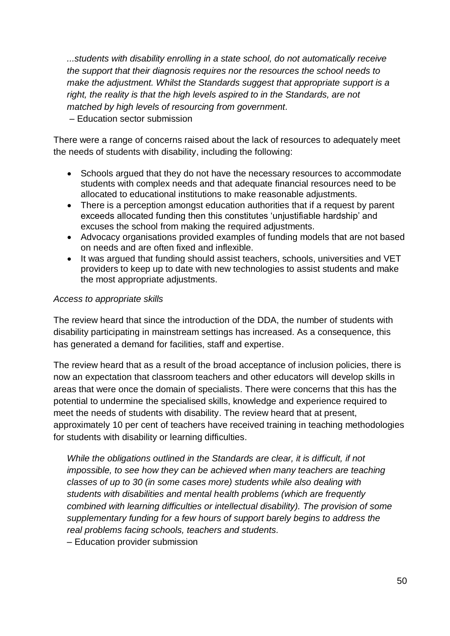*...students with disability enrolling in a state school, do not automatically receive the support that their diagnosis requires nor the resources the school needs to make the adjustment. Whilst the Standards suggest that appropriate support is a right, the reality is that the high levels aspired to in the Standards, are not matched by high levels of resourcing from government.*

– Education sector submission

There were a range of concerns raised about the lack of resources to adequately meet the needs of students with disability, including the following:

- Schools argued that they do not have the necessary resources to accommodate students with complex needs and that adequate financial resources need to be allocated to educational institutions to make reasonable adjustments.
- There is a perception amongst education authorities that if a request by parent exceeds allocated funding then this constitutes 'unjustifiable hardship' and excuses the school from making the required adjustments.
- Advocacy organisations provided examples of funding models that are not based on needs and are often fixed and inflexible.
- It was argued that funding should assist teachers, schools, universities and VET providers to keep up to date with new technologies to assist students and make the most appropriate adjustments.

#### *Access to appropriate skills*

The review heard that since the introduction of the DDA, the number of students with disability participating in mainstream settings has increased. As a consequence, this has generated a demand for facilities, staff and expertise.

The review heard that as a result of the broad acceptance of inclusion policies, there is now an expectation that classroom teachers and other educators will develop skills in areas that were once the domain of specialists. There were concerns that this has the potential to undermine the specialised skills, knowledge and experience required to meet the needs of students with disability. The review heard that at present, approximately 10 per cent of teachers have received training in teaching methodologies for students with disability or learning difficulties.

*While the obligations outlined in the Standards are clear, it is difficult, if not impossible, to see how they can be achieved when many teachers are teaching classes of up to 30 (in some cases more) students while also dealing with students with disabilities and mental health problems (which are frequently combined with learning difficulties or intellectual disability). The provision of some supplementary funding for a few hours of support barely begins to address the real problems facing schools, teachers and students.* 

– Education provider submission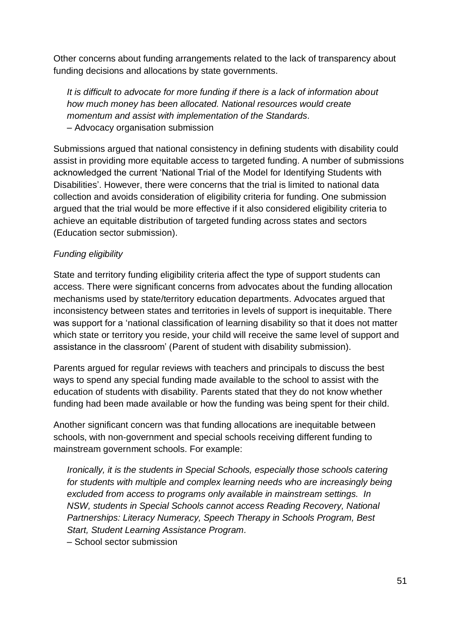Other concerns about funding arrangements related to the lack of transparency about funding decisions and allocations by state governments.

*It is difficult to advocate for more funding if there is a lack of information about how much money has been allocated. National resources would create momentum and assist with implementation of the Standards.*  – Advocacy organisation submission

Submissions argued that national consistency in defining students with disability could assist in providing more equitable access to targeted funding. A number of submissions acknowledged the current 'National Trial of the Model for Identifying Students with Disabilities'. However, there were concerns that the trial is limited to national data collection and avoids consideration of eligibility criteria for funding. One submission argued that the trial would be more effective if it also considered eligibility criteria to achieve an equitable distribution of targeted funding across states and sectors (Education sector submission).

### *Funding eligibility*

State and territory funding eligibility criteria affect the type of support students can access. There were significant concerns from advocates about the funding allocation mechanisms used by state/territory education departments. Advocates argued that inconsistency between states and territories in levels of support is inequitable. There was support for a 'national classification of learning disability so that it does not matter which state or territory you reside, your child will receive the same level of support and assistance in the classroom' (Parent of student with disability submission).

Parents argued for regular reviews with teachers and principals to discuss the best ways to spend any special funding made available to the school to assist with the education of students with disability. Parents stated that they do not know whether funding had been made available or how the funding was being spent for their child.

Another significant concern was that funding allocations are inequitable between schools, with non-government and special schools receiving different funding to mainstream government schools. For example:

*Ironically, it is the students in Special Schools, especially those schools catering* for students with multiple and complex learning needs who are increasingly being *excluded from access to programs only available in mainstream settings. In NSW, students in Special Schools cannot access Reading Recovery, National Partnerships: Literacy Numeracy, Speech Therapy in Schools Program, Best Start, Student Learning Assistance Program.* 

– School sector submission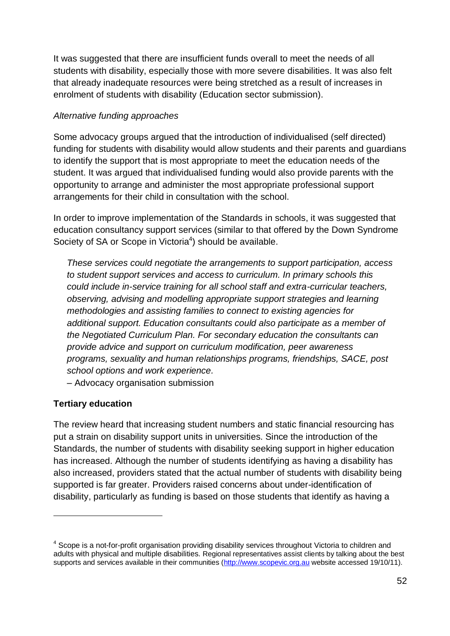It was suggested that there are insufficient funds overall to meet the needs of all students with disability, especially those with more severe disabilities. It was also felt that already inadequate resources were being stretched as a result of increases in enrolment of students with disability (Education sector submission).

### *Alternative funding approaches*

Some advocacy groups argued that the introduction of individualised (self directed) funding for students with disability would allow students and their parents and guardians to identify the support that is most appropriate to meet the education needs of the student. It was argued that individualised funding would also provide parents with the opportunity to arrange and administer the most appropriate professional support arrangements for their child in consultation with the school.

In order to improve implementation of the Standards in schools, it was suggested that education consultancy support services (similar to that offered by the Down Syndrome Society of SA or Scope in Victoria<sup>4</sup>) should be available.

*These services could negotiate the arrangements to support participation, access to student support services and access to curriculum. In primary schools this could include in-service training for all school staff and extra-curricular teachers, observing, advising and modelling appropriate support strategies and learning methodologies and assisting families to connect to existing agencies for additional support. Education consultants could also participate as a member of the Negotiated Curriculum Plan. For secondary education the consultants can provide advice and support on curriculum modification, peer awareness programs, sexuality and human relationships programs, friendships, SACE, post school options and work experience.* 

– Advocacy organisation submission

# **Tertiary education**

1

The review heard that increasing student numbers and static financial resourcing has put a strain on disability support units in universities. Since the introduction of the Standards, the number of students with disability seeking support in higher education has increased. Although the number of students identifying as having a disability has also increased, providers stated that the actual number of students with disability being supported is far greater. Providers raised concerns about under-identification of disability, particularly as funding is based on those students that identify as having a

<sup>&</sup>lt;sup>4</sup> Scope is a not-for-profit organisation providing disability services throughout Victoria to children and adults with physical and multiple disabilities. Regional representatives assist clients by talking about the best supports and services available in their communities [\(http://www.scopevic.org.au](http://www.scopevic.org.au/) website accessed 19/10/11).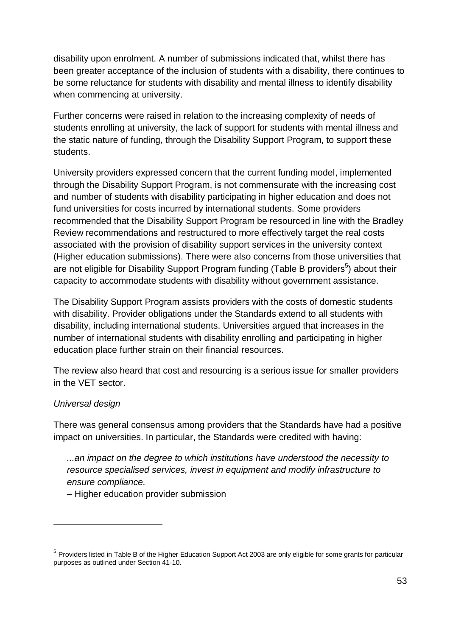disability upon enrolment. A number of submissions indicated that, whilst there has been greater acceptance of the inclusion of students with a disability, there continues to be some reluctance for students with disability and mental illness to identify disability when commencing at university.

Further concerns were raised in relation to the increasing complexity of needs of students enrolling at university, the lack of support for students with mental illness and the static nature of funding, through the Disability Support Program, to support these students.

University providers expressed concern that the current funding model, implemented through the Disability Support Program, is not commensurate with the increasing cost and number of students with disability participating in higher education and does not fund universities for costs incurred by international students. Some providers recommended that the Disability Support Program be resourced in line with the Bradley Review recommendations and restructured to more effectively target the real costs associated with the provision of disability support services in the university context (Higher education submissions). There were also concerns from those universities that are not eligible for Disability Support Program funding (Table B providers<sup>5</sup>) about their capacity to accommodate students with disability without government assistance.

The Disability Support Program assists providers with the costs of domestic students with disability. Provider obligations under the Standards extend to all students with disability, including international students. Universities argued that increases in the number of international students with disability enrolling and participating in higher education place further strain on their financial resources.

The review also heard that cost and resourcing is a serious issue for smaller providers in the VET sector.

# *Universal design*

1

There was general consensus among providers that the Standards have had a positive impact on universities. In particular, the Standards were credited with having:

*...an impact on the degree to which institutions have understood the necessity to resource specialised services, invest in equipment and modify infrastructure to ensure compliance.* 

– Higher education provider submission

<sup>&</sup>lt;sup>5</sup> Providers listed in Table B of the Higher Education Support Act 2003 are only eligible for some grants for particular purposes as outlined under Section 41-10.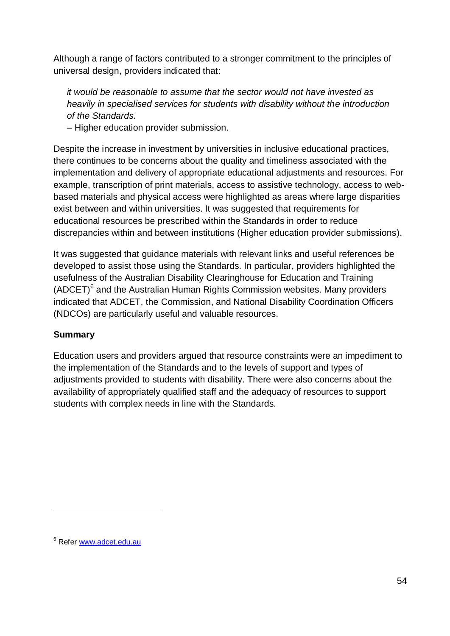Although a range of factors contributed to a stronger commitment to the principles of universal design, providers indicated that:

*it would be reasonable to assume that the sector would not have invested as heavily in specialised services for students with disability without the introduction of the Standards.*

– Higher education provider submission.

Despite the increase in investment by universities in inclusive educational practices, there continues to be concerns about the quality and timeliness associated with the implementation and delivery of appropriate educational adjustments and resources. For example, transcription of print materials, access to assistive technology, access to webbased materials and physical access were highlighted as areas where large disparities exist between and within universities. It was suggested that requirements for educational resources be prescribed within the Standards in order to reduce discrepancies within and between institutions (Higher education provider submissions).

It was suggested that guidance materials with relevant links and useful references be developed to assist those using the Standards. In particular, providers highlighted the usefulness of the Australian Disability Clearinghouse for Education and Training  $(ADCET)^6$  and the Australian Human Rights Commission websites. Many providers indicated that ADCET, the Commission, and National Disability Coordination Officers (NDCOs) are particularly useful and valuable resources.

#### **Summary**

Education users and providers argued that resource constraints were an impediment to the implementation of the Standards and to the levels of support and types of adjustments provided to students with disability. There were also concerns about the availability of appropriately qualified staff and the adequacy of resources to support students with complex needs in line with the Standards.

1

<sup>6</sup> Refer [www.adcet.edu.au](http://www.adcet.edu.au/)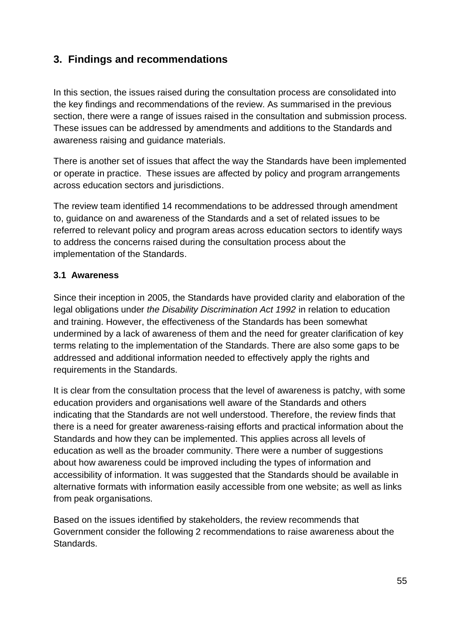# **3. Findings and recommendations**

In this section, the issues raised during the consultation process are consolidated into the key findings and recommendations of the review. As summarised in the previous section, there were a range of issues raised in the consultation and submission process. These issues can be addressed by amendments and additions to the Standards and awareness raising and guidance materials.

There is another set of issues that affect the way the Standards have been implemented or operate in practice. These issues are affected by policy and program arrangements across education sectors and jurisdictions.

The review team identified 14 recommendations to be addressed through amendment to, guidance on and awareness of the Standards and a set of related issues to be referred to relevant policy and program areas across education sectors to identify ways to address the concerns raised during the consultation process about the implementation of the Standards.

### **3.1 Awareness**

Since their inception in 2005, the Standards have provided clarity and elaboration of the legal obligations under *the Disability Discrimination Act 1992* in relation to education and training. However, the effectiveness of the Standards has been somewhat undermined by a lack of awareness of them and the need for greater clarification of key terms relating to the implementation of the Standards. There are also some gaps to be addressed and additional information needed to effectively apply the rights and requirements in the Standards.

It is clear from the consultation process that the level of awareness is patchy, with some education providers and organisations well aware of the Standards and others indicating that the Standards are not well understood. Therefore, the review finds that there is a need for greater awareness-raising efforts and practical information about the Standards and how they can be implemented. This applies across all levels of education as well as the broader community. There were a number of suggestions about how awareness could be improved including the types of information and accessibility of information. It was suggested that the Standards should be available in alternative formats with information easily accessible from one website; as well as links from peak organisations.

Based on the issues identified by stakeholders, the review recommends that Government consider the following 2 recommendations to raise awareness about the Standards.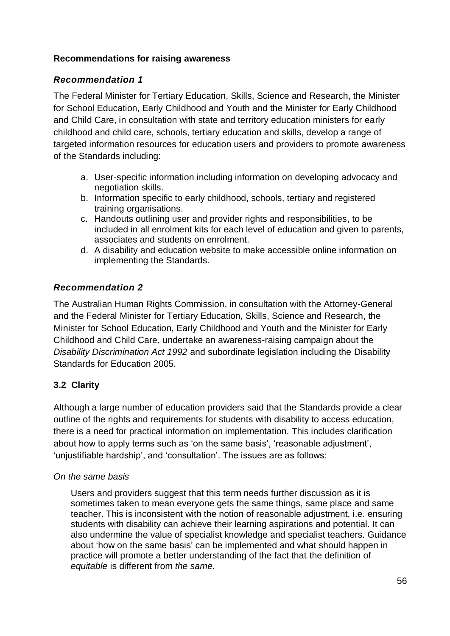### **Recommendations for raising awareness**

### *Recommendation 1*

The Federal Minister for Tertiary Education, Skills, Science and Research, the Minister for School Education, Early Childhood and Youth and the Minister for Early Childhood and Child Care, in consultation with state and territory education ministers for early childhood and child care, schools, tertiary education and skills, develop a range of targeted information resources for education users and providers to promote awareness of the Standards including:

- a. User-specific information including information on developing advocacy and negotiation skills.
- b. Information specific to early childhood, schools, tertiary and registered training organisations.
- c. Handouts outlining user and provider rights and responsibilities, to be included in all enrolment kits for each level of education and given to parents, associates and students on enrolment.
- d. A disability and education website to make accessible online information on implementing the Standards.

# *Recommendation 2*

The Australian Human Rights Commission, in consultation with the Attorney-General and the Federal Minister for Tertiary Education, Skills, Science and Research, the Minister for School Education, Early Childhood and Youth and the Minister for Early Childhood and Child Care, undertake an awareness-raising campaign about the *Disability Discrimination Act 1992* and subordinate legislation including the Disability Standards for Education 2005.

# **3.2 Clarity**

Although a large number of education providers said that the Standards provide a clear outline of the rights and requirements for students with disability to access education, there is a need for practical information on implementation. This includes clarification about how to apply terms such as 'on the same basis', 'reasonable adjustment', 'unjustifiable hardship', and 'consultation'. The issues are as follows:

#### *On the same basis*

Users and providers suggest that this term needs further discussion as it is sometimes taken to mean everyone gets the same things, same place and same teacher. This is inconsistent with the notion of reasonable adjustment, i.e. ensuring students with disability can achieve their learning aspirations and potential. It can also undermine the value of specialist knowledge and specialist teachers. Guidance about 'how on the same basis' can be implemented and what should happen in practice will promote a better understanding of the fact that the definition of *equitable* is different from *the same.*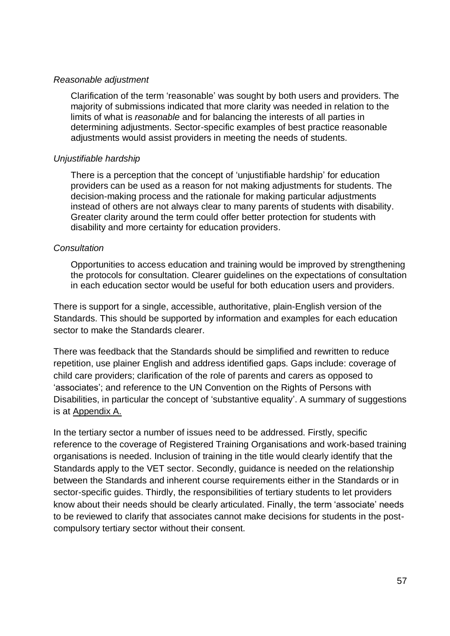#### *Reasonable adjustment*

Clarification of the term 'reasonable' was sought by both users and providers. The majority of submissions indicated that more clarity was needed in relation to the limits of what is *reasonable* and for balancing the interests of all parties in determining adjustments. Sector-specific examples of best practice reasonable adjustments would assist providers in meeting the needs of students.

#### *Unjustifiable hardship*

There is a perception that the concept of 'unjustifiable hardship' for education providers can be used as a reason for not making adjustments for students. The decision-making process and the rationale for making particular adjustments instead of others are not always clear to many parents of students with disability. Greater clarity around the term could offer better protection for students with disability and more certainty for education providers.

#### *Consultation*

Opportunities to access education and training would be improved by strengthening the protocols for consultation. Clearer guidelines on the expectations of consultation in each education sector would be useful for both education users and providers.

There is support for a single, accessible, authoritative, plain-English version of the Standards. This should be supported by information and examples for each education sector to make the Standards clearer.

There was feedback that the Standards should be simplified and rewritten to reduce repetition, use plainer English and address identified gaps. Gaps include: coverage of child care providers; clarification of the role of parents and carers as opposed to 'associates'; and reference to the UN Convention on the Rights of Persons with Disabilities, in particular the concept of 'substantive equality'. A summary of suggestions is at Appendix A.

In the tertiary sector a number of issues need to be addressed. Firstly, specific reference to the coverage of Registered Training Organisations and work-based training organisations is needed. Inclusion of training in the title would clearly identify that the Standards apply to the VET sector. Secondly, guidance is needed on the relationship between the Standards and inherent course requirements either in the Standards or in sector-specific guides. Thirdly, the responsibilities of tertiary students to let providers know about their needs should be clearly articulated. Finally, the term 'associate' needs to be reviewed to clarify that associates cannot make decisions for students in the postcompulsory tertiary sector without their consent.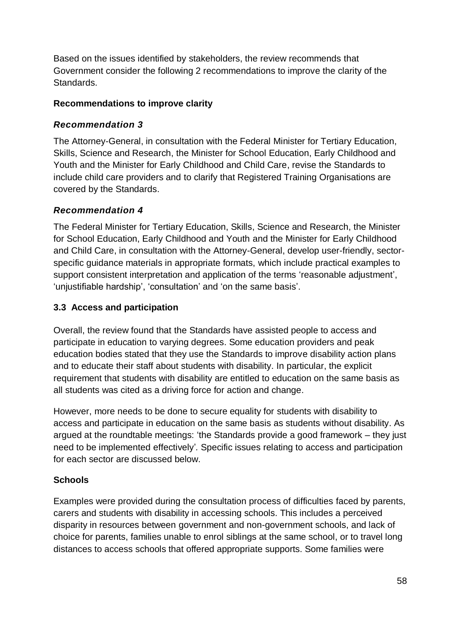Based on the issues identified by stakeholders, the review recommends that Government consider the following 2 recommendations to improve the clarity of the Standards.

### **Recommendations to improve clarity**

# *Recommendation 3*

The Attorney-General, in consultation with the Federal Minister for Tertiary Education, Skills, Science and Research, the Minister for School Education, Early Childhood and Youth and the Minister for Early Childhood and Child Care, revise the Standards to include child care providers and to clarify that Registered Training Organisations are covered by the Standards.

# *Recommendation 4*

The Federal Minister for Tertiary Education, Skills, Science and Research, the Minister for School Education, Early Childhood and Youth and the Minister for Early Childhood and Child Care, in consultation with the Attorney-General, develop user-friendly, sectorspecific guidance materials in appropriate formats, which include practical examples to support consistent interpretation and application of the terms 'reasonable adjustment', 'unjustifiable hardship', 'consultation' and 'on the same basis'.

# **3.3 Access and participation**

Overall, the review found that the Standards have assisted people to access and participate in education to varying degrees. Some education providers and peak education bodies stated that they use the Standards to improve disability action plans and to educate their staff about students with disability. In particular, the explicit requirement that students with disability are entitled to education on the same basis as all students was cited as a driving force for action and change.

However, more needs to be done to secure equality for students with disability to access and participate in education on the same basis as students without disability. As argued at the roundtable meetings: 'the Standards provide a good framework – they just need to be implemented effectively'*.* Specific issues relating to access and participation for each sector are discussed below.

# **Schools**

Examples were provided during the consultation process of difficulties faced by parents, carers and students with disability in accessing schools. This includes a perceived disparity in resources between government and non-government schools, and lack of choice for parents, families unable to enrol siblings at the same school, or to travel long distances to access schools that offered appropriate supports. Some families were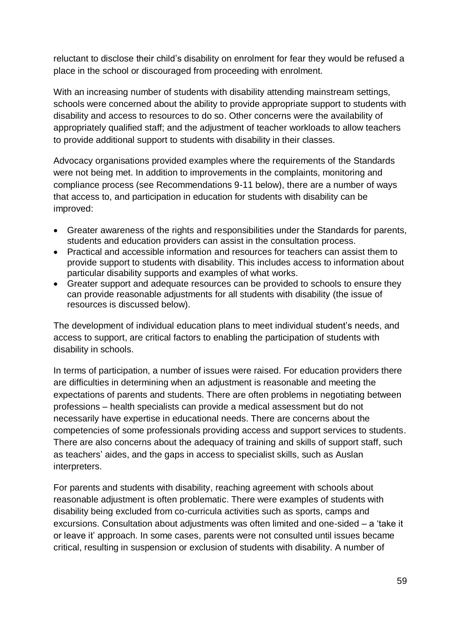reluctant to disclose their child's disability on enrolment for fear they would be refused a place in the school or discouraged from proceeding with enrolment.

With an increasing number of students with disability attending mainstream settings, schools were concerned about the ability to provide appropriate support to students with disability and access to resources to do so. Other concerns were the availability of appropriately qualified staff; and the adjustment of teacher workloads to allow teachers to provide additional support to students with disability in their classes.

Advocacy organisations provided examples where the requirements of the Standards were not being met. In addition to improvements in the complaints, monitoring and compliance process (see Recommendations 9-11 below), there are a number of ways that access to, and participation in education for students with disability can be improved:

- Greater awareness of the rights and responsibilities under the Standards for parents, students and education providers can assist in the consultation process.
- Practical and accessible information and resources for teachers can assist them to provide support to students with disability. This includes access to information about particular disability supports and examples of what works.
- Greater support and adequate resources can be provided to schools to ensure they can provide reasonable adjustments for all students with disability (the issue of resources is discussed below).

The development of individual education plans to meet individual student's needs, and access to support, are critical factors to enabling the participation of students with disability in schools.

In terms of participation, a number of issues were raised. For education providers there are difficulties in determining when an adjustment is reasonable and meeting the expectations of parents and students. There are often problems in negotiating between professions – health specialists can provide a medical assessment but do not necessarily have expertise in educational needs. There are concerns about the competencies of some professionals providing access and support services to students. There are also concerns about the adequacy of training and skills of support staff, such as teachers' aides, and the gaps in access to specialist skills, such as Auslan interpreters.

For parents and students with disability, reaching agreement with schools about reasonable adjustment is often problematic. There were examples of students with disability being excluded from co-curricula activities such as sports, camps and excursions. Consultation about adjustments was often limited and one-sided – a 'take it or leave it' approach. In some cases, parents were not consulted until issues became critical, resulting in suspension or exclusion of students with disability. A number of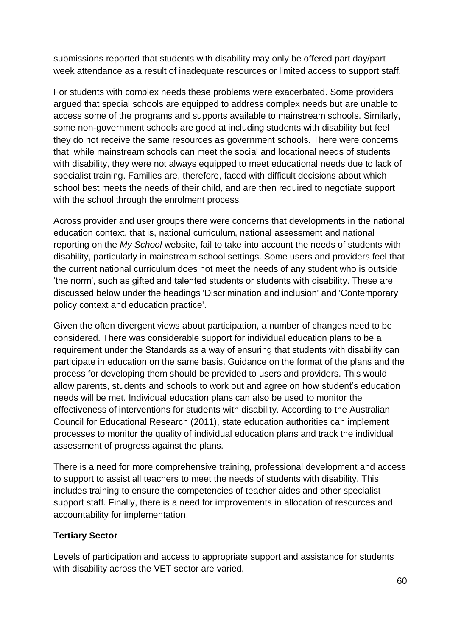submissions reported that students with disability may only be offered part day/part week attendance as a result of inadequate resources or limited access to support staff.

For students with complex needs these problems were exacerbated. Some providers argued that special schools are equipped to address complex needs but are unable to access some of the programs and supports available to mainstream schools. Similarly, some non-government schools are good at including students with disability but feel they do not receive the same resources as government schools. There were concerns that, while mainstream schools can meet the social and locational needs of students with disability, they were not always equipped to meet educational needs due to lack of specialist training. Families are, therefore, faced with difficult decisions about which school best meets the needs of their child, and are then required to negotiate support with the school through the enrolment process.

Across provider and user groups there were concerns that developments in the national education context, that is, national curriculum, national assessment and national reporting on the *My School* website, fail to take into account the needs of students with disability, particularly in mainstream school settings. Some users and providers feel that the current national curriculum does not meet the needs of any student who is outside 'the norm', such as gifted and talented students or students with disability. These are discussed below under the headings 'Discrimination and inclusion' and 'Contemporary policy context and education practice'.

Given the often divergent views about participation, a number of changes need to be considered. There was considerable support for individual education plans to be a requirement under the Standards as a way of ensuring that students with disability can participate in education on the same basis. Guidance on the format of the plans and the process for developing them should be provided to users and providers. This would allow parents, students and schools to work out and agree on how student's education needs will be met. Individual education plans can also be used to monitor the effectiveness of interventions for students with disability. According to the Australian Council for Educational Research (2011), state education authorities can implement processes to monitor the quality of individual education plans and track the individual assessment of progress against the plans.

There is a need for more comprehensive training, professional development and access to support to assist all teachers to meet the needs of students with disability. This includes training to ensure the competencies of teacher aides and other specialist support staff. Finally, there is a need for improvements in allocation of resources and accountability for implementation.

#### **Tertiary Sector**

Levels of participation and access to appropriate support and assistance for students with disability across the VET sector are varied.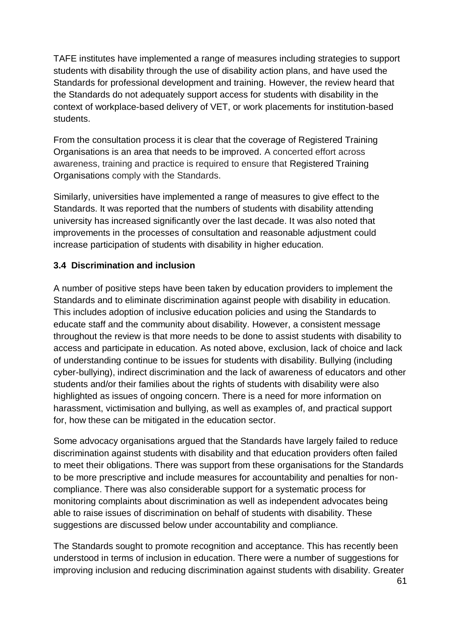TAFE institutes have implemented a range of measures including strategies to support students with disability through the use of disability action plans, and have used the Standards for professional development and training. However, the review heard that the Standards do not adequately support access for students with disability in the context of workplace-based delivery of VET, or work placements for institution-based students.

From the consultation process it is clear that the coverage of Registered Training Organisations is an area that needs to be improved. A concerted effort across awareness, training and practice is required to ensure that Registered Training Organisations comply with the Standards.

Similarly, universities have implemented a range of measures to give effect to the Standards. It was reported that the numbers of students with disability attending university has increased significantly over the last decade. It was also noted that improvements in the processes of consultation and reasonable adjustment could increase participation of students with disability in higher education.

#### **3.4 Discrimination and inclusion**

A number of positive steps have been taken by education providers to implement the Standards and to eliminate discrimination against people with disability in education. This includes adoption of inclusive education policies and using the Standards to educate staff and the community about disability. However, a consistent message throughout the review is that more needs to be done to assist students with disability to access and participate in education. As noted above, exclusion, lack of choice and lack of understanding continue to be issues for students with disability. Bullying (including cyber-bullying), indirect discrimination and the lack of awareness of educators and other students and/or their families about the rights of students with disability were also highlighted as issues of ongoing concern. There is a need for more information on harassment, victimisation and bullying, as well as examples of, and practical support for, how these can be mitigated in the education sector.

Some advocacy organisations argued that the Standards have largely failed to reduce discrimination against students with disability and that education providers often failed to meet their obligations. There was support from these organisations for the Standards to be more prescriptive and include measures for accountability and penalties for noncompliance. There was also considerable support for a systematic process for monitoring complaints about discrimination as well as independent advocates being able to raise issues of discrimination on behalf of students with disability. These suggestions are discussed below under accountability and compliance.

The Standards sought to promote recognition and acceptance. This has recently been understood in terms of inclusion in education. There were a number of suggestions for improving inclusion and reducing discrimination against students with disability. Greater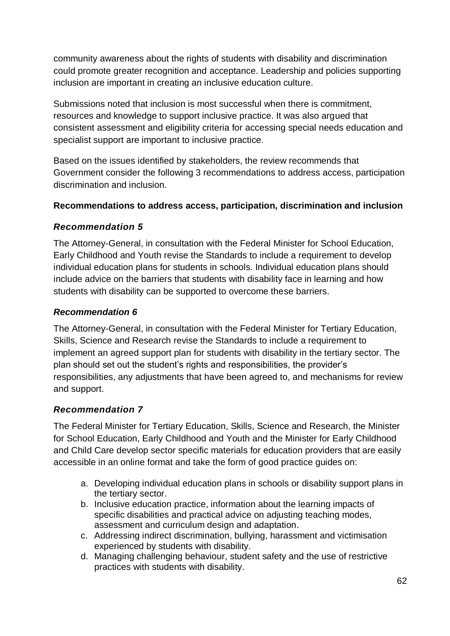community awareness about the rights of students with disability and discrimination could promote greater recognition and acceptance. Leadership and policies supporting inclusion are important in creating an inclusive education culture.

Submissions noted that inclusion is most successful when there is commitment, resources and knowledge to support inclusive practice. It was also argued that consistent assessment and eligibility criteria for accessing special needs education and specialist support are important to inclusive practice.

Based on the issues identified by stakeholders, the review recommends that Government consider the following 3 recommendations to address access, participation discrimination and inclusion.

## **Recommendations to address access, participation, discrimination and inclusion**

#### *Recommendation 5*

The Attorney-General, in consultation with the Federal Minister for School Education, Early Childhood and Youth revise the Standards to include a requirement to develop individual education plans for students in schools. Individual education plans should include advice on the barriers that students with disability face in learning and how students with disability can be supported to overcome these barriers.

#### *Recommendation 6*

The Attorney-General, in consultation with the Federal Minister for Tertiary Education, Skills, Science and Research revise the Standards to include a requirement to implement an agreed support plan for students with disability in the tertiary sector. The plan should set out the student's rights and responsibilities, the provider's responsibilities, any adjustments that have been agreed to, and mechanisms for review and support.

#### *Recommendation 7*

The Federal Minister for Tertiary Education, Skills, Science and Research, the Minister for School Education, Early Childhood and Youth and the Minister for Early Childhood and Child Care develop sector specific materials for education providers that are easily accessible in an online format and take the form of good practice guides on:

- a. Developing individual education plans in schools or disability support plans in the tertiary sector.
- b. Inclusive education practice, information about the learning impacts of specific disabilities and practical advice on adjusting teaching modes, assessment and curriculum design and adaptation.
- c. Addressing indirect discrimination, bullying, harassment and victimisation experienced by students with disability.
- d. Managing challenging behaviour, student safety and the use of restrictive practices with students with disability.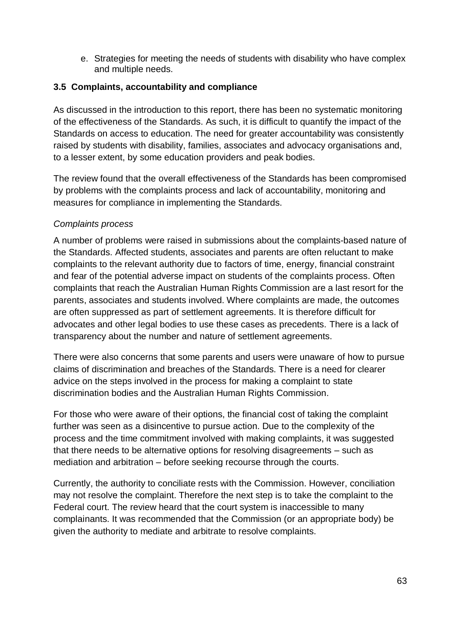e. Strategies for meeting the needs of students with disability who have complex and multiple needs.

#### **3.5 Complaints, accountability and compliance**

As discussed in the introduction to this report, there has been no systematic monitoring of the effectiveness of the Standards. As such, it is difficult to quantify the impact of the Standards on access to education. The need for greater accountability was consistently raised by students with disability, families, associates and advocacy organisations and, to a lesser extent, by some education providers and peak bodies.

The review found that the overall effectiveness of the Standards has been compromised by problems with the complaints process and lack of accountability, monitoring and measures for compliance in implementing the Standards.

#### *Complaints process*

A number of problems were raised in submissions about the complaints-based nature of the Standards. Affected students, associates and parents are often reluctant to make complaints to the relevant authority due to factors of time, energy, financial constraint and fear of the potential adverse impact on students of the complaints process. Often complaints that reach the Australian Human Rights Commission are a last resort for the parents, associates and students involved. Where complaints are made, the outcomes are often suppressed as part of settlement agreements. It is therefore difficult for advocates and other legal bodies to use these cases as precedents. There is a lack of transparency about the number and nature of settlement agreements.

There were also concerns that some parents and users were unaware of how to pursue claims of discrimination and breaches of the Standards. There is a need for clearer advice on the steps involved in the process for making a complaint to state discrimination bodies and the Australian Human Rights Commission.

For those who were aware of their options, the financial cost of taking the complaint further was seen as a disincentive to pursue action. Due to the complexity of the process and the time commitment involved with making complaints, it was suggested that there needs to be alternative options for resolving disagreements – such as mediation and arbitration – before seeking recourse through the courts.

Currently, the authority to conciliate rests with the Commission. However, conciliation may not resolve the complaint. Therefore the next step is to take the complaint to the Federal court. The review heard that the court system is inaccessible to many complainants. It was recommended that the Commission (or an appropriate body) be given the authority to mediate and arbitrate to resolve complaints.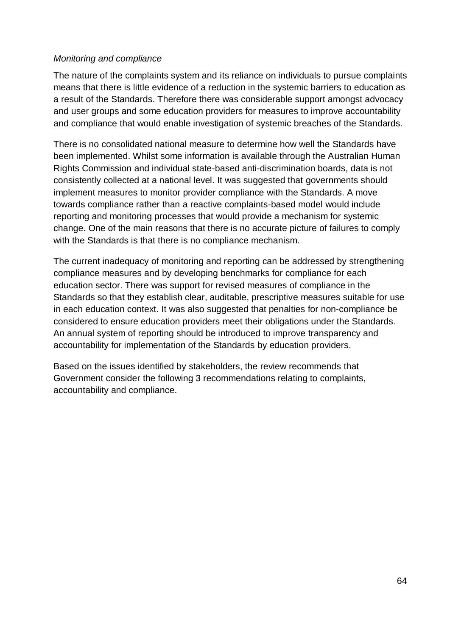#### *Monitoring and compliance*

The nature of the complaints system and its reliance on individuals to pursue complaints means that there is little evidence of a reduction in the systemic barriers to education as a result of the Standards. Therefore there was considerable support amongst advocacy and user groups and some education providers for measures to improve accountability and compliance that would enable investigation of systemic breaches of the Standards.

There is no consolidated national measure to determine how well the Standards have been implemented. Whilst some information is available through the Australian Human Rights Commission and individual state-based anti-discrimination boards, data is not consistently collected at a national level. It was suggested that governments should implement measures to monitor provider compliance with the Standards. A move towards compliance rather than a reactive complaints-based model would include reporting and monitoring processes that would provide a mechanism for systemic change. One of the main reasons that there is no accurate picture of failures to comply with the Standards is that there is no compliance mechanism.

The current inadequacy of monitoring and reporting can be addressed by strengthening compliance measures and by developing benchmarks for compliance for each education sector. There was support for revised measures of compliance in the Standards so that they establish clear, auditable, prescriptive measures suitable for use in each education context. It was also suggested that penalties for non-compliance be considered to ensure education providers meet their obligations under the Standards. An annual system of reporting should be introduced to improve transparency and accountability for implementation of the Standards by education providers.

Based on the issues identified by stakeholders, the review recommends that Government consider the following 3 recommendations relating to complaints, accountability and compliance.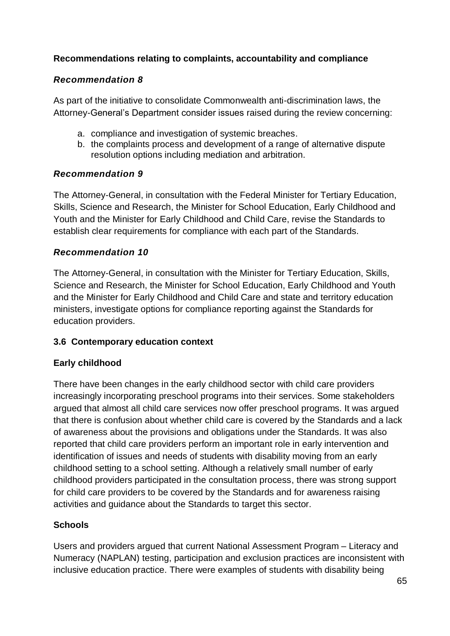## **Recommendations relating to complaints, accountability and compliance**

## *Recommendation 8*

As part of the initiative to consolidate Commonwealth anti-discrimination laws, the Attorney-General's Department consider issues raised during the review concerning:

- a. compliance and investigation of systemic breaches.
- b. the complaints process and development of a range of alternative dispute resolution options including mediation and arbitration.

## *Recommendation 9*

The Attorney-General, in consultation with the Federal Minister for Tertiary Education, Skills, Science and Research, the Minister for School Education, Early Childhood and Youth and the Minister for Early Childhood and Child Care, revise the Standards to establish clear requirements for compliance with each part of the Standards.

## *Recommendation 10*

The Attorney-General, in consultation with the Minister for Tertiary Education, Skills, Science and Research, the Minister for School Education, Early Childhood and Youth and the Minister for Early Childhood and Child Care and state and territory education ministers, investigate options for compliance reporting against the Standards for education providers.

## **3.6 Contemporary education context**

# **Early childhood**

There have been changes in the early childhood sector with child care providers increasingly incorporating preschool programs into their services. Some stakeholders argued that almost all child care services now offer preschool programs. It was argued that there is confusion about whether child care is covered by the Standards and a lack of awareness about the provisions and obligations under the Standards. It was also reported that child care providers perform an important role in early intervention and identification of issues and needs of students with disability moving from an early childhood setting to a school setting. Although a relatively small number of early childhood providers participated in the consultation process, there was strong support for child care providers to be covered by the Standards and for awareness raising activities and guidance about the Standards to target this sector.

# **Schools**

Users and providers argued that current National Assessment Program – Literacy and Numeracy (NAPLAN) testing, participation and exclusion practices are inconsistent with inclusive education practice. There were examples of students with disability being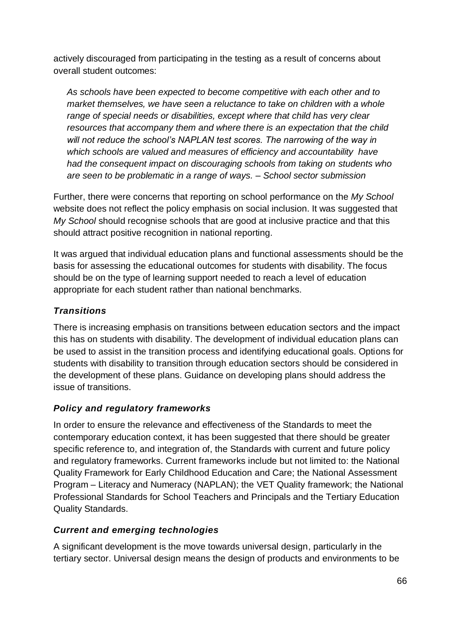actively discouraged from participating in the testing as a result of concerns about overall student outcomes:

*As schools have been expected to become competitive with each other and to market themselves, we have seen a reluctance to take on children with a whole range of special needs or disabilities, except where that child has very clear resources that accompany them and where there is an expectation that the child will not reduce the school's NAPLAN test scores. The narrowing of the way in which schools are valued and measures of efficiency and accountability have had the consequent impact on discouraging schools from taking on students who are seen to be problematic in a range of ways. – School sector submission*

Further, there were concerns that reporting on school performance on the *My School* website does not reflect the policy emphasis on social inclusion. It was suggested that *My School* should recognise schools that are good at inclusive practice and that this should attract positive recognition in national reporting.

It was argued that individual education plans and functional assessments should be the basis for assessing the educational outcomes for students with disability. The focus should be on the type of learning support needed to reach a level of education appropriate for each student rather than national benchmarks.

# *Transitions*

There is increasing emphasis on transitions between education sectors and the impact this has on students with disability. The development of individual education plans can be used to assist in the transition process and identifying educational goals. Options for students with disability to transition through education sectors should be considered in the development of these plans. Guidance on developing plans should address the issue of transitions.

# *Policy and regulatory frameworks*

In order to ensure the relevance and effectiveness of the Standards to meet the contemporary education context, it has been suggested that there should be greater specific reference to, and integration of, the Standards with current and future policy and regulatory frameworks. Current frameworks include but not limited to: the National Quality Framework for Early Childhood Education and Care; the National Assessment Program – Literacy and Numeracy (NAPLAN); the VET Quality framework; the National Professional Standards for School Teachers and Principals and the Tertiary Education Quality Standards.

# *Current and emerging technologies*

A significant development is the move towards universal design, particularly in the tertiary sector. Universal design means the design of products and environments to be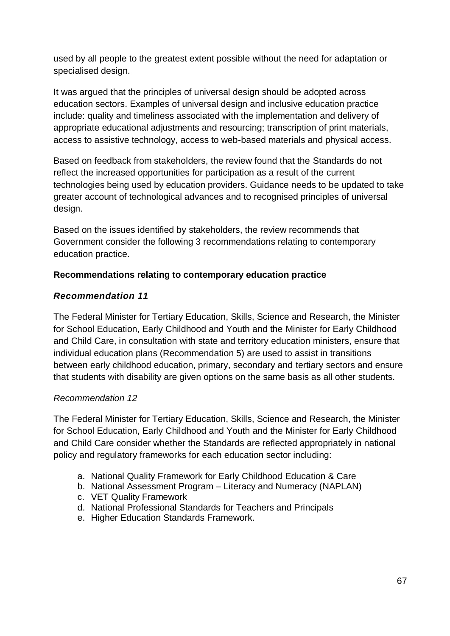used by all people to the greatest extent possible without the need for adaptation or specialised design.

It was argued that the principles of universal design should be adopted across education sectors. Examples of universal design and inclusive education practice include: quality and timeliness associated with the implementation and delivery of appropriate educational adjustments and resourcing; transcription of print materials, access to assistive technology, access to web-based materials and physical access.

Based on feedback from stakeholders, the review found that the Standards do not reflect the increased opportunities for participation as a result of the current technologies being used by education providers. Guidance needs to be updated to take greater account of technological advances and to recognised principles of universal design.

Based on the issues identified by stakeholders, the review recommends that Government consider the following 3 recommendations relating to contemporary education practice.

## **Recommendations relating to contemporary education practice**

## *Recommendation 11*

The Federal Minister for Tertiary Education, Skills, Science and Research, the Minister for School Education, Early Childhood and Youth and the Minister for Early Childhood and Child Care, in consultation with state and territory education ministers, ensure that individual education plans (Recommendation 5) are used to assist in transitions between early childhood education, primary, secondary and tertiary sectors and ensure that students with disability are given options on the same basis as all other students.

## *Recommendation 12*

The Federal Minister for Tertiary Education, Skills, Science and Research, the Minister for School Education, Early Childhood and Youth and the Minister for Early Childhood and Child Care consider whether the Standards are reflected appropriately in national policy and regulatory frameworks for each education sector including:

- a. National Quality Framework for Early Childhood Education & Care
- b. National Assessment Program Literacy and Numeracy (NAPLAN)
- c. VET Quality Framework
- d. National Professional Standards for Teachers and Principals
- e. Higher Education Standards Framework.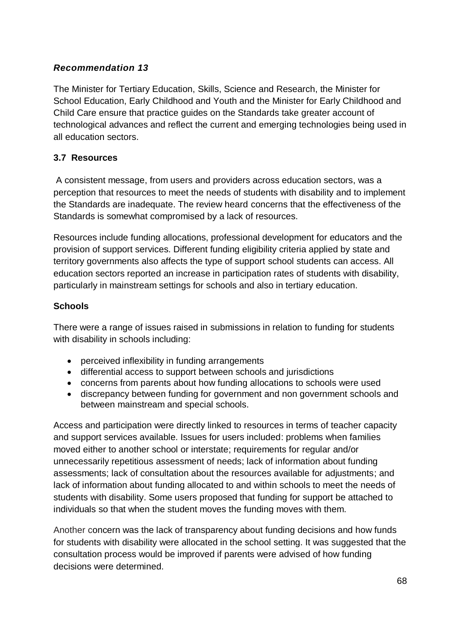## *Recommendation 13*

The Minister for Tertiary Education, Skills, Science and Research, the Minister for School Education, Early Childhood and Youth and the Minister for Early Childhood and Child Care ensure that practice guides on the Standards take greater account of technological advances and reflect the current and emerging technologies being used in all education sectors.

#### **3.7 Resources**

A consistent message, from users and providers across education sectors, was a perception that resources to meet the needs of students with disability and to implement the Standards are inadequate. The review heard concerns that the effectiveness of the Standards is somewhat compromised by a lack of resources.

Resources include funding allocations, professional development for educators and the provision of support services. Different funding eligibility criteria applied by state and territory governments also affects the type of support school students can access. All education sectors reported an increase in participation rates of students with disability, particularly in mainstream settings for schools and also in tertiary education.

#### **Schools**

There were a range of issues raised in submissions in relation to funding for students with disability in schools including:

- perceived inflexibility in funding arrangements
- differential access to support between schools and jurisdictions
- concerns from parents about how funding allocations to schools were used
- discrepancy between funding for government and non government schools and between mainstream and special schools.

Access and participation were directly linked to resources in terms of teacher capacity and support services available. Issues for users included: problems when families moved either to another school or interstate; requirements for regular and/or unnecessarily repetitious assessment of needs; lack of information about funding assessments; lack of consultation about the resources available for adjustments; and lack of information about funding allocated to and within schools to meet the needs of students with disability. Some users proposed that funding for support be attached to individuals so that when the student moves the funding moves with them.

Another concern was the lack of transparency about funding decisions and how funds for students with disability were allocated in the school setting. It was suggested that the consultation process would be improved if parents were advised of how funding decisions were determined.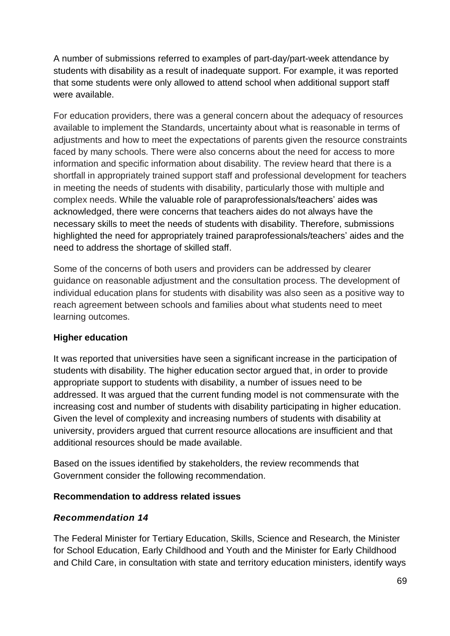A number of submissions referred to examples of part-day/part-week attendance by students with disability as a result of inadequate support. For example, it was reported that some students were only allowed to attend school when additional support staff were available.

For education providers, there was a general concern about the adequacy of resources available to implement the Standards, uncertainty about what is reasonable in terms of adjustments and how to meet the expectations of parents given the resource constraints faced by many schools. There were also concerns about the need for access to more information and specific information about disability. The review heard that there is a shortfall in appropriately trained support staff and professional development for teachers in meeting the needs of students with disability, particularly those with multiple and complex needs. While the valuable role of paraprofessionals/teachers' aides was acknowledged, there were concerns that teachers aides do not always have the necessary skills to meet the needs of students with disability. Therefore, submissions highlighted the need for appropriately trained paraprofessionals/teachers' aides and the need to address the shortage of skilled staff.

Some of the concerns of both users and providers can be addressed by clearer guidance on reasonable adjustment and the consultation process. The development of individual education plans for students with disability was also seen as a positive way to reach agreement between schools and families about what students need to meet learning outcomes.

## **Higher education**

It was reported that universities have seen a significant increase in the participation of students with disability. The higher education sector argued that, in order to provide appropriate support to students with disability, a number of issues need to be addressed. It was argued that the current funding model is not commensurate with the increasing cost and number of students with disability participating in higher education. Given the level of complexity and increasing numbers of students with disability at university, providers argued that current resource allocations are insufficient and that additional resources should be made available.

Based on the issues identified by stakeholders, the review recommends that Government consider the following recommendation.

#### **Recommendation to address related issues**

## *Recommendation 14*

The Federal Minister for Tertiary Education, Skills, Science and Research, the Minister for School Education, Early Childhood and Youth and the Minister for Early Childhood and Child Care, in consultation with state and territory education ministers, identify ways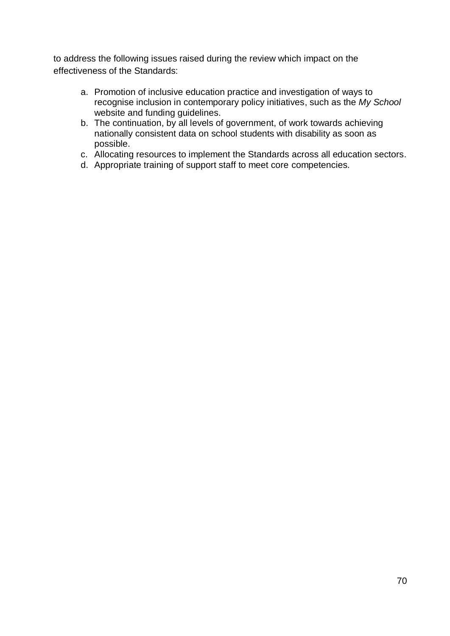to address the following issues raised during the review which impact on the effectiveness of the Standards:

- a. Promotion of inclusive education practice and investigation of ways to recognise inclusion in contemporary policy initiatives, such as the *My School* website and funding guidelines.
- b. The continuation, by all levels of government, of work towards achieving nationally consistent data on school students with disability as soon as possible.
- c. Allocating resources to implement the Standards across all education sectors.
- d. Appropriate training of support staff to meet core competencies.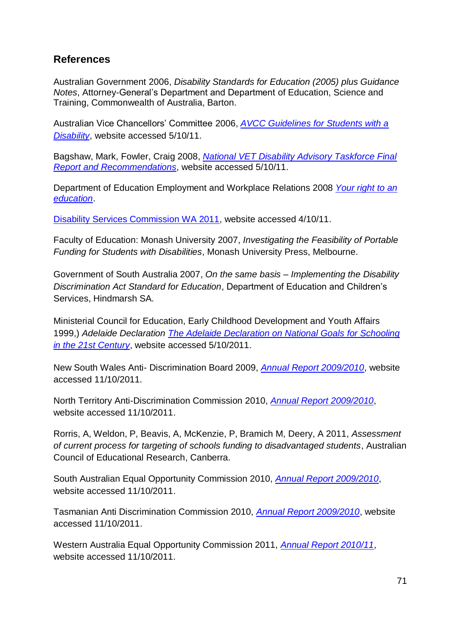# **References**

Australian Government 2006, *Disability Standards for Education (2005) plus Guidance Notes*, Attorney-General's Department and Department of Education, Science and Training, Commonwealth of Australia, Barton.

Australian Vice Chancellors' Committee 2006, *[AVCC Guidelines for Students with a](http://www.universitiesaustralia.edu.au/resources/343/327)  [Disability](http://www.universitiesaustralia.edu.au/resources/343/327)*, website accessed 5/10/11.

Bagshaw, Mark, Fowler, Craig 2008, *[National VET Disability Advisory Taskforce Final](http://www.innov8group.com.au/Documents/NVDAT%20final%20report%20to%20NSOC.pdf)  [Report and Recommendations](http://www.innov8group.com.au/Documents/NVDAT%20final%20report%20to%20NSOC.pdf)*, website accessed 5/10/11.

Department of Education Employment and Workplace Relations 2008 *[Your right to an](http://www.ddaedustandards.info/)  [education](http://www.ddaedustandards.info/)*.

[Disability Services Commission WA 2011,](http://www.disability.wa.gov.au/) website accessed 4/10/11.

Faculty of Education: Monash University 2007, *Investigating the Feasibility of Portable Funding for Students with Disabilities*, Monash University Press, Melbourne.

Government of South Australia 2007, *On the same basis – Implementing the Disability Discrimination Act Standard for Education*, Department of Education and Children's Services, Hindmarsh SA.

Ministerial Council for Education, Early Childhood Development and Youth Affairs 1999,) *Adelaide Declaration [The Adelaide Declaration on National Goals for Schooling](http://www.mceecdya.edu.au/mceecdya/adelaide_declaration_1999_text,28298.html)  [in the 21st Century](http://www.mceecdya.edu.au/mceecdya/adelaide_declaration_1999_text,28298.html)*, website accessed 5/10/2011.

New South Wales Anti- Discrimination Board 2009, *[Annual Report 2009/2010](http://www.lawlink.nsw.gov.au/lawlink/adb/ll_adb.nsf/vwFiles/ADBAnnualReport0809.pdf/$file/ADBAnnualReport0809.pdf)*, website accessed 11/10/2011.

North Territory Anti-Discrimination Commission 2010, *[Annual Report 2009/2010](http://www.adc.nt.gov.au/annualreports/index.htm)*, website accessed 11/10/2011.

Rorris, A, Weldon, P, Beavis, A, McKenzie, P, Bramich M, Deery, A 2011, *Assessment of current process for targeting of schools funding to disadvantaged students*, Australian Council of Educational Research, Canberra.

South Australian Equal Opportunity Commission 2010, *[Annual Report 2009/2010](http://www.eoc.sa.gov.au/sites/eoc.sa.gov.au/files/attachments/2009-10_annual_report_print.pdf)*, website accessed 11/10/2011.

Tasmanian Anti Discrimination Commission 2010, *[Annual Report 2009/2010](http://www.antidiscrimination.tas.gov.au/__data/assets/pdf_file/0003/167466/OADC_annual_report_2009-10.pdf#OADC%20annual%20report%202009-10%20PDF)*, website accessed 11/10/2011.

Western Australia Equal Opportunity Commission 2011, *[Annual Report 2010/11](http://www.eoc.wa.gov.au/Libraries/Annual_reports/Annual_Report_2010_-_2011_1.sflb.ashx)*, website accessed 11/10/2011.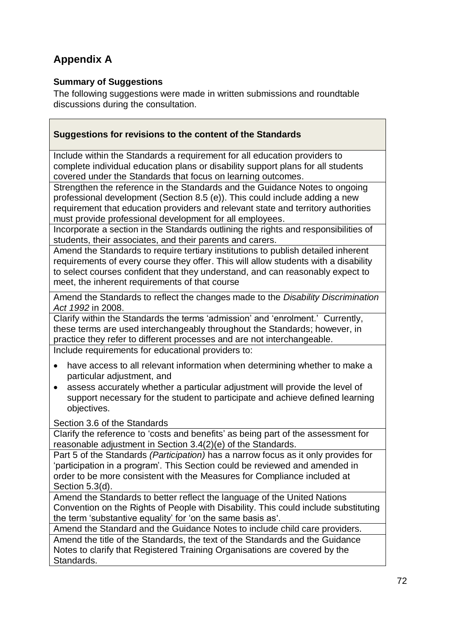# **Appendix A**

#### **Summary of Suggestions**

The following suggestions were made in written submissions and roundtable discussions during the consultation.

| Suggestions for revisions to the content of the Standards                                                                                                     |
|---------------------------------------------------------------------------------------------------------------------------------------------------------------|
| Include within the Standards a requirement for all education providers to<br>complete individual education plans or disability support plans for all students |

covered under the Standards that focus on learning outcomes. Strengthen the reference in the Standards and the Guidance Notes to ongoing professional development (Section 8.5 (e)). This could include adding a new requirement that education providers and relevant state and territory authorities must provide professional development for all employees.

Incorporate a section in the Standards outlining the rights and responsibilities of students, their associates, and their parents and carers.

Amend the Standards to require tertiary institutions to publish detailed inherent requirements of every course they offer. This will allow students with a disability to select courses confident that they understand, and can reasonably expect to meet, the inherent requirements of that course

Amend the Standards to reflect the changes made to the *Disability Discrimination Act 1992* in 2008.

Clarify within the Standards the terms 'admission' and 'enrolment.' Currently, these terms are used interchangeably throughout the Standards; however, in practice they refer to different processes and are not interchangeable. Include requirements for educational providers to:

- have access to all relevant information when determining whether to make a particular adjustment, and
- assess accurately whether a particular adjustment will provide the level of support necessary for the student to participate and achieve defined learning objectives.

#### Section 3.6 of the Standards

Clarify the reference to 'costs and benefits' as being part of the assessment for reasonable adjustment in Section 3.4(2)(e) of the Standards.

Part 5 of the Standards *(Participation)* has a narrow focus as it only provides for 'participation in a program'. This Section could be reviewed and amended in order to be more consistent with the Measures for Compliance included at Section 5.3(d).

Amend the Standards to better reflect the language of the United Nations Convention on the Rights of People with Disability. This could include substituting the term 'substantive equality' for 'on the same basis as'.

Amend the Standard and the Guidance Notes to include child care providers.

Amend the title of the Standards, the text of the Standards and the Guidance Notes to clarify that Registered Training Organisations are covered by the Standards.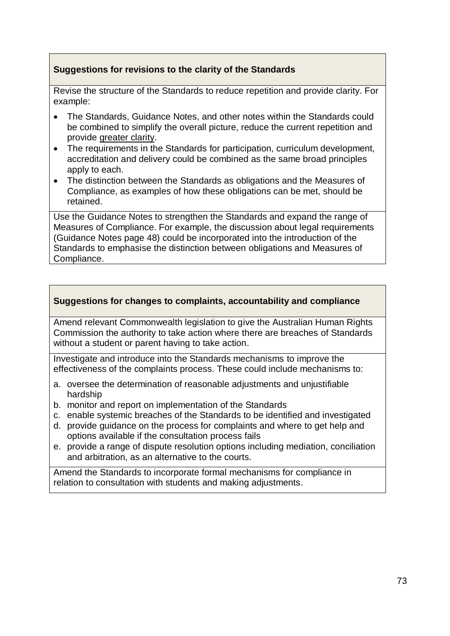#### **Suggestions for revisions to the clarity of the Standards**

Revise the structure of the Standards to reduce repetition and provide clarity. For example:

- The Standards, Guidance Notes, and other notes within the Standards could be combined to simplify the overall picture, reduce the current repetition and provide greater clarity.
- The requirements in the Standards for participation, curriculum development, accreditation and delivery could be combined as the same broad principles apply to each.
- The distinction between the Standards as obligations and the Measures of Compliance, as examples of how these obligations can be met, should be retained.

Use the Guidance Notes to strengthen the Standards and expand the range of Measures of Compliance. For example, the discussion about legal requirements (Guidance Notes page 48) could be incorporated into the introduction of the Standards to emphasise the distinction between obligations and Measures of Compliance.

#### **Suggestions for changes to complaints, accountability and compliance**

Amend relevant Commonwealth legislation to give the Australian Human Rights Commission the authority to take action where there are breaches of Standards without a student or parent having to take action.

Investigate and introduce into the Standards mechanisms to improve the effectiveness of the complaints process. These could include mechanisms to:

- a. oversee the determination of reasonable adjustments and unjustifiable hardship
- b. monitor and report on implementation of the Standards
- c. enable systemic breaches of the Standards to be identified and investigated
- d. provide guidance on the process for complaints and where to get help and options available if the consultation process fails
- e. provide a range of dispute resolution options including mediation, conciliation and arbitration, as an alternative to the courts.

Amend the Standards to incorporate formal mechanisms for compliance in relation to consultation with students and making adjustments.